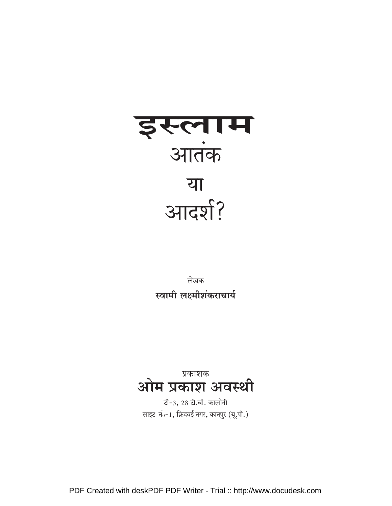

लेखक स्वामी लक्ष्मीशंकराचार्य

<sup>प्रकाशक</sup> अवस्थी

टी-3, 28 टी.बी. कालोनी साइट नं0-1, क़िदवई नगर, कानपुर (यू.पी.)

PDF Created with deskPDF PDF Writer - Trial :: http://www.docudesk.com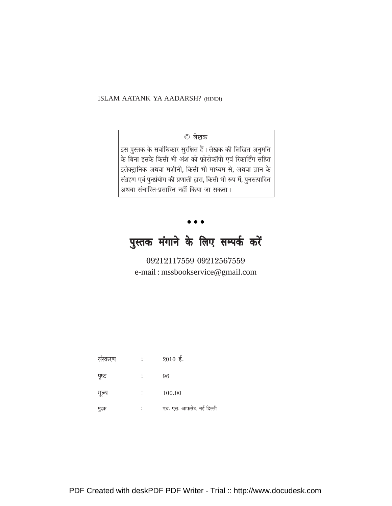ISLAM AATANK YA AADARSH? (HINDI)

#### © लेखक

इस पुस्तक के सर्वाधिकार सुरक्षित हैं। लेखक की लिखित अनुमति के बिना इसके किसी भी अंश को फ़ोटोकॉपी एवं रिकार्डिंग सहित इलेक्ट्रानिक अथवा मशीनी, किसी भी माध्यम से, अथवा ज्ञान के संग्रहण एवं पुनर्प्रयोग की प्रणाली द्वारा, किसी भी रूप में, पुनरुत्पादित अथवा संचारित-प्रसारित नहीं किया जा सकता।

### पुस्तक मंगाने के लिए सम्पर्क करें

09212117559 09212567559 e-mail: mssbookservice@gmail.com

| सस्करण | ٠ | $2010$ ई.                |
|--------|---|--------------------------|
| पृष्ठ  |   | 96                       |
| मूल्य  |   | 100.00                   |
| मुद्रक |   | एच. एस. आफसेट, नई दिल्ली |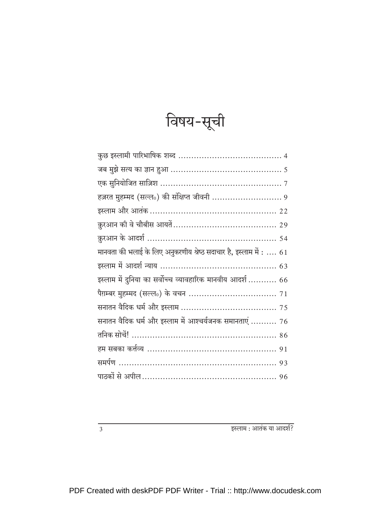| n.<br>ιэ | $\mathbf{C}$ – ि $\mathbf{F}$<br>71. |
|----------|--------------------------------------|
|          |                                      |

| हज़रत मुहम्मद (सल्ल॰) की संक्षिप्त जीवनी  9                        |
|--------------------------------------------------------------------|
|                                                                    |
|                                                                    |
|                                                                    |
| मानवता की भलाई के लिए अनुकरणीय श्रेष्ठ सदाचार है, इस्लाम में :  61 |
|                                                                    |
| इस्लाम में दुनिया का सर्वोच्च व्यावहारिक मानवीय आदर्श  66          |
|                                                                    |
|                                                                    |
| सनातन वैदिक धर्म और इस्लाम में आश्चर्यजनक समानताएं  76             |
|                                                                    |
|                                                                    |
|                                                                    |
|                                                                    |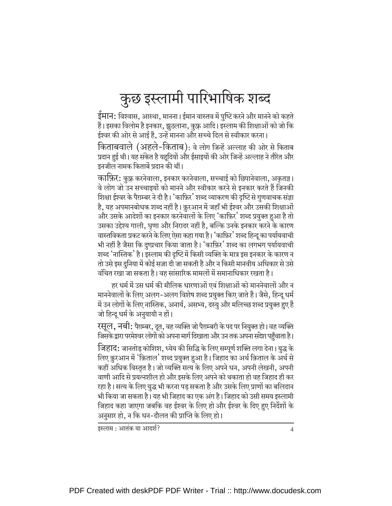# कुछ इस्लामी पारिभाषिक शब्द

ईमान: विश्वास, आस्था, मानना। ईमान वास्तव में पुष्टि करने और मानने को कहते हैं। इसका विलोम है इनकार, झूठलाना, कुफ्र आदि। इस्लाम की शिक्षाओं को जो कि ईश्वर की ओर से आई हैं. उन्हें मानना और सच्चे दिल से स्वीकार करना।

किताबवाले (अहले-किताब): वे लोग जिन्हें अल्लाह की ओर से किताब प्रदान हुई थी। यह संकेत है यहुदियों और ईसाइयों की ओर जिन्हें अल्लाह ने तौरेत और इनजील नामक किताबें प्रदान की थीं।

काफ़िर: कुफ़्र करनेवाला, इनकार करनेवाला, सच्चाई को छिपानेवाला, अकृतज्ञ। वे लोग जो उन सच्चाइयों को मानने और स्वीकार करने से इनकार करते हैं जिनकी शिक्षा ईश्वर के पैग़म्बर ने दी है। 'काफ़िर' शब्द व्याकरण की दृष्टि से गणवाचक संज्ञा है, यह अपमानबोधक शब्द नहीं है। क़ुरआन में जहाँ भी ईश्वर और उसकी शिक्षाओं और उसके आदेशों का इनकार करनेवालों के लिए 'काफ़िर' शब्द प्रयुक्त हुआ है तो उसका उद्देश्य गाली, घृणा और निरादर नहीं है, बल्कि उनके इनकार करने के कारण वास्तविकता प्रकट करने के लिए ऐसा कहा गया है। 'काफ़िर' शब्द हिन्दू का पर्यायवाची भी नहीं है जैसा कि दुष्प्रचार किया जाता है। 'काफ़िर' शब्द का लगभग पर्यायवाची शब्द 'नास्तिक' है। इस्लाम की दृष्टि में किसी व्यक्ति के मात्र इस इनकार के कारण न तो उसे इस दुनिया में कोई सज़ा दी जा सकती है और न किसी मानवीय अधिकार से उसे वंचित रखा जा सकता है। वह सांसारिक मामलों में समानाधिकार रखता है।

हर धर्म में उस धर्म की मौलिक धारणाओं एवं शिक्षाओं को माननेवालों और न माननेवालों के लिए अलग-अलग विशेष शब्द प्रयुक्त किए जाते हैं। जैसे, हिन्दू धर्म में उन लोगों के लिए नास्तिक, अनार्य, असभ्य, दस्यु और मलिच्छ शब्द प्रयुक्त हुए हैं जो हिन्दू धर्म के अनुयायी न हों।

रसूल, नबी: पैग़म्बर, दूत, वह व्यक्ति जो पैग़म्बरी के पद पर नियुक्त हो। वह व्यक्ति जिसके द्वारा परमेश्वर लोगों को अपना मार्ग दिखाता और उन तक अपना सदेश पहुँचाता है।

जिहाद: जानतोड़ कोशिश, ध्येय की सिद्धि के लिए सम्पूर्ण शक्ति लगा देना। युद्ध के लिए क़ुरआन में 'क़िताल' शब्द प्रयुक्त हुआ है। जिहाद का अर्थ क़िताल के अर्थ से कहीं अधिक विस्तृत है। जो व्यक्ति सत्य के लिए अपने धन, अपनी लेखनी, अपनी वाणी आदि से प्रयत्नशील हो और इसके लिए अपने को थकाता हो वह जिहाद ही कर रहा है। सत्य के लिए युद्ध भी करना पड़ सकता है और उसके लिए प्राणों का बलिदान भी किया जा सकता है। यह भी जिहाद का एक अंग है। जिहाद को उसी समय इस्लामी जिहाद कहा जाएगा जबकि वह ईश्वर के लिए हो और ईश्वर के दिए हुए निर्देशों के अनुसार हो, न कि धन-दौलत की प्राप्ति के लिए हो।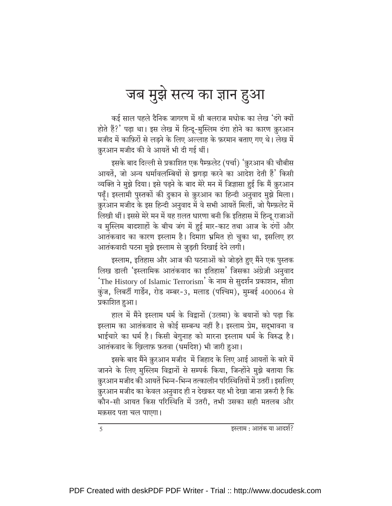### जब मुझे सत्य का ज्ञान हुआ

कई साल पहले दैनिक जागरण में श्री बलराज मधोक का लेख 'दंगे क्यों होते हैं?' पढ़ा था। इस लेख में हिन्दू-मुस्लिम दंगा होने का कारण क़ुरआन मजीद में काफ़िरों से लडने के लिए अल्लाह के फ़रमान बताए गए थे। लेख में क़ुरआन मजीद की वे आयतें भी दी गई थीं।

इसके बाद दिल्ली से प्रकाशित एक पैम्फ़लेट (पर्चा) 'क़ुरआन की चौबीस आयतें, जो अन्य धर्मावलम्बियों से झगडा करने का आदेश देती हैं' किसी व्यक्ति ने मुझे दिया। इसे पढ़ने के बाद मेरे मन में जिज्ञासा हुई कि मैं क़ुरआन पढ़ँ। इस्लामी पुस्तकों की दुकान से क़ुरआन का हिन्दी अनुवाद मुझे मिला। क़ुरआन मजीद के इस हिन्दी अनुवाद में वे सभी आयतें मिलीं, जो पैम्फ़लेट में लिखी थीं। इससे मेरे मन में यह ग़लत धारणा बनी कि इतिहास में हिन्दू राजाओं व मुस्लिम बादशाहों के बीच जंग में हुई मार-काट तथा आज के दंगों और आतंकवाद का कारण इस्लाम है। दिमाग़ भ्रमित हो चुका था, इसलिए हर आतंकवादी घटना मुझे इस्लाम से जुड़ती दिखाई देने लगी।

इस्लाम, इतिहास और आज की घटनाओं को जोड़ते हुए मैंने एक पुस्तक लिख डाली 'इस्लामिक आतंकवाद का इतिहास' जिसका अंग्रेज़ी अनुवाद 'The History of Islamic Terrorism' के नाम से सुदर्शन प्रकाशन, सीता कुंज, लिबर्टी गार्डेन, रोड नम्बर-3, मलाड (पश्चिम), मुम्बई 400064 से प्रकाशित हुआ।

हाल में मैंने इस्लाम धर्म के विद्वानों (उलमा) के बयानों को पढ़ा कि इस्लाम का आतंकवाद से कोई सम्बन्ध नहीं है। इस्लाम प्रेम, सदुभावना व भाईचारे का धर्म है। किसी बेगुनाह को मारना इस्लाम धर्म के विरुद्ध है। आतंकवाद के ख़िलाफ़ फ़तवा (धर्मादेश) भी जारी हुआ।

इसके बाद मैंने क़ुरआन मजीद में जिहाद के लिए आई आयतों के बारे में जानने के लिए मुस्लिम विद्वानों से सम्पर्क किया, जिन्होंने मुझे बताया कि क़ुरआन मजीद की आयतें भिन्न-भिन्न तत्कालीन परिस्थितियों में उतरीं। इसलिए क़ुरआन मजीद का केवल अनुवाद ही न देखकर यह भी देखा जाना ज़रूरी है कि कौन-सी आयत किस परिस्थिति में उतरी, तभी उसका सही मतलब और मक़सद पता चल पाएगा।

 $\overline{5}$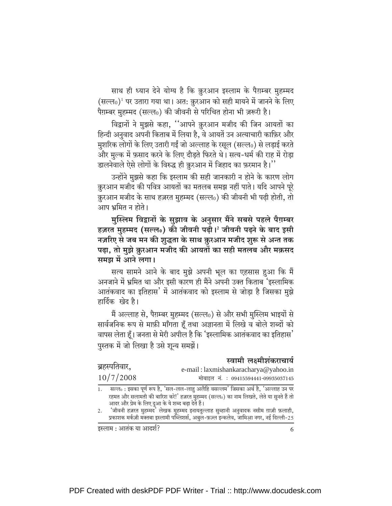साथ ही ध्यान देने योग्य है कि क़ुरआन इस्लाम के पैग़म्बर मुहम्मद  $($ सल्ल $_0$ <sup>1</sup> पर उतारा गया था। अत: क़ुरआन को सही मायने में जानने के लिए पैग़म्बर मुहम्मद (सल्ल0) की जीवनी से परिचित होना भी ज़रूरी है।

विद्वानों ने मुझसे कहा, "आपने क़ुरआन मजीद की जिन आयतों का हिन्दी अनुवाद अपनी किताब में लिया है, वे आयतें उन अत्याचारी काफ़िर और मुशरिक लोगों के लिए उतारी गईं जो अल्लाह के रसूल (सल्ल0) से लड़ाई करते और मुल्क में फ़साद करने के लिए दौडते फिरते थे। सत्य-धर्म की राह में रोडा 's उलनेवाले ऐसे लोगों के विरुद्ध ही क़ुरआन में जिहाद का फ़रमान है।

उन्होंने मुझसे कहा कि इस्लाम की सही जानकारी न होने के कारण लोग क़ुरआन मजीद की पवित्र आयतों का मतलब समझ नहीं पाते। यदि आपने पूरे क़ुरआन मजीद के साथ हज़रत मुहम्मद (सल्ल0) की जीवनी भी पढ़ी होती, तो आप भ्रमित न होते।

मुस्लिम विद्वानों के सुझाव के अनुसार मैंने सबसे पहले पैग़म्बर हज़रत मुहम्मद (सल्ल0) की जीवनी पढ़ी।<sup>2</sup> जीवनी पढ़ने के बाद इसी नज़रिए से जब मन की शुद्धता के साथ क़ुरआन मजीद शुरू से अन्त तक पढ़ा, तो मुझे क़ुरआन मजीद की आयतों का सही मतलब और मक़सद समझ में आने लगा।

सत्य सामने आने के बाद मुझे अपनी भूल का एहसास हुआ कि मैं अनजाने में भ्रमित था और इसी कारण ही मैंने अपनी उक्त किताब 'इस्लामिक आतंकवाद का इतिहास' में आतंकवाद को इस्लाम से जोड़ा है जिसका मुझे हार्दिक खेद है।

मैं अल्लाह से, पैग़म्बर मुहम्मद (सल्ल॰) से और सभी मुस्लिम भाइयों से सार्वजनिक रूप से माफ़ी माँगता हूँ तथा अज्ञानता में लिखे व बोले शब्दों को वापस लेता हूँ। जनता से मेरी अपील है कि 'इस्लामिक आतंकवाद का इतिहास' पुस्तक में जो लिखा है उसे शुन्य समझें।

|               | स्वामी लक्ष्मीशंकराचार्य                                                               |
|---------------|----------------------------------------------------------------------------------------|
| ब्रहस्पतिवार, | e-mail: laxmishankaracharya@yahoo.in                                                   |
| 10/7/2008     | मोबाइल नं.: 09415594441-09935037145                                                    |
| 1.            | सल्ल0: इसका पूर्ण रूप है, 'सल-लल-लाहु अलैहि वसल्लम' जिसका अर्थ है, 'अल्लाह उन पर       |
|               | रहमत और सलामती की बारिश करे!' हज़रत मुहम्मद (सल्ल0) का नाम लिखते, लेते या सुनते हैं तो |

आदर और प्रेम के लिए दुआ के ये शब्द बढ़ा देते हैं।

र्'जीवनी हज़रत मुहम्मद<sup>7</sup> लेखक मुहम्मद इनायतुल्लाह सुब्हानी अनुवादक नसीम ग़ाज़ी फ़लाही,<br>प्रकाशक मर्कज़ी मक्तबा इस्लामी पब्लिशर्स, अबुल-फ़ज़्ल इन्कलेव, जामिआ़ नगर, नई दिल्ली-25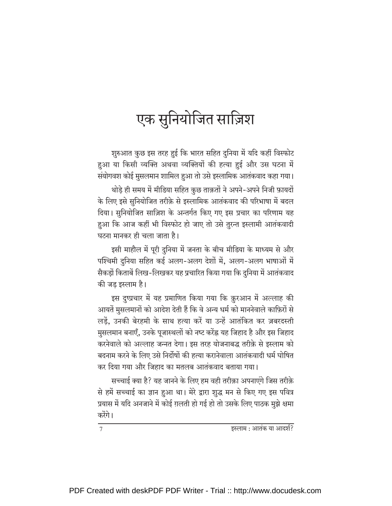## एक सुनियोजित साज़िश

शुरुआत कुछ इस तरह हुई कि भारत सहित दुनिया में यदि कहीं विस्फोट हुआ या किसी व्यक्ति अथवा व्यक्तियों की हत्या हुई और उस घटना में संयोगवश कोई मुसलमान शामिल हुआ तो उसे इस्लामिक आतंकवाद कहा गया। थोड़े ही समय में मीडिया सहित कुछ ताक़तों ने अपने-अपने निजी फ़ायदों के लिए इसे सुनियोजित तरीक़े से इस्लामिक आतंकवाद की परिभाषा में बदल दिया। सुनियोजित साज़िश के अन्तर्गत किए गए इस प्रचार का परिणाम यह हुआ कि आज कहीं भी विस्फोट हो जाए तो उसे तुरन्त इस्लामी आतंकवादी घटना मानकर ही चला जाता है।

इसी माहौल में पूरी दुनिया में जनता के बीच मीडिया के माध्यम से और पश्चिमी दुनिया सहित कई अलग-अलग देशों में, अलग-अलग भाषाओं में सैकड़ों किताबें लिख-लिखकर यह प्रचारित किया गया कि दुनिया में आतंकवाद की जड़ इस्लाम है।

इस दुष्प्रचार में यह प्रमाणित किया गया कि क़ुरआन में अल्लाह की आयतें मुसलमानों को आदेश देती हैं कि वे अन्य धर्म को माननेवाले काफ़िरों से लडें. उनकी बेरहमी के साथ हत्या करें या उन्हें आतंकित कर ज़बरदस्ती मुसलमान बनाएँ, उनके पूजास्थलों को नष्ट करेंह्न यह जिहाद है और इस जिहाद करनेवाले को अल्लाह जन्नत देगा। इस तरह योजनाबद्ध तरीक़े से इस्लाम को बदनाम करने के लिए उसे निर्दोषों की हत्या करानेवाला आतंकवादी धर्म घोषित कर दिया गया और जिहाद का मतलब आतंकवाद बताया गया।

सच्चाई क्या है? यह जानने के लिए हम वही तरीक़ा अपनाएंगे जिस तरीक़े से हमें सच्चाई का ज्ञान हुआ था। मेरे द्वारा शुद्ध मन से किए गए इस पवित्र प्रयास में यदि अनजाने में कोई ग़लती हो गई हो तो उसके लिए पाठक मुझे क्षमा करेंगे।

| इस्लाम : आतंक या आदर्श? |  |
|-------------------------|--|
|                         |  |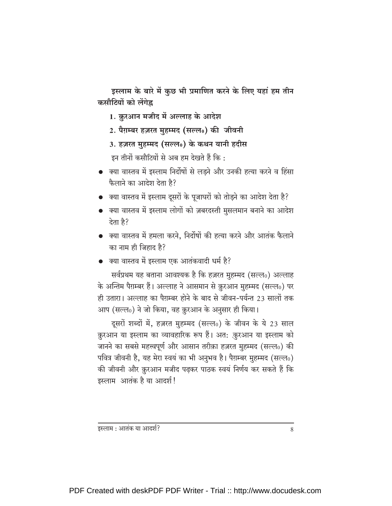इस्लाम के बारे में कुछ भी प्रमाणित करने के लिए यहां हम तीन कसौटियों को लेंगेह्र

- 1. क़ुरआन मजीद में अल्लाह के आदेश
- 2. पैग़म्बर हज़रत मुहम्मद (सल्ल0) की जीवनी
- 3. हज़रत मुहम्मद (सल्ल0) के कथन यानी हदीस

इन तीनों कसौटियों से अब हम देखते हैं कि:

- क्या वास्तव में इस्लाम निर्दोषों से लडने और उनकी हत्या करने व हिंसा फैलाने का आदेश देता है?
- क्या वास्तव में इस्लाम दूसरों के पूजाघरों को तोड़ने का आदेश देता है?
- क्या वास्तव में इस्लाम लोगों को ज़बरदस्ती मुसलमान बनाने का आदेश देता है?
- क्या वास्तव में हमला करने. निर्दोषों की हत्या करने और आतंक फैलाने का नाम ही जिहाद है?
- क्या वास्तव में इस्लाम एक आतंकवादी धर्म है?

सर्वप्रथम यह बताना आवश्यक है कि हज़रत मुहम्मद (सल्ल0) अल्लाह के अन्तिम पैग़म्बर हैं। अल्लाह ने आसमान से क़ुरआन मुहम्मद (सल्ल0) पर ही उतारा। अल्लाह का पैग़म्बर होने के बाद से जीवन-पर्यन्त 23 सालों तक आप (सल्ल0) ने जो किया, वह क़ुरआन के अनुसार ही किया।

दूसरों शब्दों में, हज़रत मुहम्मद (सल्ल0) के जीवन के ये 23 साल क़ुरआन या इस्लाम का व्यावहारिक रूप हैं। अत: क़ुरआन या इस्लाम को जानने का सबसे महत्त्वपूर्ण और आसान तरीक़ा हज़रत मुहम्मद (सल्ल0) की पवित्र जीवनी है, यह मेरा स्वयं का भी अनुभव है। पैग़म्बर मुहम्मद (सल्ल0) की जीवनी और क़ुरआन मजीद पढ़कर पाठक स्वयं निर्णय कर सकते हैं कि इस्लाम आतंक है या आदर्श!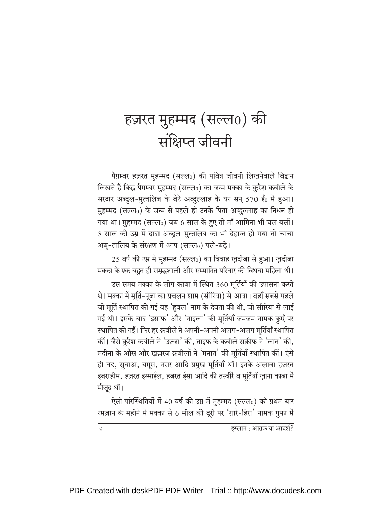### हज़रत मुहम्मद (सल्ल $_0$ ) की संक्षिप्त जीवनी

पैग़म्बर हज़रत मुहम्मद (सल्ल0) की पवित्र जीवनी लिखनेवाले विद्वान लिखते हैं किह्न पैग़म्बर मुहम्मद (सल्ल0) का जन्म मक्का के क़ुरैश क़बीले के सरदार अब्दुल-मुत्तलिब के बेटे अब्दुल्लाह के घर सन् 570 ई0 में हुआ। मुहम्मद (सल्ल0) के जन्म से पहले ही उनके पिता अब्दुल्लाह का निधन हो गया था। मुहम्मद (सल्ल0) जब 6 साल के हुए तो माँ आमिना भी चल बसीं। 8 साल की उम्र में दादा अब्दुल-मुत्तलिब का भी देहान्त हो गया तो चाचा अबू-तालिब के संरक्षण में आप (सल्ल0) पले-बढ़े।

25 वर्ष की उम्र में मुहम्मद (सल्ल0) का विवाह ख़दीजा से हुआ। ख़दीजा मक्का के एक बहुत ही समृद्धशाली और सम्मानित परिवार की विधवा महिला थीं।

उस समय मक्का के लोग काबा में स्थित 360 मूर्तियों की उपासना करते थे। मक्का में मूर्ति-पूजा का प्रचलन शाम (सीरिया) से आया। वहाँ सबसे पहले जो मूर्ति स्थापित की गई वह 'हुबल' नाम के देवता की थी, जो सीरिया से लाई गई थी। इसके बाद 'इसाफ' और 'नाइला' की मूर्तियाँ ज़मज़म नामक कुएँ पर स्थापित की गईं। फिर हर क़बीले ने अपनी-अपनी अलग-अलग मूर्तियाँ स्थापित कीं। जैसे क़ुरैश क़बीले ने 'उज़्ज़ा' की, ताइफ़ के क़बीले सक़ीफ़ ने 'लात' की, मदीना के औस और ख़ज़रज क़बीलों ने 'मनात' की मूर्तियाँ स्थापित कीं। ऐसे ही वद्द, सुवाअ, यग़ूस, नसर आदि प्रमुख मूर्तियाँ थीं। इनके अलावा हज़रत इबराहीम, हज़रत इस्माईल, हज़रत ईसा आदि की तस्वीरें व मूर्तियाँ ख़ाना काबा में मौजूद थीं।

ऐसी परिस्थितियों में 40 वर्ष की उम्र में मुहम्मद (सल्ल0) को प्रथम बार रमज़ान के महीने में मक्का से 6 मील की दूरी पर 'ग़ारे-हिरा' नामक गुफा में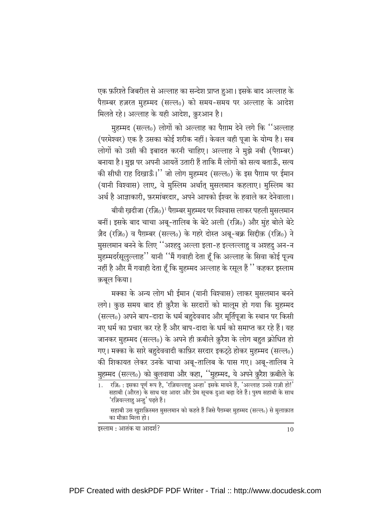एक फ़रिश्ते जिबरील से अल्लाह का सन्देश प्राप्त हुआ। इसके बाद अल्लाह के पैग़म्बर हज़रत मुहम्मद (सल्ल0) को समय-समय पर अल्लाह के आदेश मिलते रहे। अल्लाह के यही आदेश, क़रआन है।

मुहम्मद (सल्ल0) लोगों को अल्लाह का पैग़ाम देने लगे कि ''अल्लाह (परमेश्वर) एक है उसका कोई शरीक नहीं। केवल वही पूजा के योग्य है। सब लोगों को उसी की इबादत करनी चाहिए। अल्लाह ने मुझे नबी (पैग़म्बर) बनाया है। मुझ पर अपनी आयतें उतारी हैं ताकि मैं लोगों को सत्य बताऊँ, सत्य की सीधी राह दिखाऊँ।" जो लोग मुहम्मद (सल्ल0) के इस पैग़ाम पर ईमान (यानी विश्वास) लाए, वे मुस्लिम अर्थात् मुसलमान कहलाए। मुस्लिम का अर्थ है आज्ञाकारी, फ़रमांबरदार, अपने आपको ईश्वर के हवाले कर देनेवाला।

बीवी ख़दीजा (रज़ि0)<sup>1</sup> पैग़म्बर मुहम्मद पर विश्वास लाकर पहली मुसलमान बनीं। इसके बाद चाचा अबू-तालिब के बेटे अली (रज़ि0) और मुंह बोले बेटे ज़ैद (रज़ि0) व पैग़म्बर (सल्ल0) के गहरे दोस्त अबू-बक्र सिद्दीक़ (रज़ि0) ने मुसलमान बनने के लिए ''अश्हदु अल्ला इला-ह इल्लल्लाहु व अश्हदु अन-न मुहम्मदर्रसूलुल्लाह'' यानी ''मैं गवाही देता हूँ कि अल्लाह के सिवा कोई पूज्य नहीं है और मैं गवाही देता हूँ कि मुहम्मद अल्लाह के रसूल हैं '' कहकर इस्लाम क़बूल किया।

मक्का के अन्य लोग भी ईमान (यानी विश्वास) लाकर मुसलमान बनने लगे। कुछ समय बाद ही क़ुरैश के सरदारों को मालूम हो गया कि मुहम्मद (सल्ल0) अपने बाप-दादा के धर्म बहुदेववाद और मूर्तिपूजा के स्थान पर किसी नए धर्म का प्रचार कर रहे हैं और बाप-दादा के धर्म को समाप्त कर रहे हैं। यह जानकर मुहम्मद (सल्ल0) के अपने ही क़बीले क़ुरैश के लोग बहुत क्रोधित हो गए। मक्का के सारे बहुदेववादी काफ़िर सरदार इकटूठे होकर मुहम्मद (सल्ल0) की शिकायत लेकर उनके चाचा अबू-तालिब के पास गए। अबू-तालिब ने मुहम्मद (सल्ल0) को बुलवाया और कहा, ''मुहम्मद, ये अपने क़ुरैश क़बीले के

<sup>्&</sup>lt;br>रज़ि॰ : इसका पूर्ण रूप है, 'रज़ियल्लाहु अन्हा' इसके मायने हैं, 'अल्लाह उनसे राज़ी हो!' सहाबी (औरत) के साथ यह आदर और प्रेम सूचक दुआ बढ़ा देते हैं। पुरुष सहाबी के साथ 'रज़ियल्लाहु अन्ह' पढते हैं। सहाबी उस खुशक़िस्मत मुसलमान को कहते हैं जिसे पैग़म्बर मुहम्मद (सल्ल6) से मुलाक़ात

का मौक़ा मिला हो।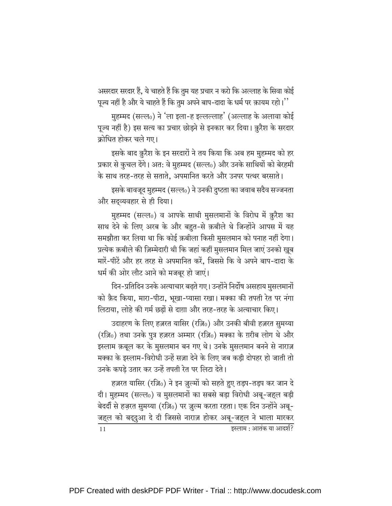असरदार सरदार हैं, ये चाहते हैं कि तुम यह प्रचार न करो कि अल्लाह के सिवा कोई पूज्य नहीं है और ये चाहते हैं कि तुम अपने बाप-दादा के धर्म पर क़ायम रहो।''

मुहम्मद (सल्ल0) ने 'ला इला-ह इल्लल्लाह' (अल्लाह के अलावा कोई पूज्य नहीं है) इस सत्य का प्रचार छोड़ने से इनकार कर दिया। क़ुरैश के सरदार क्रोधित होकर चले गए।

इसके बाद क़ुरैश के इन सरदारों ने तय किया कि अब हम मुहम्मद को हर प्रकार से कुचल देंगे। अत: वे मुहम्मद (सल्ल0) और उनके साथियों को बेरहमी के साथ तरह-तरह से सताते, अपमानित करते और उनपर पत्थर बरसाते।

इसके बावजूद मुहम्मद (सल्ल0) ने उनकी दुष्टता का जवाब सदैव सज्जनता और सदव्यवहार से ही दिया।

मुहम्मद (सल्ल0) व आपके साथी मुसलमानों के विरोध में क़ुरैश का साथ देने के लिए अरब के और बहुत-से क़बीले थे जिन्होंने आपस में यह समझौता कर लिया था कि कोई क़बीला किसी मुसलमान को पनाह नहीं देगा। प्रत्येक क़बीले की ज़िम्मेदारी थी कि जहां कहीं मुसलमान मिल जाएं उनको खुब मारें-पीटें और हर तरह से अपमानित करें, जिससे कि वे अपने बाप-दादा के धर्म की ओर लौट आने को मजबूर हो जाएं।

दिन-प्रतिदिन उनके अत्याचार बढ़ते गए। उन्होंने निर्दोष असहाय मुसलमानों को क़ैद किया, मारा-पीटा, भूखा-प्यासा रखा। मक्का की तपती रेत पर नंगा लिटाया. लोहे की गर्म छडों से दाग़ा और तरह-तरह के अत्याचार किए।

उदाहरण के लिए हज़रत यासिर (रज़ि0) और उनकी बीवी हज़रत सुमय्या (रज़ि0) तथा उनके पुत्र हज़रत अम्मार (रज़ि0) मक्का के ग़रीब लोग थे और इस्लाम क़बूल कर के मुसलमान बन गए थे। उनके मुसलमान बनने से नाराज़ मक्का के इस्लाम-विरोधी उन्हें सज़ा देने के लिए जब कड़ी दोपहर हो जाती तो उनके कपडे उतार कर उन्हें तपती रेत पर लिटा देते।

हज़रत यासिर (रज़ि0) ने इन ज़ुल्मों को सहते हुए तड़प-तड़प कर जान दे दी। मुहम्मद (सल्ल0) व मुसलमानों का सबसे बड़ा विरोधी अबू-जहल बड़ी बेदर्दी से हज़रत सुमय्या (रज़ि0) पर ज़ुल्म करता रहता। एक दिन उन्होंने अबू-जहल को बद्दुआ दे दी जिससे नाराज़ होकर अबू-जहल ने भाला मारकर  $11$ इस्लाम : आतंक या आदर्श?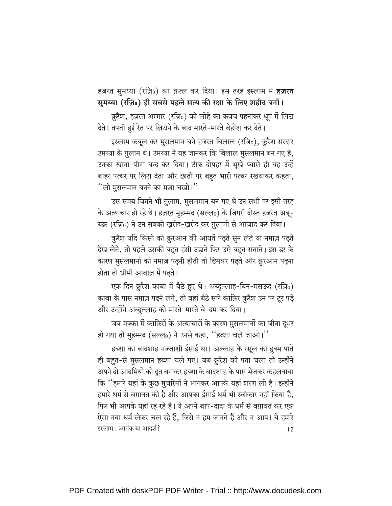हज़रत सुमय्या (रज़ि0) का क़त्ल कर दिया। इस तरह इस्लाम में **हज़रत** सुमय्या (रज़ि॰) ही सबसे पहले सत्य की रक्षा के लिए शहीद बनीं।

क़ुरैश, हज़रत अम्मार (रज़ि0) को लोहे का कवच पहनाकर धूप में लिटा देते। तपती हुई रेत पर लिटाने के बाद मारते-मारते बेहोश कर देते।

इस्लाम क़बूल कर मुसलमान बने हज़रत बिलाल (रज़ि0), क़ुरैश सरदार उमय्या के ग़ुलाम थे। उमय्या ने यह जानकर कि बिलाल मुसलमान बन गए हैं, उनका खाना-पीना बन्द कर दिया। ठीक दोपहर में भूखे-प्यासे ही वह उन्हें बाहर पत्थर पर लिटा देता और छाती पर बहुत भारी पत्थर रखवाकर कहता, "लो मुसलमान बनने का मज़ा चखो।"

उस समय जितने भी ग़ुलाम, मुसलमान बन गए थे उन सभी पर इसी तरह के अत्याचार हो रहे थे। हज़रत मुहम्मद (सल्ल0) के जिगरी दोस्त हज़रत अबू-बक्र (रज़ि0) ने उन सबको ख़रीद-ख़रीद कर ग़ुलामी से आज़ाद कर दिया।

कुरैश यदि किसी को क़ुरआन की आयतें पढ़ते सुन लेते या नमाज़ पढ़ते देख लेते, तो पहले उसकी बहुत हंसी उड़ाते फिर उसे बहुत सताते। इस डर के कारण मुसलमानों को नमाज़ पढ़नी होती तो छिपकर पढ़ते और क़ुरआन पढ़ना होता तो धीमी आवाज़ में पढते।

एक दिन क़ुरैश काबा में बैठे हुए थे। अब्दुल्लाह-बिन-मसऊद (रज़ि0) काबा के पास नमाज़ पढ़ने लगे, तो वहां बैठे सारे काफ़िर कुरैश उन पर टूट पड़े और उन्होंने अब्दुल्लाह को मारते-मारते बे-दम कर दिया।

जब मक्का में काफ़िरों के अत्याचारों के कारण मुसलमानों का जीना दूभर हो गया तो मुहम्मद (सल्ल0) ने उनसे कहा, "हब्शा चले जाओ।"

हब्शा का बादशाह नज्जाशी ईसाई था। अल्लाह के रसूल का हुक्म पाते ही बहुत-से मुसलमान हब्शा चले गए। जब क़ुरैश को पता चला तो उन्होंने अपने दो आदमियों को दूत बनाकर हब्शा के बादशाह के पास भेजकर कहलवाया कि ''हमारे यहां के कुछ मुजरिमों ने भागकर आपके यहां शरण ली है। इन्होंने हमारे धर्म से बग़ावत की है और आपका ईसाई धर्म भी स्वीकार नहीं किया है. फिर भी आपके यहाँ रह रहे हैं। ये अपने बाप-दादा के धर्म से बग़ावत कर एक ऐसा नया धर्म लेकर चल रहे हैं, जिसे न हम जानते हैं और न आप। ये हमारे इस्लाम : आतंक या आदर्श? 12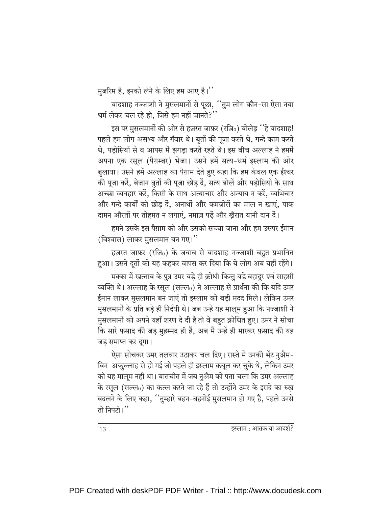मुजरिम हैं, इनको लेने के लिए हम आए हैं।''

बादशाह नज्जाशी ने मुसलमानों से पूछा, ''तुम लोग कौन-सा ऐसा नया धर्म लेकर चल रहे हो, जिसे हम नहीं जानते?''

इस पर मुसलमानों की ओर से हज़रत जाफ़र (रज़ि0) बोलेह्न ''हे बादशाह! पहले हम लोग असभ्य और गँवार थे। बुतों की पूजा करते थे, गन्दे काम करते थे, पड़ोसियों से व आपस में झगड़ा करते रहते थे। इस बीच अल्लाह ने हममें अपना एक रसूल (पैग़म्बर) भेजा। उसने हमें सत्य-धर्म इस्लाम की ओर बुलाया। उसने हमें अल्लाह का पैग़ाम देते हुए कहा कि हम केवल एक ईश्वर की पूजा करें, बेजान बूतों की पूजा छोड दें, सत्य बोलें और पडोसियों के साथ अच्छा व्यवहार करें. किसी के साथ अत्याचार और अन्याय न करें. व्यभिचार और गन्दे कार्यों को छोड दें. अनाथों और कमज़ोरों का माल न खाएं. पाक दामन औरतों पर तोहमत न लगाएं, नमाज़ पढें और खैरात यानी दान दें।

हमने उसके इस पैग़ाम को और उसको सच्चा जाना और हम उसपर ईमान (विश्वास) लाकर मुसलमान बन गए।"

हज़रत जाफ़र (रज़ि0) के जवाब से बादशाह नज्जाशी बहुत प्रभावित हुआ। उसने दूतों को यह कहकर वापस कर दिया कि ये लोग अब यहीं रहेंगे।

मक्का में ख़त्ताब के पुत्र उमर बड़े ही क्रोधी किन्तु बड़े बहादुर एवं साहसी व्यक्ति थे। अल्लाह के रसूल (सल्ल0) ने अल्लाह से प्रार्थना की कि यदि उमर ईमान लाकर मुसलमान बन जाएं तो इस्लाम को बडी मदद मिले। लेकिन उमर मुसलमानों के प्रति बड़े ही निर्दयी थे। जब उन्हें यह मालूम हुआ कि नज्जाशी ने मुसलमानों को अपने यहाँ शरण दे दी है तो वे बहुत क्रोधित हुए। उमर ने सोचा कि सारे फ़साद की जड़ मुहम्मद ही हैं, अब मैं उन्हें ही मारकर फ़साद की यह जड़ समाप्त कर दूंगा।

ऐसा सोचकर उमर तलवार उठाकर चल दिए। रास्ते में उनकी भेंट नुअैम-बिन-अब्दुल्लाह से हो गई जो पहले ही इस्लाम क़बूल कर चुके थे, लेकिन उमर को यह मालूम नहीं था। बातचीत में जब नुअैम को पता चला कि उमर अल्लाह के रसूल (सल्ल0) का क़त्ल करने जा रहे हैं तो उन्होंने उमर के इरादे का रुख बदलने के लिए कहा, ''तुम्हारे बहन-बहनोई मुसलमान हो गए हैं, पहले उनसे तो निपटो।''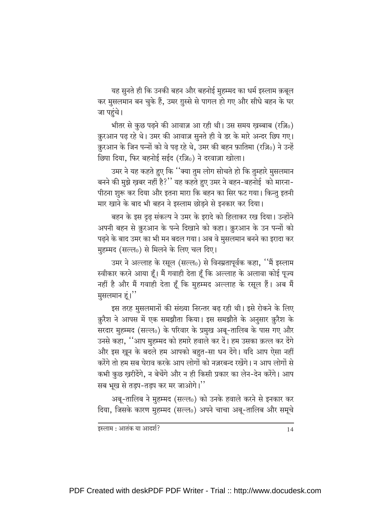यह सुनते ही कि उनकी बहन और बहनोई मुहम्मद का धर्म इस्लाम क़बूल कर मुसलमान बन चुके हैं, उमर ग़ुस्से से पागल हो गए और सीधे बहन के घर जा पहुंचे।

भीतर से कुछ पढ़ने की आवाज़ आ रही थी। उस समय ख़ब्बाब (रज़ि0) क़ुरआन पढ़ रहे थे। उमर की आवाज़ सुनते ही वे डर के मारे अन्दर छिप गए। क़ुरआन के जिन पन्नों को वे पढ़ रहे थे, उमर की बहन फ़ातिमा (रज़ि0) ने उन्हें छिपा दिया, फिर बहनोई सईद (रज़ि0) ने दरवाज़ा खोला।

उमर ने यह कहते हुए कि ''क्या तुम लोग सोचते हो कि तुम्हारे मुसलमान बनने की मुझे ख़बर नहीं है?" यह कहते हुए उमर ने बहन-बहनोई को मारना-पीटना शुरू कर दिया और इतना मारा कि बहन का सिर फट गया। किन्तु इतनी मार खाने के बाद भी बहन ने इस्लाम छोड़ने से इनकार कर दिया।

बहन के इस दृढ़ संकल्प ने उमर के इरादे को हिलाकर रख दिया। उन्होंने अपनी बहन से क़ुरआन के पन्ने दिखाने को कहा। क़ुरआन के उन पन्नों को पढ़ने के बाद उमर का भी मन बदल गया। अब वे मुसलमान बनने का इरादा कर मुहम्मद (सल्ल0) से मिलने के लिए चल दिए।

उमर ने अल्लाह के रसूल (सल्ल0) से विनम्रतापूर्वक कहा, ''मैं इस्लाम स्वीकार करने आया हूँ। मैं गवाही देता हूँ कि अल्लाह के अलावा कोई पूज्य नहीं है और मैं गवाही देता हूँ कि मुहम्मद अल्लाह के रसूल हैं। अब मैं मुसलमान हूं।"

इस तरह मुसलमानों की संख्या निरन्तर बढ़ रही थी। इसे रोकने के लिए क़ुरैश ने आपस में एक समझौता किया। इस समझौते के अनुसार क़ुरैश के सरदार मुहम्मद (सल्ल0) के परिवार के प्रमुख अबू-तालिब के पास गए और उनसे कहा, ''आप मुहम्मद को हमारे हवाले कर दें। हम उसका क़त्ल कर देंगे और इस खुन के बदले हम आपको बहुत-सा धन देंगे। यदि आप ऐसा नहीं करेंगे तो हम सब घेराव करके आप लोगों को नज़रबन्द रखेंगे। न आप लोगों से कभी कुछ ख़रीदेंगे, न बेचेंगे और न ही किसी प्रकार का लेन-देन करेंगे। आप सब भूख से तड़प-तड़प कर मर जाओगे।''

अबू-तालिब ने मुहम्मद (सल्ल0) को उनके हवाले करने से इनकार कर दिया, जिसके कारण मुहम्मद (सल्ल0) अपने चाचा अबू-तालिब और समूचे

इस्लाम : आतंक या आदर्श?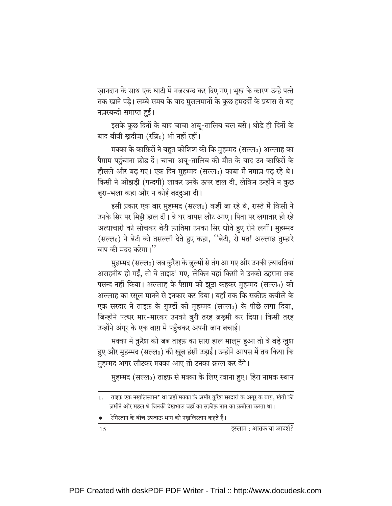ख़ानदान के साथ एक घाटी में नज़रबन्द कर दिए गए। भूख के कारण उन्हें पत्ते तक खाने पड़े। लम्बे समय के बाद मुसलमानों के कुछ हमदर्दों के प्रयास से यह नज़रबन्दी समाप्त हुई।

इसके कुछ दिनों के बाद चाचा अबू-तालिब चल बसे। थोड़े ही दिनों के बाद बीवी ख़दीजा (रज़ि0) भी नहीं रहीं।

मक्का के काफ़िरों ने बहुत कोशिश की कि मुहम्मद (सल्ल0) अल्लाह का पैग़ाम पहुंचाना छोड़ दें। चाचा अबू-तालिब की मौत के बाद उन काफ़िरों के हौसले और बढ़ गए। एक दिन मुहम्मद (सल्ल0) काबा में नमाज़ पढ़ रहे थे। किसी ने ओझड़ी (गन्दगी) लाकर उनके ऊपर डाल दी, लेकिन उन्होंने न कुछ बुरा-भला कहा और न कोई बदुदुआ दी।

इसी प्रकार एक बार मुहम्मद (सल्ल0) कहीं जा रहे थे, रास्ते में किसी ने उनके सिर पर मिट्टी डाल दी। वे घर वापस लौट आए। पिता पर लगातार हो रहे अत्याचारों को सोचकर बेटी फ़ातिमा उनका सिर धोते हुए रोने लगीं। मुहम्मद (सल्ल0) ने बेटी को तसल्ली देते हुए कहा, ''बेटी, रो मत! अल्लाह तुम्हारे बाप की मदद करेगा।''

मुहम्मद (सल्ल0) जब कुरैश के ज़ुल्मों से तंग आ गए और उनकी ज़्यादतियां असहनीय हो गईं, तो वे ताइफ़<sup>1</sup> गए, लेकिन यहां किसी ने उनको ठहराना तक पसन्द नहीं किया। अल्लाह के पैग़ाम को झूठा कहकर मुहम्मद (सल्ल0) को अल्लाह का रसूल मानने से इनकार कर दिया। यहाँ तक कि सक़ीफ़ क़बीले के एक सरदार ने ताइफ़ के ग़ुण्डों को मुहम्मद (सल्ल0) के पीछे लगा दिया, जिन्होंने पत्थर मार-मारकर उनको बुरी तरह ज़ख़्मी कर दिया। किसी तरह उन्होंने अंगूर के एक बाग़ में पहुँचकर अपनी जान बचाई।

मक्का में क़ुरैश को जब ताइफ़ का सारा हाल मालूम हुआ तो वे बड़े ख़ुश हुए और मुहम्मद (सल्ल॰) की खूब हंसी उड़ाई। उन्होंने आपस में तय किया कि मुहम्मद अगर लौटकर मक्का आए तो उनका क़त्ल कर देंगे।

मुहम्मद (सल्ल0) ताइफ़ से मक्का के लिए रवाना हुए। हिरा नामक स्थान

रेगिस्तान के बीच उपजाऊ भाग को नखलिस्तान कहते हैं।

<sup>1.</sup> ताइफ़ एक नख़लिस्तान<sup>•</sup> था जहाँ मक्का के अमीर क़ुरैश सरदारों के अंगूर के बाग़, खेती की ज़मीनें और महल थे जिनकी देखभाल वहाँ का सक़ीफ़ नाम का क़बीला करता था।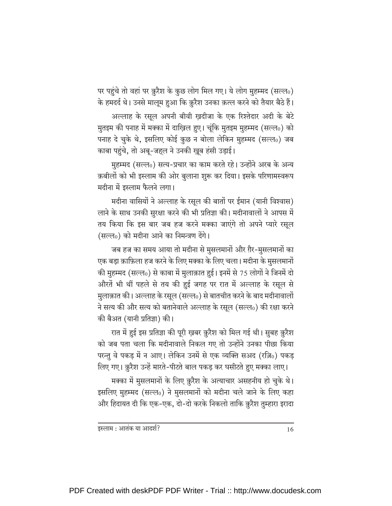पर पहुंचे तो वहां पर क़ुरैश के कुछ लोग मिल गए। ये लोग मुहम्मद (सल्ल0) के हमदर्द थे। उनसे मालूम हुआ कि क़ुरैश उनका क़त्ल करने को तैयार बैठे हैं।

अल्लाह के रसूल अपनी बीवी ख़दीजा के एक रिश्तेदार अदी के बेटे मुतइम की पनाह में मक्का में दाख़िल हुए। चूंकि मुतइम मुहम्मद (सल्ल0) को पनाह दे चुके थे, इसलिए कोई कुछ न बोला लेकिन मुहम्मद (सल्ल0) जब काबा पहुंचे, तो अबू-जहल ने उनकी खूब हंसी उड़ाई।

मुहम्मद (सल्ल0) सत्य-प्रचार का काम करते रहे। उन्होंने अरब के अन्य क़बीलों को भी इस्लाम की ओर बुलाना शुरू कर दिया। इसके परिणामस्वरूप मदीना में इस्लाम फैलने लगा।

मदीना वासियों ने अल्लाह के रसूल की बातों पर ईमान (यानी विश्वास) लाने के साथ उनकी सुरक्षा करने की भी प्रतिज्ञा की। मदीनावालों ने आपस में तय किया कि इस बार जब हज करने मक्का जाएंगे तो अपने प्यारे रसूल (सल्ल0) को मदीना आने का निमन्त्रण देंगे।

जब हज का समय आया तो मदीना से मुसलमानों और ग़ैर-मुसलमानों का एक बड़ा क़ाफ़िला हज करने के लिए मक्का के लिए चला। मदीना के मुसलमानों की मुहम्मद (सल्ल0) से काबा में मुलाक़ात हुई। इनमें से 75 लोगों ने जिनमें दो औरतें भी थीं पहले से तय की हुई जगह पर रात में अल्लाह के रसूल से मुलाक़ात की। अल्लाह के रसूल (सल्ल0) से बातचीत करने के बाद मदीनावालों ने सत्य की और सत्य को बतानेवाले अल्लाह के रसूल (सल्ल0) की रक्षा करने की बैअत (यानी प्रतिज्ञा) की।

रात में हुई इस प्रतिज्ञा की पूरी ख़बर क़ुरैश को मिल गई थी। सुबह क़ुरैश को जब पता चला कि मदीनावाले निकल गए तो उन्होंने उनका पीछा किया परन्तु वे पकड़ में न आए। लेकिन उनमें से एक व्यक्ति सअद (रज़ि0) पकड़ लिए गए। क़ुरैश उन्हें मारते-पीटते बाल पकड़ कर घसीटते हुए मक्का लाए।

मक्का में मुसलमानों के लिए क़ुरैश के अत्याचार असहनीय हो चुके थे। इसलिए मुहम्मद (सल्ल0) ने मुसलमानों को मदीना चले जाने के लिए कहा और हिदायत दी कि एक-एक, दो-दो करके निकलो ताकि क़ुरैश तुम्हारा इरादा

इस्लाम : आतंक या आदर्श?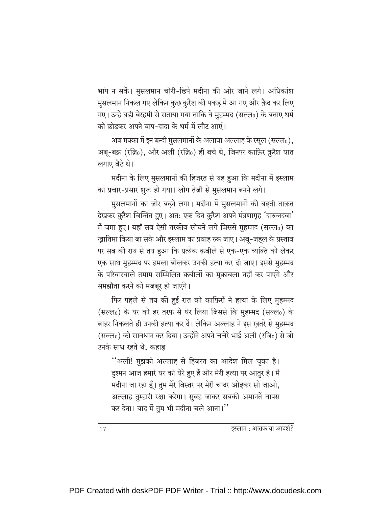भांप न सकें। मुसलमान चोरी-छिपे मदीना की ओर जाने लगे। अधिकांश मुसलमान निकल गए लेकिन कुछ क़ुरैश की पकड़ में आ गए और क़ैद कर लिए गए। उन्हें बडी बेरहमी से सताया गया ताकि वे मुहम्मद (सल्लू) के बताए धर्म को छोड़कर अपने बाप-दादा के धर्म में लौट आएं।

अब मक्का में इन बन्दी मुसलमानों के अलावा अल्लाह के रसूल (सल्लू), अबू-बक्र (रज़ि0), और अली (रज़ि0) ही बचे थे, जिनपर काफ़िर क़ुरैश घात लगाए बैठे थे।

मदीना के लिए मुसलमानों की हिजरत से यह हुआ कि मदीना में इस्लाम का प्रचार-प्रसार शुरू हो गया। लोग तेज़ी से मुसलमान बनने लगे।

मुसलमानों का ज़ोर बढ़ने लगा। मदीना में मुसलमानों की बढ़ती ताक़त देखकर क़ुरैश चिन्तित हुए। अत: एक दिन क़ुरैश अपने मंत्रणागृह 'दारुन्नदवा' में जमा हुए। यहाँ सब ऐसी तरकीब सोचने लगे जिससे मुहम्मद (सल्ल0) का खातिमा किया जा सके और इस्लाम का प्रवाह रुक जाए। अबू-जहल के प्रस्ताव पर सब की राय से तय हुआ कि प्रत्येक क़बीले से एक-एक व्यक्ति को लेकर एक साथ मुहम्मद पर हमला बोलकर उनकी हत्या कर दी जाए। इससे मुहम्मद के परिवारवाले तमाम सम्मिलित क़बीलों का मुक़ाबला नहीं कर पाएंगे और समझौता करने को मजबूर हो जाएंगे।

फिर पहले से तय की हुई रात को काफ़िरों ने हत्या के लिए मुहम्मद (सल्ल0) के घर को हर तरफ़ से घेर लिया जिससे कि मुहम्मद (सल्ल0) के बाहर निकलते ही उनकी हत्या कर दें। लेकिन अल्लाह ने इस ख़तरे से मुहम्मद (सल्ल0) को सावधान कर दिया। उन्होंने अपने चचेरे भाई अली (रज़ि0) से जो उनके साथ रहते थे, कहाह्न

''अली! मुझको अल्लाह से हिजरत का आदेश मिल चुका है। दुश्मन आज हमारे घर को घेरे हुए हैं और मेरी हत्या पर आतुर हैं। मैं मदीना जा रहा हूँ। तुम मेरे बिस्तर पर मेरी चादर ओढ़कर सो जाओ, अल्लाह तुम्हारी रक्षा करेगा। सुबह जाकर सबकी अमानतें वापस कर देना। बाद में तुम भी मदीना चले आना।''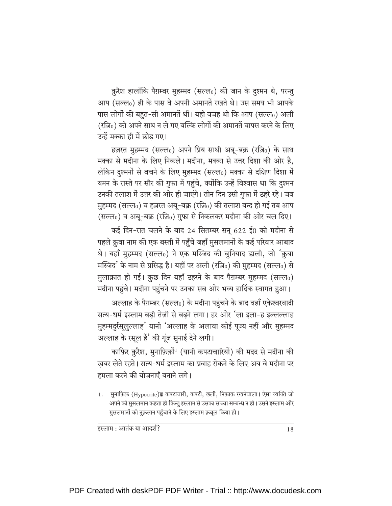क़ुरैश हालाँकि पैग़म्बर मुहम्मद (सल्ल0) की जान के दुश्मन थे, परन्तु आप (सल्ल0) ही के पास वे अपनी अमानतें रखते थे। उस समय भी आपके पास लोगों की बहुत-सी अमानतें थीं। यही वजह थी कि आप (सल्ल0) अली (रज़ि0) को अपने साथ न ले गए बल्कि लोगों की अमानतें वापस करने के लिए उन्हें मक्का ही में छोड गए।

हज़रत मुहम्मद (सल्ल0) अपने प्रिय साथी अबू-बक्र (रज़ि0) के साथ मक्का से मदीना के लिए निकले। मदीना, मक्का से उत्तर दिशा की ओर है, लेकिन दृश्मनों से बचने के लिए मुहम्मद (सल्ल0) मक्का से दक्षिण दिशा में यमन के रास्ते पर सौर की गुफा में पहुंचे, क्योंकि उन्हें विश्वास था कि दुश्मन उनकी तलाश में उत्तर की ओर ही जाएंगे। तीन दिन उसी गुफा में ठहरे रहे। जब मुहम्मद (सल्ल0) व हज़रत अबू-बक्र (रज़ि0) की तलाश बन्द हो गई तब आप (सल्ल0) व अबू-बक्र (रज़ि0) गुफा से निकलकर मदीना की ओर चल दिए।

कई दिन-रात चलने के बाद 24 सितम्बर सन् 622 ई0 को मदीना से पहले क़ुबा नाम की एक बस्ती में पहुँचे जहाँ मुसलमानों के कई परिवार आबाद थे। यहाँ मुहम्मद (सल्ल0) ने एक मस्जिद की बुनियाद डाली, जो 'क़ुबा मस्जिद' के नाम से प्रसिद्ध है। यहीं पर अली (रज़ि0) की मुहम्मद (सल्ल0) से मुलाक़ात हो गई। कुछ दिन यहाँ ठहरने के बाद पैग़म्बर मुहम्मद (सल्ल0) मदीना पहुंचे। मदीना पहुंचने पर उनका सब ओर भव्य हार्दिक स्वागत हुआ।

अल्लाह के पैग़म्बर (सल्ल0) के मदीना पहुंचने के बाद वहाँ एकेश्वरवादी सत्य-धर्म इस्लाम बड़ी तेज़ी से बढ़ने लगा। हर ओर 'ला इला-ह इल्लल्लाह मुहम्मदुर्रसूलुल्लाह' यानी 'अल्लाह के अलावा कोई पूज्य नहीं और मुहम्मद अल्लाह के रसूल हैं' की गूंज सुनाई देने लगी।

काफ़िर क़ुरैश, मुनाफ़िक़ों<sup>1</sup> (यानी कपटाचारियों) की मदद से मदीना की खबर लेते रहते। सत्य-धर्म इस्लाम का प्रवाह रोकने के लिए अब वे मदीना पर हमला करने की योजनाएँ बनाने लगे।

<sup>1.</sup> मुनाफ़िक़ (Hypocrite)ह्न कपटाचारी, कपटी, छली, निफ़ाक़ रखनेवाला। ऐसा व्यक्ति जो अपने को मुसलमान कहता हो किन्तु इस्लाम से उसका सच्चा सम्बन्ध न हो। उसने इस्लाम और मुसलमानों को नुक़सान पहुँचाने के लिए इस्लाम क़बूल किया हो।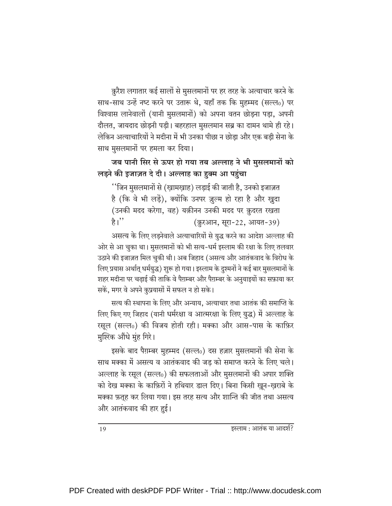क़ुरैश लगातार कई सालों से मुसलमानों पर हर तरह के अत्याचार करने के साथ-साथ उन्हें नष्ट करने पर उतारू थे, यहाँ तक कि मुहम्मद (सल्ल0) पर विश्वास लानेवालों (यानी मुसलमानों) को अपना वतन छोड़ना पड़ा, अपनी दौलत, जायदाद छोड़नी पड़ी। बहरहाल मुसलमान सब्र का दामन थामे ही रहे। लेकिन अत्याचारियों ने मदीना में भी उनका पीछा न छोड़ा और एक बड़ी सेना के साथ मुसलमानों पर हमला कर दिया।

#### जब पानी सिर से ऊपर हो गया तब अल्लाह ने भी मुसलमानों को लड़ने की इजाज़त दे दी। अल्लाह का हुक्म आ पहुंचा

''जिन मुसलमानों से (ख़ामख़ाह) लड़ाई की जाती है, उनको इजाज़त है (कि वे भी लड़ें), क्योंकि उनपर ज़ुल्म हो रहा है और ख़ुदा (उनकी मदद करेगा, वह) यक़ीनन उनकी मदद पर क़ुदरत रखता है।'' (क़ुरआन, सूरा-22, आयत-39)

असत्य के लिए लडनेवाले अत्याचारियों से युद्ध करने का आदेश अल्लाह की ओर से आ चुका था। मुसलमानों को भी सत्य-धर्म इस्लाम की रक्षा के लिए तलवार उठाने की इजाज़त मिल चुकी थी। अब जिहाद (असत्य और आतंकवाद के विरोध के लिए प्रयास अर्थात् धर्मयुद्ध) शुरू हो गया। इस्लाम के दुश्मनों ने कई बार मुसलमानों के शहर मदीना पर चढाई की ताकि वे पैग़म्बर और पैग़म्बर के अनुयाइयों का सफ़ाया कर सकें, मगर वे अपने कुप्रयासों में सफल न हो सके।

सत्य की स्थापना के लिए और अन्याय, अत्याचार तथा आतंक की समाप्ति के लिए किए गए जिहाद (यानी धर्मरक्षा व आत्मरक्षा के लिए युद्ध) में अल्लाह के रसूल (सल्ल0) की विजय होती रही। मक्का और आस-पास के काफ़िर मुश्ख्कि औंधे मुंह गिरे।

इसके बाद पैग़म्बर मुहम्मद (सल्ल0) दस हज़ार मुसलमानों की सेना के साथ मक्का में असत्य व आतंकवाद की जड को समाप्त करने के लिए चले। अल्लाह के रसूल (सल्ल0) की सफलताओं और मुसलमानों की अपार शक्ति को देख मक्का के काफ़िरों ने हथियार डाल दिए। बिना किसी खुन-खराबे के मक्का फ़तूह कर लिया गया। इस तरह सत्य और शान्ति की जीत तथा असत्य और आतंकवाद की हार हुई।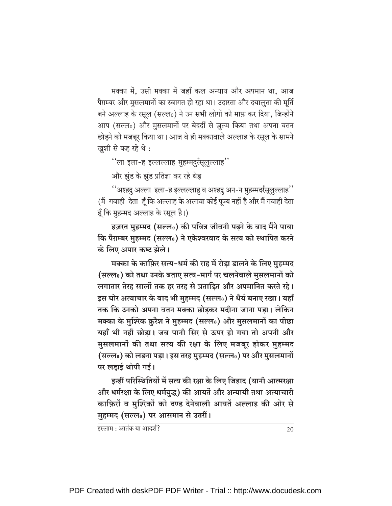मक्का में, उसी मक्का में जहाँ कल अन्याय और अपमान था, आज पैग़म्बर और मुसलमानों का स्वागत हो रहा था। उदारता और दयालुता की मूर्ति बने अल्लाह के रसूल (सल्ल0) ने उन सभी लोगों को माफ़ कर दिया, जिन्होंने आप (सल्ल0) और मुसलमानों पर बेदर्दी से ज़ूल्म किया तथा अपना वतन छोड़ने को मजबूर किया था। आज वे ही मक्कावाले अल्लाह के रसूल के सामने खुशी से कह रहे थे:

''ला इला-ह इल्लल्लाह मुहम्मदुर्रसूलुल्लाह''

और झूंड के झूंड प्रतिज्ञा कर रहे थेह्न

"अश्हदु अल्ला इला-ह इल्लल्लाहु व अश्हदु अन-न मुहम्मदर्रसूलुल्लाह" (मैं) गवाही देता हूँ कि अल्लाह के अलावा कोई पूज्य नहीं है और मैं गवाही देता हूँ कि मुहम्मद अल्लाह के रसूल हैं।)

हज़रत मुहम्मद (सल्लू) की पवित्र जीवनी पढ़ने के बाद मैंने पाया कि पैग़म्बर मुहम्मद (सल्ल0) ने एकेश्वरवाद के सत्य को स्थापित करने के लिए अपार कष्ट झेले।

मक्का के काफ़िर सत्य-धर्म की राह में रोड़ा डालने के लिए मुहम्मद (सल्ल0) को तथा उनके बताए सत्य-मार्ग पर चलनेवाले मुसलमानों को लगातार तेरह सालों तक हर तरह से प्रताडित और अपमानित करते रहे। इस घोर अत्याचार के बाद भी मुहम्मद (सल्ल0) ने धैर्य बनाए रखा। यहाँ तक कि उनको अपना वतन मक्का छोडकर मदीना जाना पडा। लेकिन मक्का के मुश्खि क़ुरैश ने मुहम्मद (सल्ल0) और मुसलमानों का पीछा यहाँ भी नहीं छोड़ा। जब पानी सिर से ऊपर हो गया तो अपनी और मुसलमानों की तथा सत्य की रक्षा के लिए मजबूर होकर मुहम्मद (सल्ल0) को लड़ना पड़ा। इस तरह मुहम्मद (सल्ल0) पर और मुसलमानों पर लड़ाई थोपी गई।

इन्हीं परिस्थितियों में सत्य की रक्षा के लिए जिहाद (यानी आत्मरक्षा और धर्मरक्षा के लिए धर्मयुद्ध) की आयतें और अन्यायी तथा अत्याचारी काफ़िरों व मुश्ख्तिों को दण्ड देनेवाली आयतें अल्लाह की ओर से मुहम्मद (सल्ल0) पर आसमान से उतरीं।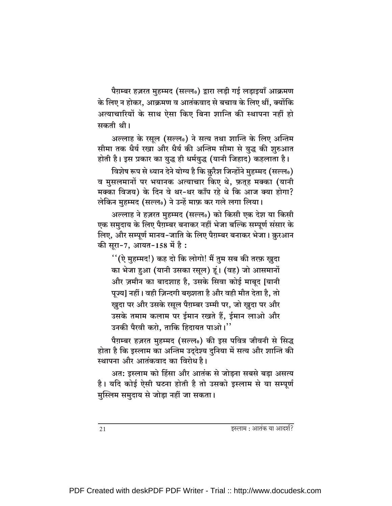पैग़म्बर हज़रत मुहम्मद (सल्ल0) द्वारा लड़ी गई लड़ाइयाँ आक्रमण के लिए न होकर. आक्रमण व आतंकवाद से बचाव के लिए थीं. क्योंकि अत्याचारियों के साथ ऐसा किए बिना शान्ति की स्थापना नहीं हो सकती थी।

अल्लाह के रसूल (सल्लू) ने सत्य तथा शान्ति के लिए अन्तिम सीमा तक धैर्य रखा और धैर्य की अन्तिम सीमा से युद्ध की शुरुआत होती है। इस प्रकार का युद्ध ही धर्मयुद्ध (यानी जिहाद) कहलाता है।

विशेष रूप से ध्यान देने योग्य है कि क़ुरैश जिन्होंने मुहम्मद (सल्ल0) व मुसलमानों पर भयानक अत्याचार किए थे, फ़तृह मक्का (यानी मक्का विजय) के दिन वे थर-थर काँप रहे थे कि आज क्या होगा? लेकिन मुहम्मद (सल्ल0) ने उन्हें माफ़ कर गले लगा लिया।

अल्लाह ने हज़रत मुहम्मद (सल्ल0) को किसी एक देश या किसी एक समुदाय के लिए पैग़म्बर बनाकर नहीं भेजा बल्कि सम्पूर्ण संसार के लिए, और सम्पूर्ण मानव-जाति के लिए पैग़म्बर बनाकर भेजा। क़ुरआन की सूरा-7, आयत-158 में है:

''(ऐ मुहम्मद!) कह दो कि लोगो! मैं तुम सब की तरफ़ ख़ुदा का भेजा हुआ (यानी उसका रसूल) हूं। (वह) जो आसमानों और ज़मीन का बादशाह है, उसके सिवा कोई माबूद [यानी पूज्य] नहीं। वही ज़िन्दगी बख्शता है और वही मौत देता है, तो खुदा पर और उसके रसूल पैग़म्बर उम्मी पर, जो खुदा पर और उसके तमाम कलाम पर ईमान रखते हैं, ईमान लाओ और उनकी पैरवी करो. ताकि हिदायत पाओ।''

पैग़म्बर हज़रत मुहम्मद (सल्ल0) की इस पवित्र जीवनी से सिद्ध होता है कि इस्लाम का अन्तिम उद्देश्य दुनिया में सत्य और शान्ति की स्थापना और आतंकवाद का विरोध है।

अत: इस्लाम को हिंसा और आतंक से जोड़ना सबसे बड़ा असत्य है। यदि कोई ऐसी घटना होती है तो उसको इस्लाम से या सम्पूर्ण मुस्लिम समुदाय से जोड़ा नहीं जा सकता।

इस्लाम : आतंक या आदर्श?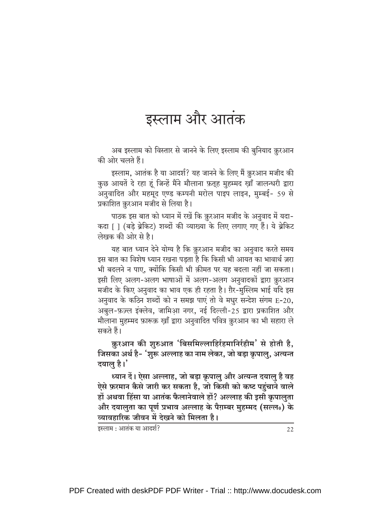### इस्लाम और आतंक

अब इस्लाम को विस्तार से जानने के लिए इस्लाम की बुनियाद क़ुरआन की ओर चलते हैं।

इस्लाम, आतंक है या आदर्श? यह जानने के लिए मैं क़ुरआन मजीद की कुछ आयतें दे रहा हूं जिन्हें मैंने मौलाना फ़तूह मुहम्मद ख़ाँ जालन्धरी द्वारा अनुवादित और महमूद एण्ड कम्पनी मरोल पाइप लाइन, मुम्बई- 59 से प्रकाशित क़ुरआन मजीद से लिया है।

पाठक इस बात को ध्यान में रखें कि क़ुरआन मजीद के अनुवाद में यदा-कदा [ ] (बड़े ब्रेकिट) शब्दों की व्याख्या के लिए लगाए गए हैं। ये ब्रेकिट लेखक की ओर से है।

यह बात ध्यान देने योग्य है कि क़ुरआन मजीद का अनुवाद करते समय इस बात का विशेष ध्यान रखना पडता है कि किसी भी आयत का भावार्थ ज़रा भी बदलने न पाए, क्योंकि किसी भी क़ीमत पर यह बदला नहीं जा सकता। इसी लिए अलग-अलग भाषाओं में अलग-अलग अनुवादकों द्वारा क़ुरआन मजीद के किए अनुवाद का भाव एक ही रहता है। ग़ैर-मुस्लिम भाई यदि इस अनवाद के कठिन शब्दों को न समझ पाएं तो वे मधुर सन्देश संगम E-20, अबुल-फ़ज़्ल इंक्लेव, जामिआ़ नगर, नई दिल्ली-25 द्वारा प्रकाशित और मौलाना मुहम्मद फ़ारूक़ ख़ाँ द्वारा अनुवादित पवित्र क़ुरआन का भी सहारा ले सकते हैं।

क़ुरआन की शुरुआत 'बिसमिल्लाहिर्रहमानिर्रहीम' से होती है, जिसका अर्थ है- 'शुरू अल्लाह का नाम लेकर, जो बड़ा क्रपालु, अत्यन्त दयालु है।

ध्यान दें। ऐसा अल्लाह, जो बड़ा क्रपालु और अत्यन्त दयालु है वह ऐसे फ़रमान कैसे जारी कर सकता है, जो किसी को कष्ट पहुंचाने वाले हों अथवा हिंसा या आतंक फैलानेवाले हों? अल्लाह की इसी कृपालुता और दयालुता का पूर्ण प्रभाव अल्लाह के पैग़म्बर मुहम्मद (सल्ल॰) के व्यावहारिक जीवन में देखने को मिलता है।

इस्लाम : आतंक या आदर्श?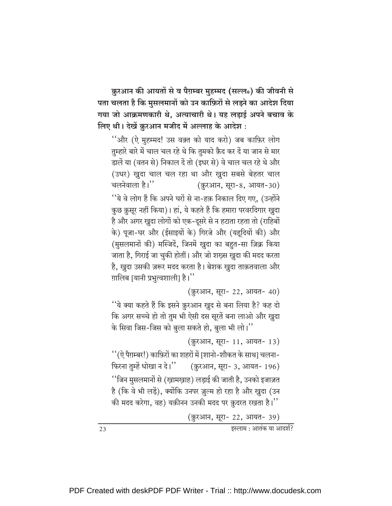क़ुरआन की आयतों से व पैग़म्बर मुहम्मद (सल्ल0) की जीवनी से पता चलता है कि मुसलमानों को उन काफ़िरों से लड़ने का आदेश दिया गया जो आक्रमणकारी थे, अत्याचारी थे। यह लड़ाई अपने बचाव के लिए थी। देखें क़ुरआन मजीद में अल्लाह के आदेश :

''और (ऐ मुहम्मद! उस वक़्त को याद करो) जब काफ़िर लोग तुम्हारे बारे में चाल चल रहे थे कि तुमको क़ैद कर दें या जान से मार डालें या (वतन से) निकाल दें तो (इधर से) वे चाल चल रहे थे और (उधर) ख़ुदा चाल चल रहा था और ख़ुदा सबसे बेहतर चाल चलनेवाला है।" (क़ुरआन, सूरा-8, आयत-30) ''ये वे लोग हैं कि अपने घरों से ना-हक़ निकाल दिए गए. (उन्होंने कुछ क़ुसुर नहीं किया)। हां, ये कहते हैं कि हमारा परवरदिगार खुदा है और अगर खुदा लोगों को एक-दूसरे से न हटाता रहता तो (राहिबों के) पूजा-घर और (ईसाइयों के) गिरजे और (यहूदियों की) और (मुसलमानों की) मस्जिदें, जिनमें खुदा का बहुत-सा ज़िक्र किया जाता है, गिराई जा चुकी होतीं। और जो शख़्स ख़ुदा की मदद करता है, खुदा उसकी ज़रूर मदद करता है। बेशक खुदा ताक़तवाला और ग़ालिब [यानी प्रभुत्वशाली] है।''

(क़ुरआन, सूरा- 22, आयत- 40)

''ये क्या कहते हैं कि इसने क़ुरआन ख़ुद से बना लिया है? कह दो कि अगर सच्चे हो तो तुम भी ऐसी दस सूरतें बना लाओ और खुदा के सिवा जिस-जिस को बुला सकते हो, बुला भी लो।"

(क़ुरआन, सूरा- 11, आयत- 13) ''(ऐ पैग़म्बर!) काफ़िरों का शहरों में [शानो-शौकत के साथ] चलना-फिरना तुम्हें धोखा न दे।" (क़ुरआन, सूरा- 3, आयत- 196) ''जिन मुसलमानों से (खामखाह) लड़ाई की जाती है, उनको इजाज़त है (कि वे भी लड़ें), क्योंकि उनपर ज़ुल्म हो रहा है और खुदा (उन की मदद करेगा, वह) यक़ीनन उनकी मदद पर क़ुदरत रखता है।''

(क़ुरआन, सूरा- 22, आयत- 39)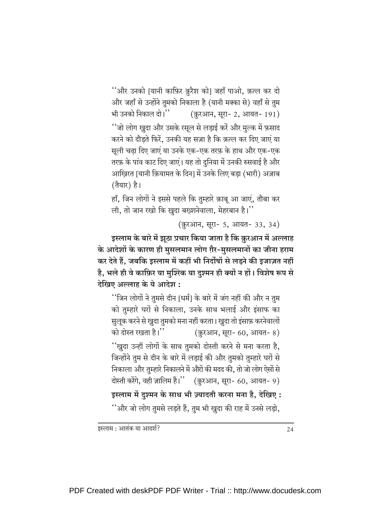''और उनको |यानी काफ़िर क़ुरैश को| जहाँ पाओ, क़त्ल कर दो और जहाँ से उन्होंने तुमको निकाला है (यानी मक्का से) वहाँ से तुम (क़ुरआन, सूरा- 2, आयत- 191) भी उनको निकाल दो। $"$ ''जो लोग खुदा और उसके रसूल से लड़ाई करें और मुल्क में फ़साद करने को दौड़ते फिरें, उनकी यह सज़ा है कि क़त्ल कर दिए जाएं या सूली चढ़ा दिए जाएं या उनके एक-एक तरफ़ के हाथ और एक-एक तरफ़ के पांव काट दिए जाएं। यह तो दुनिया में उनकी रुसवाई है और आखिरत [यानी क़ियामत के दिन] में उनके लिए बड़ा (भारी) अज़ाब (तैयार) है।

हाँ, जिन लोगों ने इससे पहले कि तुम्हारे क़ाबू आ जाएं, तौबा कर ली, तो जान रखो कि ख़ुदा बख़्शनेवाला, मेहरबान है।''

(क़ुरआन, सूरा- 5, आयत- 33, 34)

इस्लाम के बारे में झूठा प्रचार किया जाता है कि क़ुरआन में अल्लाह के आदेशों के कारण ही मुसलमान लोग ग़ैर-मुसलमानों का जीना हराम कर देते हैं, जबकि इस्लाम में कहीं भी निर्दोषों से लड़ने की इजाज़त नहीं है, भले ही वे काफ़िर या मुश्ख्कि या दुश्मन ही क्यों न हों। विशेष रूप से देखिए अल्लाह के ये आदेश :

''जिन लोगों ने तुमसे दीन [धर्म] के बारे में जंग नहीं की और न तुम को तुम्हारे घरों से निकाला, उनके साथ भलाई और इंसाफ का सुलुक करने से खुदा तुमको मना नहीं करता। खुदा तो इंसाफ़ करनेवालों को दोस्त रखता है।'' (क़ुरआन, सूरा- 60, आयत- 8) ''खुदा उन्हीं लोगों के साथ तुमको दोस्ती करने से मना करता है, जिन्होंने तुम से दीन के बारे में लड़ाई की और तुमको तुम्हारे घरों से निकाला और तुम्हारे निकालने में औरों की मदद की, तो जो लोग ऐसों से दोस्ती करेंगे, वही ज़ालिम हैं।'' (क़ुरआन, सूरा- 60, आयत- 9) इस्लाम में दुश्मन के साथ भी ज़्यादती करना मना है, देखिए : ''और जो लोग तुमसे लडते हैं, तुम भी खुदा की राह में उनसे लडो,

इस्लाम : आतंक या आदर्श?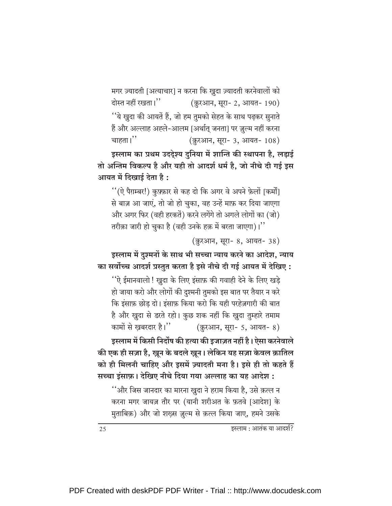मगर ज़्यादती [अत्याचार] न करना कि ख़ुदा ज़्यादती करनेवालों को (क़ुरआन, सूरा- 2, आयत- 190) दोस्त नहीं रखता।'' ''ये खुदा की आयतें हैं, जो हम तुमको सेहत के साथ पढ़कर सुनाते हैं और अल्लाह अह्ले-आलम [अर्थात् जनता] पर ज़ूल्म नहीं करना चाहता। $"$ (क़ुरआन, सूरा- 3, आयत- 108)

इस्लाम का प्रथम उददेश्य दुनिया में शान्ति की स्थापना है, लड़ाई तो अन्तिम विकल्प है और यही तो आदर्श धर्म है, जो नीचे दी गई इस आयत में दिखाई देता है:

"(ऐ पैग़म्बर!) कुफ़्फ़ार से कह दो कि अगर वे अपने फ़ेलों [कर्मों] से बाज़ आ जाएं, तो जो हो चुका, वह उन्हें माफ़ कर दिया जाएगा और अगर फिर (वही हरकतें) करने लगेंगे तो अगले लोगों का (जो) तरीक़ा जारी हो चुका है (वही उनके हक़ में बरता जाएगा)।''

(क़ुरआन, सुरा- 8, आयत- 38)

इस्लाम में दृश्मनों के साथ भी सच्चा न्याय करने का आदेश, न्याय का सर्वोच्च आदर्श प्रस्तुत करता है इसे नीचे दी गई आयत में देखिए:

''ऐ ईमानवालो ! खुदा के लिए इंसाफ़ की गवाही देने के लिए खड़े हो जाया करो और लोगों की दुश्मनी तुमको इस बात पर तैयार न करे कि इंसाफ़ छोड़ दो। इंसाफ़ किया करो कि यही परहेज़गारी की बात है और खुदा से डरते रहो। कुछ शक नहीं कि खुदा तुम्हारे तमाम कामों से ख़बरदार है।" (क़ुरआन, सूरा- 5, आयत- 8)

इस्लाम में किसी निर्दोष की हत्या की इजाज़त नहीं है। ऐसा करनेवाले की एक ही सज़ा है, ख़ून के बदले ख़ून। लेकिन यह सज़ा केवल क़ातिल को ही मिलनी चाहिए और इसमें ज़्यादती मना है। इसे ही तो कहते हैं

सच्चा इंसाफ़। देखिए नीचे दिया गया अल्लाह का यह आदेश :

''और जिस जानदार का मारना खुदा ने हराम किया है, उसे क़त्ल न करना मगर जायज़ तौर पर (यानी शरीअत के फ़तवे [आदेश] के मुताबिक़) और जो शख़्स ज़ुल्म से क़त्ल किया जाए, हमने उसके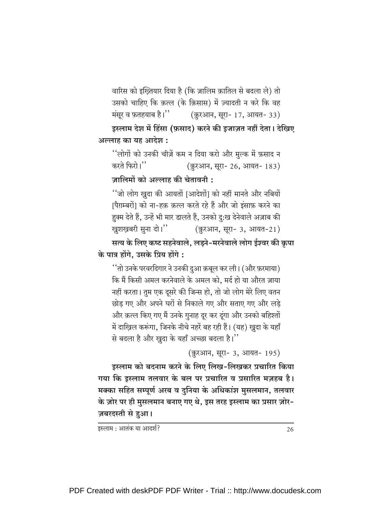वारिस को इख्तियार दिया है (कि ज़ालिम क़ातिल से बदला ले) तो उसको चाहिए कि क़त्ल (के क़िसास) में ज़्यादती न करे कि वह (क़ुरआन, सूरा- 17, आयत- 33) मंसूर व फ़तहयाब है।''

इस्लाम देश में हिंसा (फ़साद) करने की इजाज़त नहीं देता। देखिए अल्लाह का यह आदेश :

''लोगों को उनकी चीज़ें कम न दिया करो और मुल्क में फ़साद न करते फिरो।'' (क़ुरआन, सूरा- 26, आयत- 183)

ज़ालिमों को अल्लाह की चेतावनी :

''जो लोग खुदा की आयतों [आदेशों] को नहीं मानते और नबियों पिग़म्बरों। को ना-हक़ क़त्ल करते रहे हैं और जो इंसाफ़ करने का हुक्म देते हैं, उन्हें भी मार डालते हैं, उनको दु:ख देनेवाले अज़ाब की खुशखबरी सुना दो।'' (क़ुरआन, सूरा- 3, आयत-21)

सत्य के लिए कष्ट सहनेवाले, लड़ने-मरनेवाले लोग ईश्वर की क्रपा के पात्र होंगे. उसके प्रिय होंगे :

''तो उनके परवरदिगार ने उनकी दुआ क़बूल कर ली। (और फ़रमाया) कि मैं किसी अमल करनेवाले के अमल को. मर्द हो या औरत ज़ाया नहीं करता। तुम एक दूसरे की जिन्स हो, तो जो लोग मेरे लिए वतन छोड़ गए और अपने घरों से निकाले गए और सताए गए और लड़े और क़त्ल किए गए मैं उनके गुनाह दूर कर दूंगा और उनको बहिश्तों में दाख़िल करूंगा, जिनके नीचे नहरें बह रही हैं। (यह) ख़ुदा के यहाँ से बदला है और खुदा के यहाँ अच्छा बदला है।''

(क़ुरआन, सूरा- 3, आयत- 195)

इस्लाम को बदनाम करने के लिए लिख-लिखकर प्रचारित किया गया कि इस्लाम तलवार के बल पर प्रचारित व प्रसारित मज़हब है। मक्का सहित सम्पूर्ण अरब व दुनिया के अधिकांश मुसलमान, तलवार के ज़ोर पर ही मुसलमान बनाए गए थे, इस तरह इस्लाम का प्रसार ज़ोर-ज़बरदस्ती से हुआ।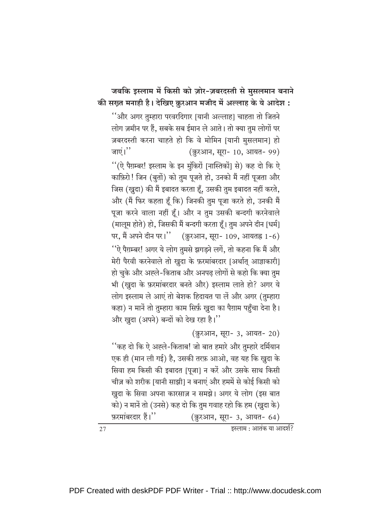### जबकि इस्लाम में किसी को ज़ोर-ज़बरदस्ती से मुसलमान बनाने की सख़्त मनाही है। देखिए क़ुरआन मजीद में अल्लाह के ये आदेश :

''और अगर तुम्हारा परवरदिगार [यानी अल्लाह] चाहता तो जितने लोग ज़मीन पर हैं, सबके सब ईमान ले आते। तो क्या तुम लोगों पर ज़बरदस्ती करना चाहते हो कि वे मोमिन [यानी मुसलमान] हो जाएं। $"$ (क़ुरआन, सूरा- 10, आयत- 99) ''(ऐ पैग़म्बर! इस्लाम के इन मुंकिरों |नास्तिकों| से) कह दो कि ऐ काफ़िरो! जिन (बुतों) को तुम पूजते हो, उनको मैं नहीं पूजता और जिस (खुदा) की मैं इबादत करता हूँ, उसकी तुम इबादत नहीं करते, और (मैं फिर कहता हूँ कि) जिनकी तुम पूजा करते हो, उनकी मैं पूजा करने वाला नहीं हूँ। और न तुम उसकी बन्दगी करनेवाले (मालूम होते) हो, जिसकी मैं बन्दगी करता हूँ। तुम अपने दीन [धर्म] पर, मैं अपने दीन पर।" (क़ुरआन, सूरा- 109, आयतह्न 1-6) ''ऐ पैग़म्बर! अगर ये लोग तुमसे झगड़ने लगें, तो कहना कि मैं और मेरी पैरवी करनेवाले तो खुदा के फ़रमांबरदार [अर्थात आज्ञाकारी] हो चुके और अह्ले-किताब और अनपढ़ लोगों से कहो कि क्या तुम भी (खुदा के फ़रमांबरदार बनते और) इस्लाम लाते हो? अगर ये लोग इस्लाम ले आएं तो बेशक हिदायत पा लें और अगर (तुम्हारा कहा) न मानें तो तुम्हारा काम सिर्फ़ खुदा का पैग़ाम पहुँचा देना है। और खुदा (अपने) बन्दों को देख रहा है।"

#### (क़ुरआन, सूरा- 3, आयत- 20) ''कह दो कि ऐ अह्ले-किताब! जो बात हमारे और तुम्हारे दर्मियान एक ही (मान ली गई) है, उसकी तरफ़ आओ, वह यह कि खुदा के सिवा हम किसी की इबादत [पूजा] न करें और उसके साथ किसी चीज़ को शरीक [यानी साझी] न बनाएं और हममें से कोई किसी को खुदा के सिवा अपना कारसाज़ न समझे। अगर ये लोग (इस बात को) न मानें तो (उनसे) कह दो कि तुम गवाह रहो कि हम (खुदा के) फ़रमांबरदार हैं।" (क़ुरआन, सूरा- 3, आयत- 64)

 $\overline{\overline{\mathsf{g}}$ स्लाम : आतंक या आदर्श?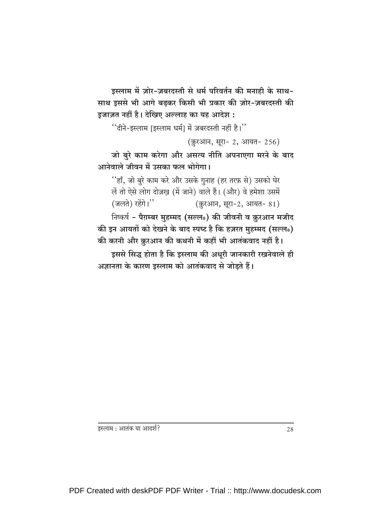इस्लाम में ज़ोर-ज़बरदस्ती से धर्म परिवर्तन की मनाही के साथ-साथ इससे भी आगे बढ़कर किसी भी प्रकार की ज़ोर-ज़बरदस्ती की इजाज़त नहीं है। देखिए अल्लाह का यह आदेश:

"दीने-इस्लाम |इस्लाम धर्म। में ज़बरदस्ती नहीं है।"

(क़ुरआन, सूरा- 2, आयत- 256)

जो बुरे काम करेगा और असत्य नीति अपनाएगा मरने के बाद आनेवाले जीवन में उसका फल भोगेगा।

''हाँ, जो बुरे काम करे और उसके गुनाह (हर तरफ़ से) उसको घेर लें तो ऐसे लोग दोज़ख़ (में जाने) वाले हैं। (और) वे हमेशा उसमें (जलते) रहेंगे।" (क़ुरआन, सुरा-2, आयत- 81)

निष्कर्ष - पैग़म्बर मुहम्मद (सल्ल0) की जीवनी व क़ुरआन मजीद की इन आयतों को देखने के बाद स्पष्ट है कि हज़रत मुहम्मद (सल्ल0) की करनी और क़ुरआन की कथनी में कहीं भी आतंकवाद नहीं है।

इससे सिद्ध होता है कि इस्लाम की अधूरी जानकारी रखनेवाले ही अज्ञानता के कारण इस्लाम को आतंकवाद से जोड़ते हैं।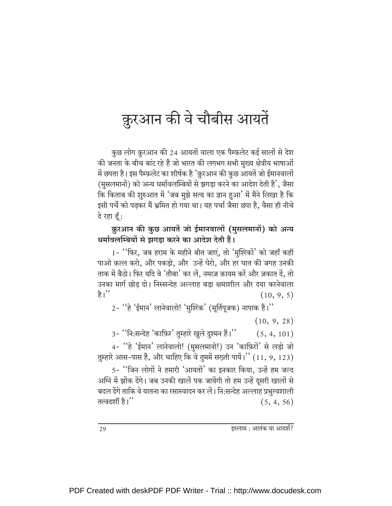# क़ुरआन की वे चौबीस आयतें

कुछ लोग क़ुरआन की 24 आयतों वाला एक पैम्फ़लेट कई सालों से देश की जनता के बीच बांट रहे हैं जो भारत की लगभग सभी मुख्य क्षेत्रीय भाषाओं में छपता है। इस पैम्फ़लेट का शीर्षक है 'क़ुरआन की कुछ आयतें जो ईमानवालों (मुसलमानों) को अन्य धर्मावलम्बियों से झगड़ा करने का आदेश देती हैं', जैसा कि किताब की शुरुआत में 'जब मुझे सत्य का ज्ञान हुआ' में मैंने लिखा है कि इसी पर्चे को पढ़कर मैं भ्रमित हो गया था। यह पर्चा जैसा छपा है, वैसा ही नीचे दे रहा हूँ:

#### क़ुरआन की कुछ आयतें जो ईमानवालों (मुसलमानों) को अन्य धर्मावलम्बियों से झगडा करने का आदेश देती हैं।

1- ''फिर, जब हराम के महीने बीत जाएं, तो 'मुश्ख्कों' को जहाँ कहीं पाओ क़त्ल करो, और पकड़ो, और उन्हें घेरो, और हर घात की जगह उनकी ताक में बैठो। फिर यदि वे 'तौबा' कर लें, नमाज़ क़ायम करें और ज़कात दें, तो उनका मार्ग छोड़ दो। निस्सन्देह अल्लाह बड़ा क्षमाशील और दया करनेवाला है। $"$  $(10, 9, 5)$ 

2- ''हे 'ईमान' लानेवालो! 'मुश्स्कि' (मूर्तिपूजक) नापाक हैं।''

 $(10, 9, 28)$ 

3- ''नि:सन्देह 'काफ़िर' तुम्हारे खुले दुश्मन हैं।''  $(5, 4, 101)$ 

4- "हे 'ईमान' लानेवालो! (मुसलमानो!) उन 'काफ़िरों' से लड़ो जो तुम्हारे आस-पास हैं, और चाहिए कि वे तुममें सख़्ती पायें।'' (11, 9, 123) 5- ''जिन लोगों ने हमारी 'आयतों' का इनकार किया, उन्हें हम जल्द अग्नि में झोंक देंगे। जब उनकी खालें पक जायेंगी तो हम उन्हें दूसरी खालों से

बदल देंगे ताकि वे यातना का रसास्वादन कर लें। नि:सन्देह अल्लाह प्रभुत्वशाली तत्वदर्शी है।''  $(5, 4, 56)$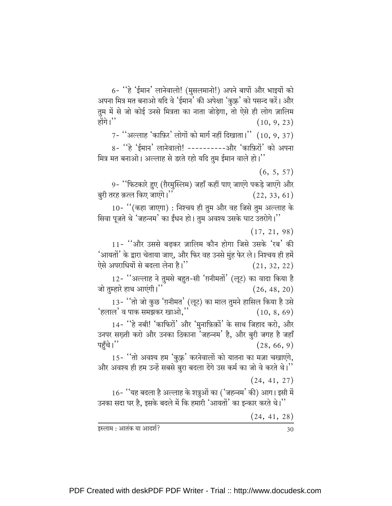6- 'हे 'ईमान' लानेवालो! (मुसलमानो!) अपने बापों और भाइयों को अपना मित्र मत बनाओ यदि वे 'ईमान' की अपेक्षा 'कुफ्र' को पसन्द करें। और तुम में से जो कोई उनसे मित्रता का नाता जोड़ेगा, तो ऐसे ही लोग ज़ालिम होंगे।''  $(10, 9, 23)$ 

 $7 -$  "अल्लाह 'काफ़िर' लोगों को मार्ग नहीं दिखाता।" (10, 9, 37)

8- ''हे 'ईमान' लानेवालो! ----------और 'काफ़िरों' को अपना मित्र मत बनाओ। अल्लाह से डरते रहो यदि तुम ईमान वाले हो।"

 $(6, 5, 57)$ 

9- ''फिटकारे हुए (ग़ैरमुस्लिम) जहाँ कहीं पाए जाएंगे पकड़े जाएंगे और बुरी तरह क़त्ल किए जाएंगे।''  $(22, 33, 61)$ 

10- "(कहा जाएगा) : निश्चय ही तुम और वह जिसे तुम अल्लाह के सिवा पूजते थे 'जहन्नम' का ईंधन हो। तुम अवश्य उसके घाट उतरोगे।''

 $(17, 21, 98)$ 

11- ''और उससे बढकर ज़ालिम कौन होगा जिसे उसके 'रब' की 'आयतों' के द्वारा चेताया जाए, और फिर वह उनसे मुंह फेर ले। निश्चय ही हमें ऐसे अपराधियों से बदला लेना है।''  $(21, 32, 22)$ 

12- "अल्लाह ने तुमसे बहुत-सी 'ग़नीमतों' (लूट) का वादा किया है जो तम्हारे हाथ आएंगी।''  $(26, 48, 20)$ 

13- "तो जो कुछ 'ग़नीमत' (लूट) का माल तुमने हासिल किया है उसे 'हलाल' व पाक समझकर खाओ.''  $(10, 8, 69)$ 

14- ''हे नबी! 'काफिरों' और 'मुनाफ़िक़ों' के साथ जिहाद करो, और उनपर सख़्ती करो और उनका ठिकाना 'जहन्नम' है, और बुरी जगह है जहाँ पहुँचे।''  $(28, 66, 9)$ 

15- "तो अवश्य हम 'कुफ़्र' करनेवालों को यातना का मज़ा चखाएंगे, और अवश्य ही हम उन्हें सबसे बुरा बदला देंगे उस कर्म का जो वे करते थे।''

 $(24, 41, 27)$ 

16- ''यह बदला है अल्लाह के शत्रुओं का ('जहन्नम' की) आग। इसी में उनका सदा घर है, इसके बदले में कि हमारी 'आयतों' का इन्कार करते थे।''

 $(24, 41, 28)$ 

इस्लाम : आतंक या आदर्श?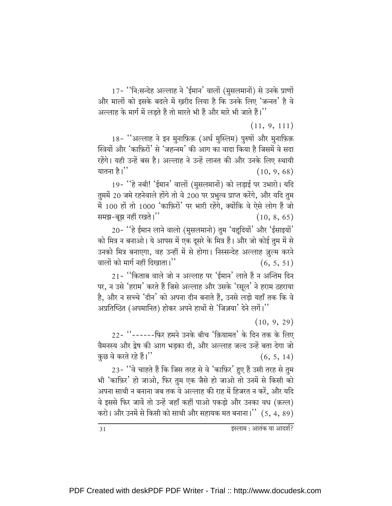17- "नि:सन्देह अल्लाह ने 'ईमान' वालों (मुसलमानों) से उनके प्राणों और मालों को इसके बदले में ख़रीद लिया है कि उनके लिए 'जन्नत' है वे अल्लाह के मार्ग में लड़ते हैं तो मारते भी हैं और मारे भी जाते हैं।''

 $(11, 9, 111)$ 

18- "अल्लाह ने इन मनाफ़िक़ (अर्ध मुस्लिम) पुरुषों और मुनाफ़िक़ स्त्रियों और 'काफ़िरों' से 'जहन्नम' की आग का वादा किया है जिसमें वे सदा रहेंगे। यही उन्हें बस है। अल्लाह ने उन्हें लानत की और उनके लिए स्थायी यातना है।''  $(10, 9, 68)$ 

19- ''हे नबी! 'ईमान' वालों (मुसलमानों) को लड़ाई पर उभारो। यदि तुममें 20 जमे रहनेवाले होंगे तो वे 200 पर प्रभुत्व प्राप्त करेंगे, और यदि तुम में 100 हों तो 1000 'काफ़िरों' पर भारी रहेंगे, क्योंकि वे ऐसे लोग हैं जो समझ-बूझ नहीं रखते।"  $(10, 8, 65)$ 

20- 'है ईमान लाने वालो (मुसलमानो) तुम 'यहृदियों' और 'ईसाइयों' को मित्र न बनाओ। ये आपस में एक दूसरे के मित्र हैं। और जो कोई तुम में से उनको मित्र बनाएगा, वह उन्हीं में से होगा। निस्सन्देह अल्लाह ज़ूल्म करने वालों को मार्ग नहीं दिखाता।''  $(6, 5, 51)$ 

21- ''किताब वाले जो न अल्लाह पर 'ईमान' लाते हैं न अन्तिम दिन पर, न उसे 'हराम' करते हैं जिसे अल्लाह और उसके 'रसुल' ने हराम ठहराया है, और न सच्चे 'दीन' को अपना दीन बनाते हैं, उनसे लड़ो यहाँ तक कि वे अप्रतिष्ठित (अपमानित) होकर अपने हाथों से 'जिज़या' देने लगें।''

 $(10, 9, 29)$ 

22- "------फिर हमने उनके बीच 'क़ियामत' के दिन तक के लिए वैमनस्य और द्वेष की आग भडका दी, और अल्लाह जल्द उन्हें बता देगा जो कुछ वे करते रहे हैं।''  $(6, 5, 14)$ 

23- ''वे चाहते हैं कि जिस तरह से वे 'काफ़िर' हुए हैं उसी तरह से तुम भी 'काफ़िर' हो जाओ, फिर तुम एक जैसे हो जाओ तो उनमें से किसी को अपना साथी न बनाना जब तक वे अल्लाह की राह में हिजरत न करें. और यदि वे इससे फिर जावें तो उन्हें जहाँ कहीं पाओ पकडो और उनका वध (क़त्ल) करो। और उनमें से किसी को साथी और सहायक मत बनाना।"  $(5, 4, 89)$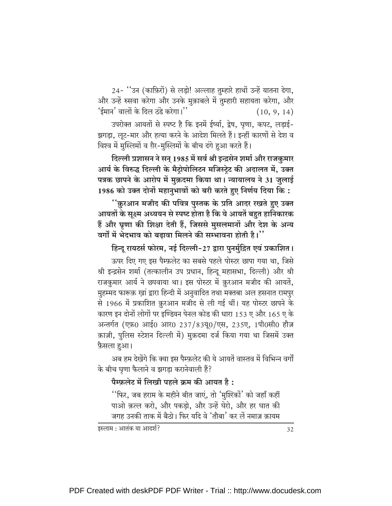24- ''उन (काफ़िरों) से लड़ो! अल्लाह तुम्हारे हाथों उन्हें यातना देगा, और उन्हें रुसवा करेगा और उनके मुक़ाबले में तुम्हारी सहायता करेगा, और 'ईमान' वालों के दिल ठंडे करेगा।''  $(10, 9, 14)$ 

उपरोक्त आयतों से स्पष्ट है कि इनमें ईर्ष्या, द्वेष, घृणा, कपट, लड़ाई-झगड़ा, लूट-मार और हत्या करने के आदेश मिलते हैं। इन्हीं कारणों से देश व विश्व में मुस्लिमों व ग़ैर-मुस्लिमों के बीच दंगे हुआ करते हैं।

दिल्ली प्रशासन ने सन् 1985 में सर्व श्री इन्द्रसेन शर्मा और राजकुमार आर्य के विरुद्ध दिल्ली के मैट्रोपोलिटन मजिस्ट्रेट की अदालत में, उक्त पत्रक छापने के आरोप में मुक़दमा किया था। न्यायालय ने 31 जुलाई 1986 को उक्त दोनों महानुभावों को बरी करते हुए निर्णय दिया कि:

<u>''क़ुरआन मजीद की पवित्र पुस्तक के प्रति आदर रखते हुए उक्त</u> आयतों के सूक्ष्म अध्ययन से स्पष्ट होता है कि ये आयतें बहुत हानिकारक हैं और घृणा की शिक्षा देती हैं, जिससे मुसलमानों और देश के अन्य वर्गों में भेदभाव को बढ़ावा मिलने की सम्भावना होती है।''

हिन्दू रायटर्स फोरम, नई दिल्ली-27 द्वारा पुनर्मुद्रित एवं प्रकाशित।

ऊपर दिए गए इस पैम्फ़लेट का सबसे पहले पोस्टर छापा गया था, जिसे श्री इन्द्रसेन शर्मा (तत्कालीन उप प्रधान, हिन्दू महासभा, दिल्ली) और श्री राजकुमार आर्य ने छपवाया था। इस पोस्टर में क़ुरआन मजीद की आयतें, मुहम्मद फारूक़ खां द्वारा हिन्दी में अनुवादित तथा मक्तबा अल हसनात रामपुर से 1966 में प्रकाशित क़ुरआन मजीद से ली गई थीं। यह पोस्टर छापने के कारण इन दोनों लोगों पर इण्डियन पेनल कोड की धारा 153 ए और 165 ए के अन्तर्गत (एफ़0 आई0 आर0 237/83यू0/एस, 235ए, 1पी0सी0 हौज़ क़ाज़ी, पुलिस स्टेशन दिल्ली में) मुक़दमा दर्ज किया गया था जिसमें उक्त फ़ैसला हुआ।

अब हम देखेंगे कि क्या इस पैम्फ़लेट की ये आयतें वास्तव में विभिन्न वर्गों के बीच घृणा फैलाने व झगड़ा करानेवाली हैं?

#### पैम्फ़लेट में लिखी पहले क्रम की आयत है:

''फिर, जब हराम के महीने बीत जाएं, तो 'मुश्ख्कों' को जहाँ कहीं पाओ क़त्ल करो, और पकड़ो, और उन्हें घेरो, और हर घात की जगह उनकी ताक में बैठो। फिर यदि वे 'तौबा' कर लें नमाज़ क़ायम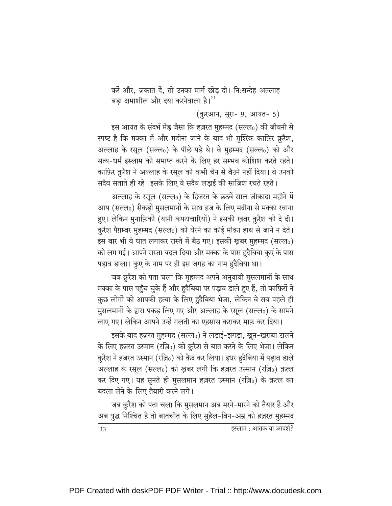करें और, ज़कात दें, तो उनका मार्ग छोड़ दो। नि:सन्देह अल्लाह बड़ा क्षमाशील और दया करनेवाला है।''

(क़ुरआन, सूरा- 9, आयत- 5)

इस आयत के संदर्भ मेंह्र जैसा कि हज़रत मुहम्मद (सल्ल0) की जीवनी से स्पष्ट है कि मक्का में और मदीना जाने के बाद भी मुश्ख्कि काफ़िर क़ुरैश, अल्लाह के रसूल (सल्ल0) के पीछे पड़े थे। वे मुहम्मद (सल्ल0) को और सत्य-धर्म इस्लाम को समाप्त करने के लिए हर सम्भव कोशिश करते रहते। काफ़िर क़ुरैश ने अल्लाह के रसूल को कभी चैन से बैठने नहीं दिया। वे उनको सदैव सताते ही रहे। इसके लिए वे सदैव लड़ाई की साज़िश रचते रहते।

अल्लाह के रसूल (सल्ल0) के हिजरत के छठवें साल ज़ीक़ादा महीने में आप (सल्ल0) सैकड़ों मुसलमानों के साथ हज के लिए मदीना से मक्का रवाना हुए। लेकिन मुनाफ़िकों (यानी कपटाचारियों) ने इसकी खबर क़ुरैश को दे दी। कुरैश पैग़म्बर मुहम्मद (सल्ल0) को घेरने का कोई मौक़ा हाथ से जाने न देते। इस बार भी वे घात लगाकर रास्ते में बैठ गए। इसकी ख़बर मुहम्मद (सल्ल0) को लग गई। आपने रास्ता बदल दिया और मक्का के पास हुदैबिया कुएं के पास पड़ाव डाला। कुएं के नाम पर ही इस जगह का नाम हुदैबिया था।

जब क़ुरैश को पता चला कि मुहम्मद अपने अनुयायी मुसलमानों के साथ मक्का के पास पहुँच चुके हैं और हुदैबिया पर पड़ाव डाले हुए हैं, तो काफ़िरों ने कुछ लोगों को आपकी हत्या के लिए हुदैबिया भेजा, लेकिन वे सब पहले ही मुसलमानों के द्वारा पकड लिए गए और अल्लाह के रसुल (सल्ल0) के सामने लाए गए। लेकिन आपने उन्हें ग़लती का एहसास कराकर माफ़ कर दिया।

इसके बाद हज़रत मुहम्मद (सल्ल0) ने लड़ाई-झगड़ा, खून-ख़राबा टालने के लिए हज़रत उस्मान (रज़ि0) को क़ुरैश से बात करने के लिए भेजा। लेकिन क़ुरैश ने हज़रत उस्मान (रज़ि0) को क़ैद कर लिया। इधर हुदैबिया में पड़ाव डाले अल्लाह के रसूल (सल्ल0) को खूबर लगी कि हज़रत उस्मान (रज़ि0) क़त्ल कर दिए गए। यह सुनते ही मुसलमान हज़रत उस्मान (रज़ि0) के क़त्ल का बदला लेने के लिए तैयारी करने लगे।

जब क़ुरैश को पता चला कि मुसलमान अब मरने-मारने को तैयार हैं और अब युद्ध निश्चित है तो बातचीत के लिए सुहैल-बिन-अम्र को हज़रत मुहम्मद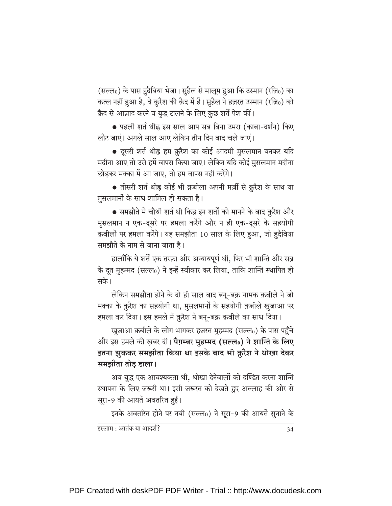(सल्ल0) के पास हुदैबिया भेजा। सुहैल से मालूम हुआ कि उस्मान (रज़ि0) का क़त्ल नहीं हुआ है, वे क़ुरैश की क़ैद में हैं। सुहैल ने हज़रत उस्मान (रज़ि0) को क़ैद से आज़ाद करने व युद्ध टालने के लिए कुछ शर्तें पेश कीं।

● पहली शर्त थीह्न इस साल आप सब बिना उमरा (काबा-दर्शन) किए लौट जाएं। अगले साल आएं लेकिन तीन दिन बाद चले जाएं।

• दूसरी शर्त थीह्न हम क़ुरैश का कोई आदमी मुसलमान बनकर यदि मदीना आए तो उसे हमें वापस किया जाए। लेकिन यदि कोई मुसलमान मदीना छोडकर मक्का में आ जाए, तो हम वापस नहीं करेंगे।

• तीसरी शर्त थीह्न कोई भी क़बीला अपनी मर्ज़ी से क़ुरैश के साथ या मुसलमानों के साथ शामिल हो सकता है।

• समझौते में चौथी शर्त थी किह्न इन शर्तों को मानने के बाद क़ुरैश और मुसलमान न एक-दूसरे पर हमला करेंगे और न ही एक-दूसरे के सहयोगी क़बीलों पर हमला करेंगे। यह समझौता 10 साल के लिए हुआ, जो हुदैबिया समझौते के नाम से जाना जाता है।

हालाँकि ये शर्तें एक तरफ़ा और अन्यायपूर्ण थीं, फिर भी शान्ति और सब्र के दूत मुहम्मद (सल्ल0) ने इन्हें स्वीकार कर लिया, ताकि शान्ति स्थापित हो सके।

लेकिन समझौता होने के दो ही साल बाद बनू-बक्र नामक क़बीले ने जो मक्का के क़ुरैश का सहयोगी था, मुसलमानों के सहयोगी क़बीले खुज़ाआ पर हमला कर दिया। इस हमले में क़ुरैश ने बनू-बक्र क़बीले का साथ दिया।

खुज़ाआ क़बीले के लोग भागकर हज़रत मुहम्मद (सल्ल0) के पास पहुँचे और इस हमले की खबर दी। **पैग़म्बर मुहम्मद (सल्ल**0) ने **शान्ति के लिए** इतना झुककर समझौता किया था इसके बाद भी क़ुरैश ने धोखा देकर समझौता तोड़ डाला।

अब युद्ध एक आवश्यकता थी, धोखा देनेवालों को दण्डित करना शान्ति स्थापना के लिए ज़रूरी था। इसी ज़रूरत को देखते हुए अल्लाह की ओर से सूरा-9 की आयतें अवतरित हुईं।

इनके अवतरित होने पर नबी (सल्ल0) ने सूरा-9 की आयतें सुनाने के

इस्लाम : आतंक या आदर्श?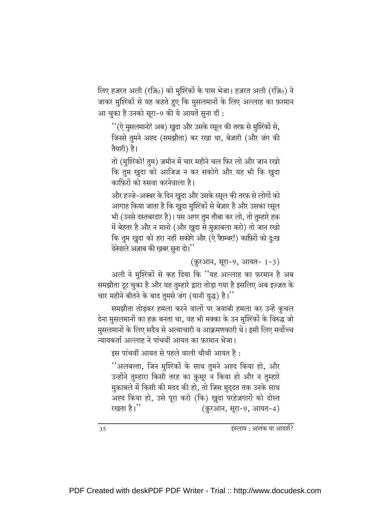लिए हज़रत अली (रज़ि0) को मुश्स्कों के पास भेजा। हज़रत अली (रज़ि0) ने जाकर मुश्सिकों से यह कहते हुए कि मुसलमानों के लिए अल्लाह का फ़रमान आ चुका है उनको सूरा-9 की ये आयतें सूना दीं :

''(ऐ मुसलमानो! अब) खुदा और उसके रसुल की तरफ़ से मुश्ख्मिं से. जिनसे तुमने अह्द (समझौता) कर रखा था, बेज़ारी (और जंग की तैयारी) है।

तो (मुश्ख्नि! तुम) ज़मीन में चार महीने चल फिर लो और जान रखो कि तुम खुदा को आजिज़ न कर सकोगे और यह भी कि खुदा काफ़िरों को रुसवा करनेवाला है।

और हज्जे-अक्बर के दिन खुदा और उसके रसूल की तरफ़ से लोगों को आगाह किया जाता है कि खुदा मुश्ख्कों से बेज़ार है और उसका रसूल भी (उनसे दस्तबरदार है)। पस अगर तुम तौबा कर लो, तो तुम्हारे हक़ में बेहतर है और न मानो (और ख़ुदा से मुक़ाबला करो) तो जान रखो कि तुम खुदा को हरा नहीं सकोगे और (ऐ पैग़म्बर!) काफ़िरों को दु:ख देनेवाले अज़ाब की ख़बर सुना दो।''

(क़ुरआन, सूरा-9, आयत- 1-3)

अली ने मुश्ख्मिं से कह दिया कि ''यह अल्लाह का फ़रमान है अब समझौता टूट चुका है और यह तुम्हारे द्वारा तोड़ा गया है इसलिए अब इज़्ज़त के चार महीने बीतने के बाद तुमसे जंग (यानी युद्ध) है।''

समझौता तोड़कर हमला करने वालों पर जवाबी हमला कर उन्हें कुचल देना मुसलमानों का हक़ बनता था, वह भी मक्का के उन मुश्ख्कों के विरुद्ध जो मुसलमानों के लिए सदैव से अत्याचारी व आक्रमणकारी थे। इसी लिए सर्वोच्च न्यायकर्ता अल्लाह ने पांचवीं आयत का फ़रमान भेजा।

इस पांचवीं आयत से पहले वाली चौथी आयत है:

''अलबत्ता, जिन मुश्ख्कों के साथ तुमने अह्द किया हो, और उन्होंने तुम्हारा किसी तरह का क़ुसूर न किया हो और न तुम्हारे मुक़ाबले में किसी की मदद की हो, तो जिस मुदुदत तक उनके साथ अह्द किया हो, उसे पूरा करो (कि) ख़ुदा परहेज़गारों को दोस्त रखता है।'' (क़ुरआन, सूरा-9, आयत-4)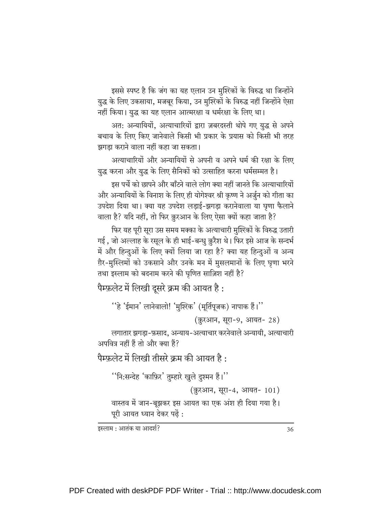इससे स्पष्ट है कि जंग का यह एलान उन मुश्ख्कों के विरुद्ध था जिन्होंने युद्ध के लिए उकसाया, मजबूर किया, उन मुश्रिकों के विरुद्ध नहीं जिन्होंने ऐसा नहीं किया। युद्ध का यह एलान आत्मरक्षा व धर्मरक्षा के लिए था।

अत: अन्यायियों, अत्याचारियों द्वारा ज़बरदस्ती थोपे गए युद्ध से अपने बचाव के लिए किए जानेवाले किसी भी प्रकार के प्रयास को किसी भी तरह झगडा कराने वाला नहीं कहा जा सकता।

अत्याचारियों और अन्यायियों से अपनी व अपने धर्म की रक्षा के लिए युद्ध करना और युद्ध के लिए सैनिकों को उत्साहित करना धर्मसम्मत है।

इस पर्चे को छापने और बाँटने वाले लोग क्या नहीं जानते कि अत्याचारियों और अन्यायियों के विनाश के लिए ही योगेश्वर श्री कृष्ण ने अर्जुन को गीता का उपदेश दिया था। क्या यह उपदेश लड़ाई-झगड़ा करानेवाला या घृणा फैलाने वाला है? यदि नहीं, तो फिर क़ुरआन के लिए ऐसा क्यों कहा जाता है?

फिर यह पूरी सूरा उस समय मक्का के अत्याचारी मुश्ख्कों के विरुद्ध उतारी गई , जो अल्लाह के रसूल के ही भाई-बन्धु क़ुरैश थे। फिर इसे आज के सन्दर्भ में और हिन्दुओं के लिए क्यों लिया जा रहा है? क्या यह हिन्दुओं व अन्य ग़ैर-मुस्लिमों को उकसाने और उनके मन में मुसलमानों के लिए घृणा भरने तथा इस्लाम को बदनाम करने की घृणित साज़िश नहीं है?

```
पैम्फ़लेट में लिखी दूसरे क्रम की आयत है:
```

```
''हे 'ईमान' लानेवालो! 'मुश्ख्कि' (मूर्तिपूजक) नापाक हैं।''
```

```
(क़ुरआन, सूरा-9, आयत- 28)
```
लगातार झगड़ा-फ़साद, अन्याय-अत्याचार करनेवाले अन्यायी, अत्याचारी अपवित्र नहीं हैं तो और क्या हैं?

```
पैम्फ़लेट में लिखी तीसरे क्रम की आयत है:
```
''नि:सन्देह 'काफ़िर' तुम्हारे खुले दुश्मन हैं।''

```
(क़ुरआन, सूरा-4, आयत- 101)
```

```
वास्तव में जान-बूझकर इस आयत का एक अंश ही दिया गया है।
पूरी आयत ध्यान देकर पढ़ें:
```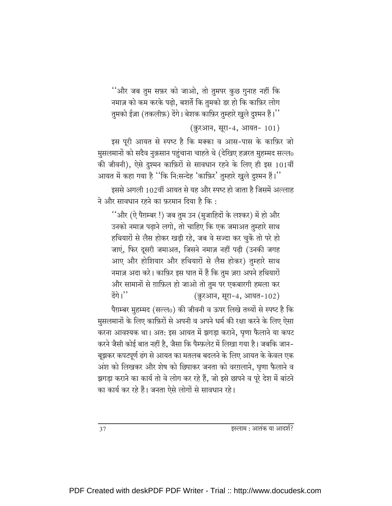''और जब तुम सफ़र को जाओ, तो तुमपर कुछ गुनाह नहीं कि नमाज़ को कम करके पढ़ो, बशर्ते कि तुमको डर हो कि काफ़िर लोग तुमको ईज़ा (तकलीफ़) देंगे। बेशक काफ़िर तुम्हारे खुले दुश्मन हैं।''

(क़ुरआन, सूरा-4, आयत- 101)

इस पूरी आयत से स्पष्ट है कि मक्का व आस-पास के काफ़िर जो मुसलमानों को सदैव नुक़सान पहुंचाना चाहते थे (देखिए हज़रत मुहम्मद सल्ल0 की जीवनी), ऐसे दुश्मन काफ़िरों से सावधान रहने के लिए ही इस 101वीं आयत में कहा गया है ''कि नि:सन्देह 'काफ़िर' तुम्हारे खुले दुश्मन हैं।''

इससे अगली 102वीं आयत से यह और स्पष्ट हो जाता है जिसमें अल्लाह ने और सावधान रहने का फरमान दिया है कि :

''और (ऐ पैग़म्बर !) जब तुम उन (मुजाहिदों के लश्कर) में हो और उनको नमाज़ पढाने लगो, तो चाहिए कि एक जमाअत तुम्हारे साथ हथियारों से लैस होकर खड़ी रहे, जब वे सज्दा कर चुकें तो परे हो जाएं, फिर दूसरी जमाअत, जिसने नमाज़ नहीं पढ़ी (उनकी जगह आए और होशियार और हथियारों से लैस होकर) तुम्हारे साथ नमाज़ अदा करे। काफ़िर इस घात में हैं कि तुम ज़रा अपने हथियारों और सामानों से ग़ाफ़िल हो जाओ तो तुम पर एकबारगी हमला कर देंगे।'' (क़ुरआन, सूरा-4, आयत-102)

पैग़म्बर मुहम्मद (सल्ल0) की जीवनी व ऊपर लिखे तथ्यों से स्पष्ट है कि मुसलमानों के लिए काफ़िरों से अपनी व अपने धर्म की रक्षा करने के लिए ऐसा करना आवश्यक था। अत: इस आयत में झगड़ा कराने, घृणा फैलाने या कपट करने जैसी कोई बात नहीं है, जैसा कि पैम्फ़लेट में लिखा गया है। जबकि जान-बूझकर कपटपूर्ण ढंग से आयत का मतलब बदलने के लिए आयत के केवल एक अंश को लिखकर और शेष को छिपाकर जनता को वरग़लाने, घृणा फैलाने व झगड़ा कराने का कार्य तो वे लोग कर रहे हैं, जो इसे छापने व पूरे देश में बांटने का कार्य कर रहे हैं। जनता ऐसे लोगों से सावधान रहे।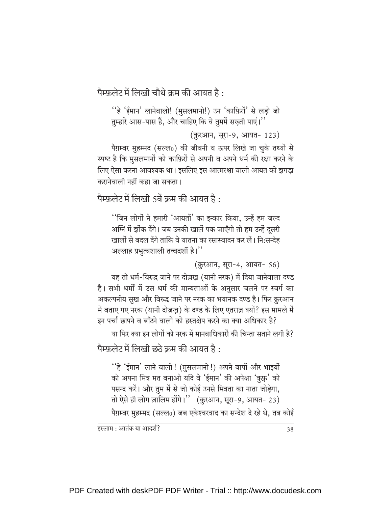पैम्फ़लेट में लिखी चौथे क्रम की आयत है :

''हे 'ईमान' लानेवालो! (मुसलमानो!) उन 'काफ़िरों' से लड़ो जो तुम्हारे आस-पास हैं, और चाहिए कि वे तुममें सख़्ती पाएं।''

(क़ुरआन, सूरा-9, आयत- 123)

पैग़म्बर मुहम्मद (सल्ल0) की जीवनी व ऊपर लिखे जा चुके तथ्यों से स्पष्ट है कि मुसलमानों को काफ़िरों से अपनी व अपने धर्म की रक्षा करने के लिए ऐसा करना आवश्यक था। इसलिए इस आत्मरक्षा वाली आयत को झगडा करानेवाली नहीं कहा जा सकता।

पैम्फलेट में लिखी 5वें कम की आयत है :

''जिन लोगों ने हमारी 'आयतों' का इन्कार किया. उन्हें हम जल्द अग्नि में झोंक देंगे। जब उनकी खालें पक जाएँगी तो हम उन्हें दूसरी खालों से बदल देंगे ताकि वे यातना का रसास्वादन कर लें। नि:सन्देह अल्लाह प्रभुत्वशाली तत्त्वदर्शी है।''

(क़ुरआन, सूरा-4, आयत- 56)

यह तो धर्म-विरुद्ध जाने पर दोज़ख़ (यानी नरक) में दिया जानेवाला दण्ड है। सभी धर्मों में उस धर्म की मान्यताओं के अनुसार चलने पर स्वर्ग का अकल्पनीय सुख और विरुद्ध जाने पर नरक का भयानक दण्ड है। फिर क़ुरआन में बताए गए नरक (यानी दोज़ख) के दण्ड के लिए एतराज़ क्यों? इस मामले में इन पर्चा छापने व बाँटने वालों को हस्तक्षेप करने का क्या अधिकार है?

या फिर क्या इन लोगों को नरक में मानवाधिकारों की चिन्ता सताने लगी है?

पैम्फलेट में लिखी छठे क्रम की आयत है :

''हे 'ईमान' लाने वालो! (मुसलमानो!) अपने बापों और भाइयों को अपना मित्र मत बनाओ यदि वे 'ईमान' की अपेक्षा 'कुफ़्र' को पसन्द करें। और तुम में से जो कोई उनसे मित्रता का नाता जोड़ेगा, तो ऐसे ही लोग ज़ालिम होंगे।" (क़ुरआन, सूरा-9, आयत- 23)

पैग़म्बर मुहम्मद (सल्ल0) जब एकेश्वरवाद का सन्देश दे रहे थे, तब कोई

इस्लाम : आतंक या आदर्श?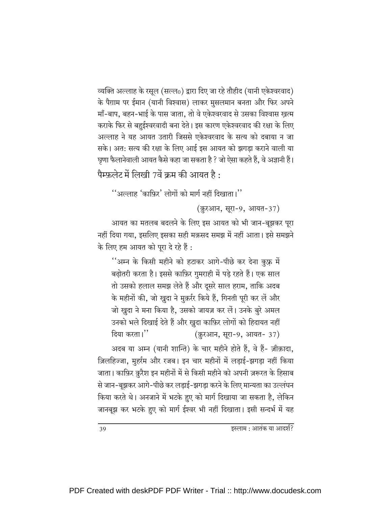व्यक्ति अल्लाह के रसूल (सल्ल0) द्वारा दिए जा रहे तौहीद (यानी एकेश्वरवाद) के पैग़ाम पर ईमान (यानी विश्वास) लाकर मुसलमान बनता और फिर अपने माँ-बाप, बहन-भाई के पास जाता, तो वे एकेश्वरवाद से उसका विश्वास खत्म कराके फिर से बहुईश्वरवादी बना देते। इस कारण एकेश्वरवाद की रक्षा के लिए अल्लाह ने यह आयत उतारी जिससे एकेश्वरवाद के सत्य को दबाया न जा सके। अत: सत्य की रक्षा के लिए आई इस आयत को झगड़ा कराने वाली या घृणा फैलानेवाली आयत कैसे कहा जा सकता है ? जो ऐसा कहते हैं, वे अज्ञानी हैं। पैम्फ़लेट में लिखी 7वें क्रम की आयत है:

 $``$ अल्लाह 'काफ़िर' लोगों को मार्ग नहीं दिखाता।''

(क़ुरआन, सूरा-9, आयत-37)

आयत का मतलब बदलने के लिए इस आयत को भी जान-बूझकर पूरा नहीं दिया गया, इसलिए इसका सही मक़सद समझ में नहीं आता। इसे समझने के लिए हम आयत को पूरा दे रहे हैं :

''अम्न के किसी महीने को हटाकर आगे-पीछे कर देना कुफ्र में बढ़ोतरी करता है। इससे काफ़िर गुमराही में पड़े रहते हैं। एक साल तो उसको हलाल समझ लेते हैं और दूसरे साल हराम, ताकि अदब के महीनों की, जो ख़ुदा ने मुक़र्रर किये हैं, गिनती पूरी कर लें और जो खुदा ने मना किया है, उसको जायज़ कर लें। उनके बुरे अमल उनको भले दिखाई देते हैं और ख़ुदा काफ़िर लोगों को हिदायत नहीं दिया करता।'' (क़ुरआन, सूरा-9, आयत- 37)

अदब या अम्न (यानी शान्ति) के चार महीने होते हैं, वे हैं- ज़ीक़ादा, ज़िलहिज्जा, मुहर्रम और रजब। इन चार महीनों में लड़ाई-झगड़ा नहीं किया जाता। काफ़िर क़ुरैश इन महीनों में से किसी महीने को अपनी ज़रूरत के हिसाब से जान-बूझकर आगे-पीछे कर लड़ाई-झगड़ा करने के लिए मान्यता का उल्लंघन किया करते थे। अनजाने में भटके हुए को मार्ग दिखाया जा सकता है, लेकिन जानबूझ कर भटके हुए को मार्ग ईश्वर भी नहीं दिखाता। इसी सन्दर्भ में यह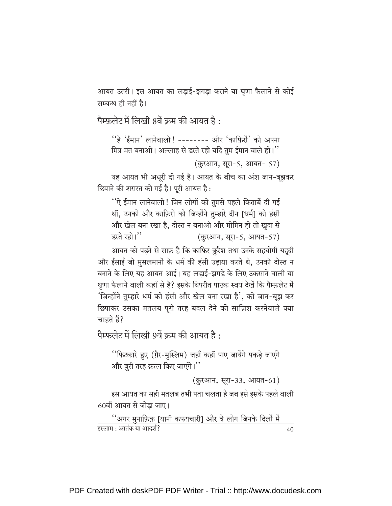आयत उतरी। इस आयत का लड़ाई-झगड़ा कराने या घृणा फैलाने से कोई सम्बन्ध ही नहीं है।

पैम्फ़लेट में लिखी 8वें क्रम की आयत है :

''हे 'ईमान' लानेवालो ! ------- और 'काफ़िरों' को अपना मित्र मत बनाओ। अल्लाह से डरते रहो यदि तुम ईमान वाले हो।"

(क़ुरआन, सूरा-5, आयत- 57)

यह आयत भी अधूरी दी गई है। आयत के बीच का अंश जान-बूझकर छिपाने की शरारत की गई है। पूरी आयत है:

''ऐ ईमान लानेवालो ! जिन लोगों को तुमसे पहले किताबें दी गई थीं, उनको और काफ़िरों को जिन्होंने तुम्हारे दीन [धर्म] को हंसी और खेल बना रखा है, दोस्त न बनाओ और मोमिन हो तो खुदा से डरते रहो।'' (क़ुरआन, सूरा-5, आयत-57)

आयत को पढ़ने से साफ़ है कि काफ़िर क़ुरैश तथा उनके सहयोगी यहूदी और ईसाई जो मुसलमानों के धर्म की हंसी उड़ाया करते थे, उनको दोस्त न बनाने के लिए यह आयत आई। यह लड़ाई-झगड़े के लिए उकसाने वाली या घृणा फैलाने वाली कहाँ से है? इसके विपरीत पाठक स्वयं देखें कि पैम्फ़लेट में 'जिन्होंने तुम्हारे धर्म को हंसी और खेल बना रखा है', को जान-बूझ कर छिपाकर उसका मतलब पूरी तरह बदल देने की साज़िश करनेवाले क्या चाहते हैं?

पैम्फलेट में लिखी 9वें क्रम की आयत है :

''फिटकारे हुए (ग़ैर-मुस्लिम) जहाँ कहीं पाए जायेंगे पकड़े जाएंगे और बुरी तरह क़त्ल किए जाएंगे।''

(क़ुरआन, सूरा-33, आयत-61)

इस आयत का सही मतलब तभी पता चलता है जब इसे इसके पहले वाली 60वीं आयत से जोड़ा जाए।

<u>''अगर मुनाफ़िक़ [यानी कपटाचारी] और वे लोग जिनके दिलों में </u> इस्लाम : आतंक या आदर्श? 40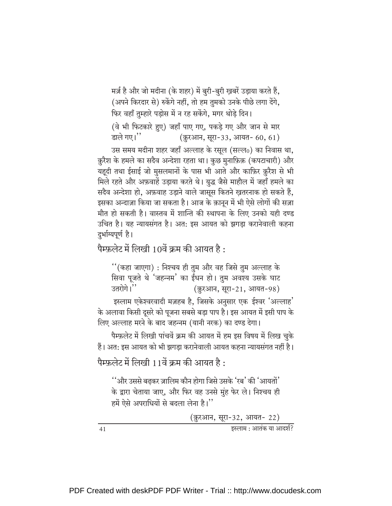मर्ज़ है और जो मदीना (के शहर) में बुरी-बुरी ख़बरें उड़ाया करते हैं, (अपने किरदार से) रुकेंगे नहीं, तो हम तुमको उनके पीछे लगा देंगे, फिर वहाँ तुम्हारे पड़ोस में न रह सकेंगे, मगर थोड़े दिन।

(वे भी फिटकारे हुए) जहाँ पाए गए, पकड़े गए और जान से मार डाले गए।'' (क़ुरआन, सूरा-33, आयत- 60, 61)

उस समय मदीना शहर जहाँ अल्लाह के रसूल (सल्ल0) का निवास था, क़ुरैश के हमले का सदैव अन्देशा रहता था। कुछ मुनाफ़िक़ (कपटाचारी) और यहूदी तथा ईसाई जो मुसलमानों के पास भी आते और काफ़िर क़ुरैश से भी मिले रहते और अफ़वाहें उड़ाया करते थे। युद्ध जैसे माहौल में जहाँ हमले का सदैव अन्देशा हो, अफ़वाह उड़ाने वाले जासूस कितने ख़तरनाक हो सकते हैं, इसका अन्दाज़ा किया जा सकता है। आज के क़ानून में भी ऐसे लोगों की सज़ा मौत हो सकती है। वास्तव में शान्ति की स्थापना के लिए उनको यही दण्ड उचित है। यह न्यायसंगत है। अत: इस आयत को झगड़ा करानेवाली कहना दुर्भाग्यपूर्ण है।

पैम्फ़लेट में लिखी 10वें क्रम की आयत है:

''(कहा जाएगा) : निश्चय ही तुम और वह जिसे तुम अल्लाह के सिवा पूजते थे 'जहन्नम' का ईंधन हो। तुम अवश्य उसके घाट उतरोगे।'' (क़ुरआन, सुरा-21, आयत-98)

इस्लाम एकेश्वरवादी मज़हब है, जिसके अनुसार एक ईश्वर 'अल्लाह' के अलावा किसी दूसरे को पूजना सबसे बड़ा पाप है। इस आयत में इसी पाप के लिए अल्लाह मरने के बाद जहन्नम (यानी नरक) का दण्ड देगा।

पैम्फ़लेट में लिखी पांचवें क्रम की आयत में हम इस विषय में लिख चुके हैं। अत: इस आयत को भी झगड़ा करानेवाली आयत कहना न्यायसंगत नहीं है।

पैम्फ़लेट में लिखी 11वें क्रम की आयत है:

''और उससे बढकर ज़ालिम कौन होगा जिसे उसके 'रब' की 'आयतों' के द्वारा चेताया जाए, और फिर वह उनसे मुंह फेर ले। निश्चय ही हमें ऐसे अपराधियों से बदला लेना है।''

(क़ूरआन, सूरा-32, आयत- 22)

 $41$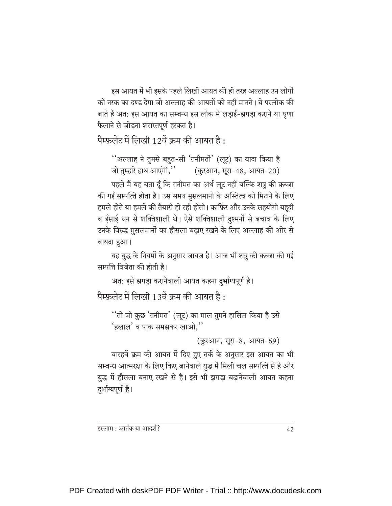इस आयत में भी इसके पहले लिखी आयत की ही तरह अल्लाह उन लोगों को नरक का दण्ड देगा जो अल्लाह की आयतों को नहीं मानते। ये परलोक की बातें हैं अत: इस आयत का सम्बन्ध इस लोक में लड़ाई-झगड़ा कराने या घृणा फैलाने से जोड़ना शरारतपूर्ण हरकत है।

पैम्फ़लेट में लिखी 12वें क्रम की आयत है:

''अल्लाह ने तुमसे बहुत-सी 'ग़नीमतों' (लूट) का वादा किया है जो तुम्हारे हाथ आएंगी," (क़ुरआन, सूरा-48, आयत-20)

पहले मैं यह बता दूँ कि ग़नीमत का अर्थ लूट नहीं बल्कि शत्रु की क़ब्ज़ा की गई सम्पत्ति होता है। उस समय मुसलमानों के अस्तित्व को मिटाने के लिए हमले होते या हमले की तैयारी हो रही होती। काफ़िर और उनके सहयोगी यहूदी व ईसाई धन से शक्तिशाली थे। ऐसे शक्तिशाली दुश्मनों से बचाव के लिए उनके विरुद्ध मुसलमानों का हौसला बढ़ाए रखने के लिए अल्लाह की ओर से वायदा हुआ।

यह युद्ध के नियमों के अनुसार जायज़ है। आज भी शत्रु की क़ब्ज़ा की गई सम्पत्ति विजेता की होती है।

अत: इसे झगड़ा करानेवाली आयत कहना दुर्भाग्यपूर्ण है।

पैम्फ़लेट में लिखी 13वें क्रम की आयत है:

''तो जो कुछ 'ग़नीमत' (लूट) का माल तुमने हासिल किया है उसे 'हलाल' व पाक समझकर खाओ,''

(क़ुरआन, सूरा-8, आयत-69)

बारहवें क्रम की आयत में दिए हुए तर्क के अनुसार इस आयत का भी सम्बन्ध आत्मरक्षा के लिए किए जानेवाले युद्ध में मिली चल सम्पत्ति से है और युद्ध में हौसला बनाए रखने से है। इसे भी झगड़ा बढ़ानेवाली आयत कहना दुर्भाग्यपूर्ण है।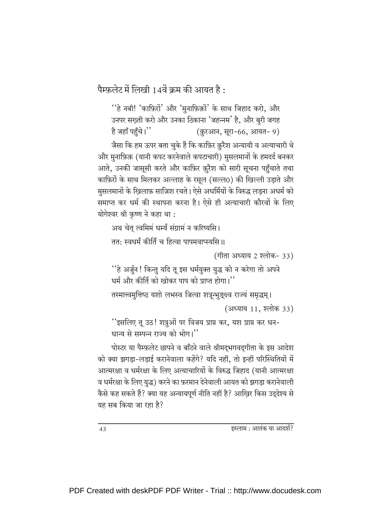पैम्फ़लेट में लिखी 14वें क्रम की आयत है:

''हे नबी! 'काफ़िरों' और 'मुनाफ़िक़ों' के साथ जिहाद करो, और उनपर सख़्ती करो और उनका ठिकाना 'जहन्नम' है, और बुरी जगह है जहाँ पहुँचे।'' (क़ुरआन, सूरा-66, आयत- 9)

जैसा कि हम ऊपर बता चुके हैं कि काफ़िर क़ुरैश अन्यायी व अत्याचारी थे और मुनाफ़िक़ (यानी कपट करनेवाले कपटाचारी) मुसलमानों के हमदर्द बनकर आते, उनकी जासूसी करते और काफ़िर क़ूरैश को सारी सूचना पहुँचाते तथा काफ़िरों के साथ मिलकर अल्लाह के रसुल (सल्ल0) की खिल्ली उडाते और मुसलमानों के खिलाफ़ साज़िश रचते। ऐसे अधर्मियों के विरुद्ध लडना अधर्म को समाप्त कर धर्म की स्थापना करना है। ऐसे ही अत्याचारी कौरवों के लिए योगेश्वर श्री कृष्ण ने कहा था :

अथ चेतु त्वमिमं धर्म्यं संग्रामं न करिष्यसि।

तत: स्वधर्मं कीर्तिं च हित्वा पापमवाप्स्यसि ॥

(गीता अध्याय 2 श्लोक- 33)

''हे अर्जुन ! किन्तु यदि तू इस धर्मयुक्त युद्ध को न करेगा तो अपने धर्म और कीर्ति को खोकर पाप को प्राप्त होगा।''

तस्मात्त्वमुत्तिष्ठ यशो लभस्व जित्वा शत्रून्भुङ्क्ष्व राज्यं समृद्धम् । (अध्याय 11, श्लोक 33)

''इसलिए तू उठ! शत्रुओं पर विजय प्राप्त कर, यश प्राप्त कर धन-धान्य से सम्पन्न राज्य को भोग।"

पोस्टर या पैम्फ़लेट छापने व बाँटने वाले श्रीमद्भगवद्गीता के इस आदेश को क्या झगडा-लडाई करानेवाला कहेंगे? यदि नहीं, तो इन्हीं परिस्थितियों में आत्मरक्षा व धर्मरक्षा के लिए अत्याचारियों के विरुद्ध जिहाद (यानी आत्मरक्षा व धर्मरक्षा के लिए युद्ध) करने का फ़रमान देनेवाली आयत को झगड़ा करानेवाली कैसे कह सकते हैं? क्या यह अन्यायपूर्ण नीति नहीं है? आखि़र किस उद्देश्य से यह सब किया जा रहा है?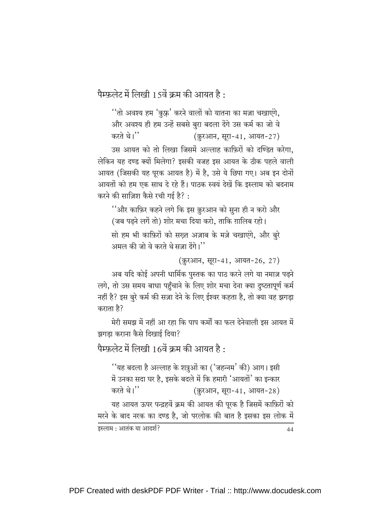पैम्फ़लेट में लिखी 15वें क्रम की आयत है:

''तो अवश्य हम 'कुफ्र' करने वालों को यातना का मज़ा चखाएंगे, और अवश्य ही हम उन्हें सबसे बुरा बदला देंगे उस कर्म का जो वे करते थे।'' (क़ुरआन, सूरा-41, आयत-27)

उस आयत को तो लिखा जिसमें अल्लाह काफ़िरों को दण्डित करेगा. लेकिन यह दण्ड क्यों मिलेगा? इसकी वजह इस आयत के ठीक पहले वाली आयत (जिसकी यह पूरक आयत है) में है, उसे ये छिपा गए। अब इन दोनों आयतों को हम एक साथ दे रहे हैं। पाठक स्वयं देखें कि इस्लाम को बदनाम करने की साज़िश कैसे रची गई है?:

''और काफ़िर कहने लगे कि इस क़ुरआन को सुना ही न करो और (जब पढ़ने लगें तो) शोर मचा दिया करो, ताकि ग़ालिब रहो। सो हम भी काफ़िरों को सख्त अज़ाब के मज़े चखाएंगे, और बूरे अमल की जो वे करते थे सजा देंगे।''

(क़ुरआन, सूरा-41, आयत-26, 27)

अब यदि कोई अपनी धार्मिक पुस्तक का पाठ करने लगे या नमाज़ पढ़ने लगे, तो उस समय बाधा पहुँचाने के लिए शोर मचा देना क्या दुष्टतापूर्ण कर्म नहीं है? इस बुरे कर्म की सज़ा देने के लिए ईश्वर कहता है, तो क्या वह झगड़ा कराता है?

मेरी समझ में नहीं आ रहा कि पाप कर्मों का फल देनेवाली इस आयत में झगड़ा कराना कैसे दिखाई दिया?

पैम्फ़लेट में लिखी 16वें क्रम की आयत है:

''यह बदला है अल्लाह के शत्रुओं का ('जहन्नम' की) आग। इसी में उनका सदा घर है, इसके बदले में कि हमारी 'आयतों' का इन्कार करते थे।'' (क़ुरआन, सूरा-41, आयत-28)

यह आयत ऊपर पन्द्रहवें क्रम की आयत की पूरक है जिसमें काफ़िरों को मरने के बाद नरक का दण्ड है, जो परलोक की बात है इसका इस लोक में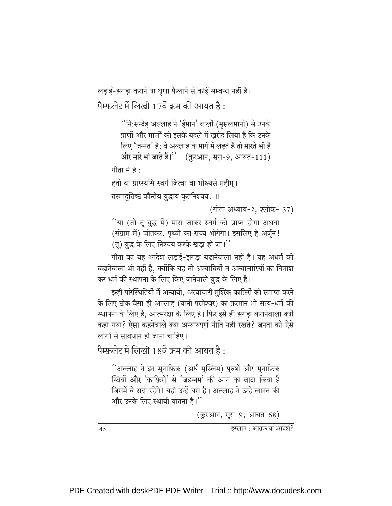लड़ाई-झगड़ा कराने या घृणा फैलाने से कोई सम्बन्ध नहीं है। पैम्फ़लेट में लिखी 17वें क्रम की आयत है:

> ''नि:सन्देह अल्लाह ने 'ईमान' वालों (मुसलमानों) से उनके प्राणों और मालों को इसके बदले में खरीद लिया है कि उनके लिए 'जन्नत' है: वे अल्लाह के मार्ग में लडते हैं तो मारते भी हैं और मारे भी जाते हैं।" (क़ुरआन, सुरा-9, आयत-111)

गीता में है $\cdot$ 

हतो वा प्राप्स्यसि स्वर्गं जित्वा वा भोक्ष्यसे महीम।

तस्मादुत्तिष्ठ कौन्तेय युद्धाय कृतनिश्चय: ॥

(गीता अध्याय-2, श्लोक- 37)

''या (तो तू युद्ध में) मारा जाकर स्वर्ग को प्राप्त होगा अथवा (संग्राम में) जीतकर, पृथ्वी का राज्य भोगेगा। इसलिए हे अर्जुन! (तू) युद्ध के लिए निश्चय करके खड़ा हो जा।"

गीता का यह आदेश लडाई-झगडा बढानेवाला नहीं है। यह अधर्म को बढानेवाला भी नहीं है. क्योंकि यह तो अन्यायियों व अत्याचारियों का विनाश कर धर्म की स्थापना के लिए किए जानेवाले युद्ध के लिए है।

इन्हीं परिस्थितियों में अन्यायी, अत्याचारी मुश्ख्कि काफ़िरों को समाप्त करने के लिए ठीक वैसा ही अल्लाह (यानी परमेश्वर) का फ़रमान भी सत्य-धर्म की स्थापना के लिए है. आत्मरक्षा के लिए है। फिर इसे ही झगडा करानेवाला क्यों कहा गया? ऐसा कहनेवाले क्या अन्यायपूर्ण नीति नहीं रखते? जनता को ऐसे लोगों से सावधान हो जाना चाहिए।

पैम्फ़लेट में लिखी 18वें क्रम की आयत है:

''अल्लाह ने इन मुनाफ़िक़ (अर्ध मुस्लिम) पुरुषों और मुनाफ़िक स्त्रियों और 'काफ़िरों' से 'जहन्नम' की आग का वादा किया है जिसमें वे सदा रहेंगे। यही उन्हें बस है। अल्लाह ने उन्हें लानत की और उनके लिए स्थायी यातना है।''

(क़ुरआन, सूरा-9, आयत-68)

इस्लाम : आतंक या आदर्श?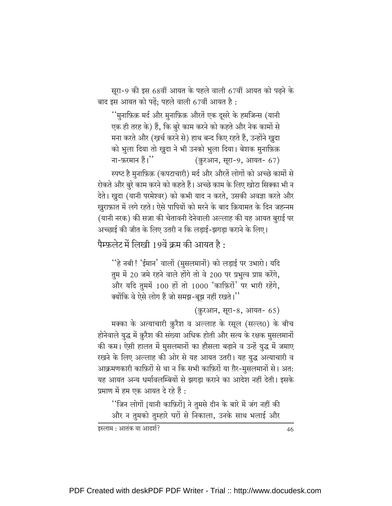सूरा-9 की इस 68वीं आयत के पहले वाली 67वीं आयत को पढ़ने के बाद इस आयत को पढ़ें; पहले वाली 67वीं आयत है:

''मुनाफ़िक़ मर्द और मुनाफ़िक़ औरतें एक दूसरे के हमजिन्स (यानी एक ही तरह के) हैं, कि बुरे काम करने को कहते और नेक कामों से मना करते और (खर्च करने से) हाथ बन्द किए रहते हैं, उन्होंने खुदा को भुला दिया तो खुदा ने भी उनको भुला दिया। बेशक मुनाफ़िक़ ना-फ़रमान हैं।'' (क़ुरआन, सूरा-9, आयत- 67)

स्पष्ट है मुनाफ़िक़ (कपटाचारी) मर्द और औरतें लोगों को अच्छे कामों से रोकते और बुरे काम करने को कहते हैं। अच्छे काम के लिए खोटा सिक्का भी न देते। ख़ुदा (यानी परमेश्वर) को कभी याद न करते, उसकी अवज्ञा करते और खुराफ़ात में लगे रहते। ऐसे पापियों को मरने के बाद क़ियामत के दिन जहन्नम (यानी नरक) की सज़ा की चेतावनी देनेवाली अल्लाह की यह आयत बुराई पर अच्छाई की जीत के लिए उतरी न कि लडाई-झगडा कराने के लिए।

पैम्फ़लेट में लिखी 19वें क्रम की आयत है:

''हे नबी ! 'ईमान' वालों (मुसलमानों) को लड़ाई पर उभारो। यदि तूम में 20 जमे रहने वाले होंगे तो वे 200 पर प्रभुत्व प्राप्त करेंगे, और यदि तुममें 100 हों तो 1000 'काफ़िरों' पर भारी रहेंगे, क्योंकि वे ऐसे लोग हैं जो समझ-बूझ नहीं रखते।"

(क़ुरआन, सूरा-8, आयत- 65)

मक्का के अत्याचारी क़ुरैश व अल्लाह के रसूल (सल्ल0) के बीच होनेवाले युद्ध में क़ुरैश की संख्या अधिक होती और सत्य के रक्षक मुसलमानों की कम। ऐसी हालत में मुसलमानों का हौसला बढ़ाने व उन्हें युद्ध में जमाए रखने के लिए अल्लाह की ओर से यह आयत उतरी। यह युद्ध अत्याचारी व आक्रमणकारी काफ़िरों से था न कि सभी काफ़िरों या ग़ैर-मुसलमानों से। अत: यह आयत अन्य धर्मावलम्बियों से झगडा कराने का आदेश नहीं देती। इसके प्रमाण में हम एक आयत दे रहे हैं :

''जिन लोगों [यानी काफ़िरों] ने तुमसे दीन के बारे में जंग नहीं की और न तुमको तुम्हारे घरों से निकाला, उनके साथ भलाई और

इस्लाम : आतंक या आदर्श?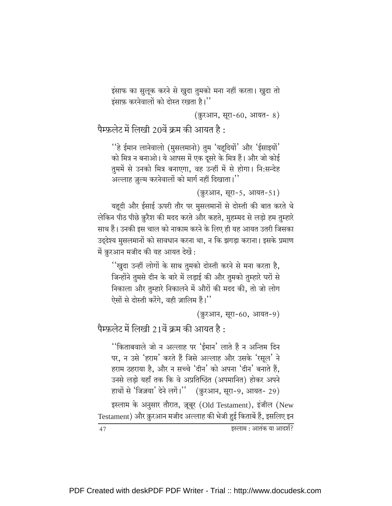इंसाफ का सुलूक करने से खुदा तुमको मना नहीं करता। खुदा तो इंसाफ़ करनेवालों को दोस्त रखता है।"

(क़ुरआन, सूरा-60, आयत- 8)

पैम्फ़लेट में लिखी 20वें क्रम की आयत है:

''हे ईमान लानेवालो (मुसलमानो) तुम 'यहुदियों' और 'ईसाइयों' को मित्र न बनाओ। ये आपस में एक दूसरे के मित्र हैं। और जो कोई तुममें से उनको मित्र बनाएगा, वह उन्हीं में से होगा। नि:सन्देह अल्लाह ज़ुल्म करनेवालों को मार्ग नहीं दिखाता।''

(क़ुरआन, सूरा-5, आयत-51)

यहूदी और ईसाई ऊपरी तौर पर मुसलमानों से दोस्ती की बात करते थे लेकिन पीठ पीछे क़ुरैश की मदद करते और कहते, मुहम्मद से लड़ो हम तुम्हारे साथ हैं। उनकी इस चाल को नाकाम करने के लिए ही यह आयत उतरी जिसका उदुदेश्य मुसलमानों को सावधान करना था, न कि झगड़ा कराना। इसके प्रमाण में क़ुरआन मजीद की यह आयत देखें:

''ख़ुदा उन्हीं लोगों के साथ तुमको दोस्ती करने से मना करता है, जिन्होंने तुमसे दीन के बारे में लड़ाई की और तुमको तुम्हारे घरों से निकाला और तुम्हारे निकालने में औरों की मदद की, तो जो लोग ऐसों से दोस्ती करेंगे, वही ज़ालिम हैं।''

(क़ुरआन, सुरा-60, आयत-9)

पैम्फ़लेट में लिखी 21वें क्रम की आयत है:

''किताबवाले जो न अल्लाह पर 'ईमान' लाते हैं न अन्तिम दिन पर, न उसे 'हराम' करते हैं जिसे अल्लाह और उसके 'रसुल' ने हराम ठहराया है, और न सच्चे 'दीन' को अपना 'दीन' बनाते हैं, उनसे लडो यहाँ तक कि वे अप्रतिष्ठित (अपमानित) होकर अपने हाथों से 'जिज़या' देने लगें।'' (क़ुरआन, सूरा-9, आयत- 29)

इस्लाम के अनुसार तौरात, ज़ूबूर (Old Testament), इंजील (New Testament) और क़ुरआन मजीद अल्लाह की भेजी हुई किताबें हैं, इसलिए इन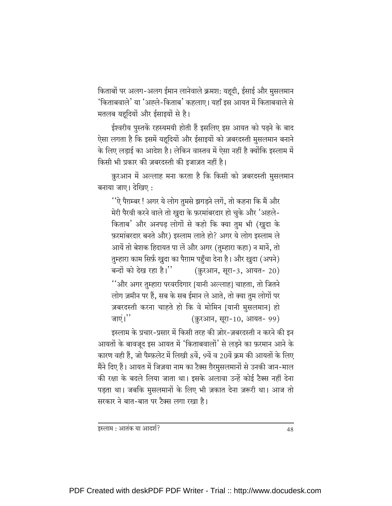किताबों पर अलग-अलग ईमान लानेवाले क्रमश: यहूदी, ईसाई और मुसलमान 'किताबवाले' या 'अह्ले-किताब' कहलाए। यहाँ इस आयत में किताबवाले से मतलब यहूदियों और ईसाइयों से है।

ईश्वरीय पुस्तकें रहस्यमयी होती हैं इसलिए इस आयत को पढ़ने के बाद ऐसा लगता है कि इसमें यहूदियों और ईसाइयों को ज़बरदस्ती मुसलमान बनाने के लिए लड़ाई का आदेश है। लेकिन वास्तव में ऐसा नहीं है क्योंकि इस्लाम में किसी भी प्रकार की ज़बरदस्ती की इजाज़त नहीं है।

क़ुरआन में अल्लाह मना करता है कि किसी को ज़बरदस्ती मुसलमान बनाया जाए। देखिए :

''ऐ पैग़म्बर ! अगर ये लोग तुमसे झगडने लगें, तो कहना कि मैं और मेरी पैरवी करने वाले तो खुदा के फ़रमांबरदार हो चुके और 'अहले-किताब' और अनपढ़ लोगों से कहो कि क्या तुम भी (खुदा के फ़रमांबरदार बनते और) इस्लाम लाते हो? अगर ये लोग इस्लाम ले आयें तो बेशक हिदायत पा लें और अगर (तुम्हारा कहा) न मानें, तो तुम्हारा काम सिर्फ़ खुदा का पैग़ाम पहुँचा देना है। और ख़ुदा (अपने) बन्दों को देख रहा है।" (क़ुरआन, सुरा-3, आयत- 20) ''और अगर तुम्हारा परवरदिगार [यानी अल्लाह] चाहता, तो जितने लोग ज़मीन पर हैं, सब के सब ईमान ले आते, तो क्या तुम लोगों पर ज़बरदस्ती करना चाहते हो कि वे मोमिन [यानी मुसलमान] हो जाएं। $"$ (क़ुरआन, सूरा-10, आयत- 99)

इस्लाम के प्रचार-प्रसार में किसी तरह की ज़ोर-ज़बरदस्ती न करने की इन आयतों के बावजूद इस आयत में 'किताबवालों' से लड़ने का फ़रमान आने के कारण वही हैं, जो पैम्फ़लेट में लिखी 8वें, 9वें व 20वें क्रम की आयतों के लिए मैंने दिए हैं। आयत में जिज़या नाम का टैक्स ग़ैरमुसलमानों से उनकी जान-माल की रक्षा के बदले लिया जाता था। इसके अलावा उन्हें कोई टैक्स नहीं देना पड़ता था। जबकि मुसलमानों के लिए भी ज़कात देना ज़रूरी था। आज तो सरकार ने बात-बात पर टैक्स लगा रखा है।

इस्लाम : आतंक या आदर्श?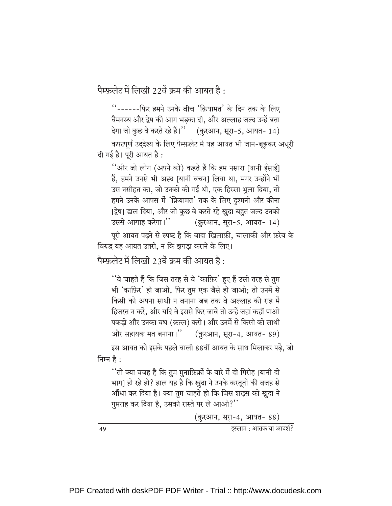पैम्फ़लेट में लिखी 22वें क्रम की आयत है:

''------फिर हमने उनके बीच 'क़ियामत' के दिन तक के लिए वैमनस्य और द्वेष की आग भडका दी. और अल्लाह जल्द उन्हें बता देगा जो कुछ वे करते रहे हैं।'' (क़ुरआन, सूरा-5, आयत- 14) कपटपूर्ण उद्देश्य के लिए पैम्फ़लेट में यह आयत भी जान-बूझकर अधुरी दी गई है। पूरी आयत है:

''और जो लोग (अपने को) कहते हैं कि हम नसारा |यानी ईसाई] हैं, हमने उनसे भी अह्द [यानी वचन] लिया था, मगर उन्होंने भी उस नसीहत का, जो उनको की गई थी, एक हिस्सा भुला दिया, तो हमने उनके आपस में 'क़ियामत' तक के लिए दुश्मनी और कीना [द्वेष] डाल दिया, और जो कुछ वे करते रहे खुदा बहुत जल्द उनको उससे आगाह करेगा।'' (क़ुरआन, सूरा-5, आयत- 14)

पूरी आयत पढने से स्पष्ट है कि वादा खिलाफ़ी, चालाकी और फ़रेब के विरुद्ध यह आयत उतरी. न कि झगडा कराने के लिए।

पैम्फ़लेट में लिखी 23वें क्रम की आयत है:

''वे चाहते हैं कि जिस तरह से वे 'काफ़िर' हुए हैं उसी तरह से तुम भी 'काफ़िर' हो जाओ, फिर तुम एक जैसे हो जाओ; तो उनमें से किसी को अपना साथी न बनाना जब तक वे अल्लाह की राह में हिजरत न करें. और यदि वे इससे फिर जावें तो उन्हें जहां कहीं पाओ पकड़ो और उनका वध (क़त्ल) करो। और उनमें से किसी को साथी और सहायक मत बनाना।" (क़ुरआन, सूरा-4, आयत- 89)

इस आयत को इसके पहले वाली 88वीं आयत के साथ मिलाकर पढ़ें, जो निम्न है:

''तो क्या वजह है कि तुम मुनाफ़िक़ों के बारे में दो गिरोह [यानी दो भाग] हो रहे हो? हाल यह है कि खुदा ने उनके करतूतों की वजह से औंधा कर दिया है। क्या तुम चाहते हो कि जिस शख़्स को ख़ुदा ने गुमराह कर दिया है, उसको रास्ते पर ले आओ?"

(क़ुरआन, सूरा-4, आयत- 88)

इस्लाम : आतंक या आदर्श?

49

PDF Created with deskPDF PDF Writer - Trial :: http://www.docudesk.com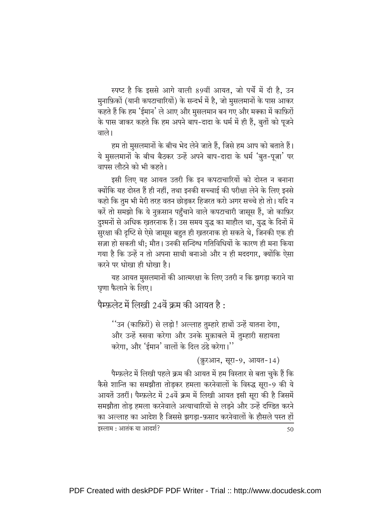स्पष्ट है कि इससे आगे वाली 89वीं आयत, जो पर्चे में दी है, उन मुनाफ़िकों (यानी कपटाचारियों) के सन्दर्भ में है, जो मुसलमानों के पास आकर कहते हैं कि हम 'ईमान' ले आए और मुसलमान बन गए और मक्का में काफ़िरों के पास जाकर कहते कि हम अपने बाप-दादा के धर्म में ही हैं, बुतों को पूजने वाले।

हम तो मुसलमानों के बीच भेद लेने जाते हैं, जिसे हम आप को बताते हैं। ये मुसलमानों के बीच बैठकर उन्हें अपने बाप-दादा के धर्म 'बृत-पूजा' पर वापस लौटने को भी कहते।

इसी लिए यह आयत उतरी कि इन कपटाचारियों को दोस्त न बनाना क्योंकि यह दोस्त हैं ही नहीं, तथा इनकी सच्चाई की परीक्षा लेने के लिए इनसे कहो कि तुम भी मेरी तरह वतन छोड़कर हिजरत करो अगर सच्चे हो तो। यदि न करें तो समझो कि ये नुक़सान पहुँचाने वाले कपटाचारी जासूस हैं, जो काफ़िर दुश्मनों से अधिक ख़तरनाक हैं। उस समय युद्ध का माहौल था, युद्ध के दिनों में सुरक्षा की दृष्टि से ऐसे जासूस बहुत ही खतरनाक हो सकते थे, जिनकी एक ही सज़ा हो सकती थी: मौत। उनकी सन्दिग्ध गतिविधियों के कारण ही मना किया गया है कि उन्हें न तो अपना साथी बनाओ और न ही मददगार. क्योंकि ऐसा करने पर धोखा ही धोखा है।

यह आयत मुसलमानों की आत्मरक्षा के लिए उतरी न कि झगड़ा कराने या घृणा फैलाने के लिए।

पैम्फ़लेट में लिखी 24वें क्रम की आयत है:

''उन (काफ़िरों) से लड़ो ! अल्लाह तुम्हारे हाथों उन्हें यातना देगा, और उन्हें रुसवा करेगा और उनके मुक़ाबले में तुम्हारी सहायता करेगा. और 'ईमान' वालों के दिल ठंडे करेगा।''

(क़ुरआन, सूरा-9, आयत-14)

पैम्फ़लेट में लिखी पहले क्रम की आयत में हम विस्तार से बता चुके हैं कि कैसे शान्ति का समझौता तोडकर हमला करनेवालों के विरुद्ध सूरा-9 की ये आयतें उतरीं। पैम्फ़लेट में 24वें क्रम में लिखी आयत इसी सूरा की है जिसमें समझौता तोड हमला करनेवाले अत्याचारियों से लडने और उन्हें दण्डित करने का अल्लाह का आदेश है जिससे झगड़ा-फ़साद करनेवालों के हौसले पस्त हों

इस्लाम : आतंक या आदर्श?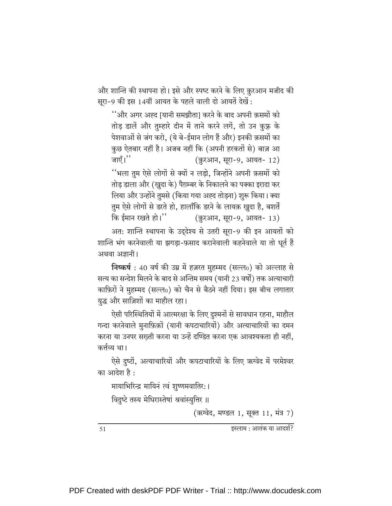और शान्ति की स्थापना हो। इसे और स्पष्ट करने के लिए क़ुरआन मजीद की सूरा-9 की इस 14वीं आयत के पहले वाली दो आयतें देखें:

''और अगर अह्द [यानी समझौता] करने के बाद अपनी क़समों को तोड़ डालें और तुम्हारे दीन में ताने करने लगें, तो उन कुफ्न के पेशवाओं से जंग करो, (ये बे-ईमान लोग हैं और) इनकी क़समों का कुछ ऐतबार नहीं है। अजब नहीं कि (अपनी हरकतों से) बाज़ आ जाएँ। $"$ (क़ुरआन, सूरा-9, आयत- 12) ''भला तुम ऐसे लोगों से क्यों न लड़ो, जिन्होंने अपनी क़समों को तोड़ डाला और (ख़ुदा के) पैग़म्बर के निकालने का पक्का इरादा कर लिया और उन्होंने तुमसे (किया गया अह्द तोड़ना) शुरू किया। क्या तुम ऐसे लोगों से डरते हो, हालाँकि डरने के लायक़ खुदा है, बशर्ते कि ईमान रखते हो।'' (क़ुरआन, सूरा-9, आयत- 13)

अत: शान्ति स्थापना के उद्देश्य से उतरी सूरा-9 की इन आयतों को शान्ति भंग करनेवाली या झगड़ा-फ़साद करानेवाली कहनेवाले या तो धूर्त हैं अथवा अज्ञानी।

निष्कर्ष : 40 वर्ष की उम्र में हज़रत मुहम्मद (सल्ल0) को अल्लाह से सत्य का सन्देश मिलने के बाद से अन्तिम समय (यानी 23 वर्षों) तक अत्याचारी काफ़िरों ने मुहम्मद (सल्ल0) को चैन से बैठने नहीं दिया। इस बीच लगातार युद्ध और साज़िशों का माहौल रहा।

ऐसी परिस्थितियों में आत्मरक्षा के लिए दुश्मनों से सावधान रहना, माहौल गन्दा करनेवाले मुनाफ़िक़ों (यानी कपटाचारियों) और अत्याचारियों का दमन करना या उनपर सख्ती करना या उन्हें दण्डित करना एक आवश्यकता ही नहीं, कर्त्तव्य था।

ऐसे दुष्टों, अत्याचारियों और कपटाचारियों के लिए ऋग्वेद में परमेश्वर का आदेश है :

मायाभिरिन्द्र मायिनं त्वं शुष्णमवातिर:।

विदुष्टे तस्य मेधिरास्तेषां श्रवांस्युत्तिर ॥

(ऋग्वेद, मण्डल 1, सूक्त 11, मंत्र 7)

51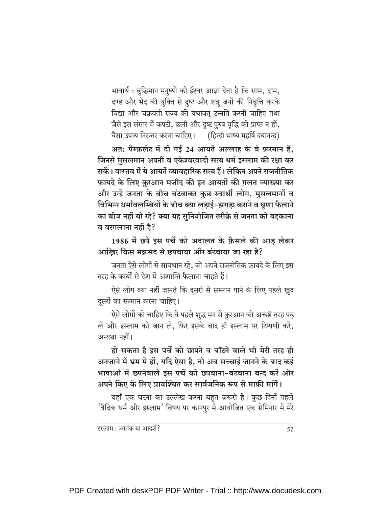भावार्थ: बुद्धिमान मनुष्यों को ईश्वर आज्ञा देता है कि साम, दाम, दण्ड और भेद की युक्ति से दुष्ट और शत्रु जनों की निवृत्ति करके विद्या और चक्रवती राज्य की यथावत् उन्नति करनी चाहिए तथा जैसे इस संसार में कपटी, छली और दुष्ट पुरुष वृद्धि को प्राप्त न हों, वैसा उपाय निरन्तर करना चाहिए। (हिन्दी भाष्य महर्षि दयानन्द)

अत: पैम्फ़लेट में दी गई 24 आयतें अल्लाह के वे फ़रमान हैं, जिनसे मुसलमान अपनी व एकेश्वरवादी सत्य धर्म इस्लाम की रक्षा कर सकें। वास्तव में ये आयतें व्यावहारिक सत्य हैं। लेकिन अपने राजनीतिक फ़ायदे के लिए क़ुरआन मजीद की इन आयतों की ग़लत व्याख्या कर और उन्हें जनता के बीच बंटवाकर कुछ स्वार्थी लोग, मुसलमानों व विभिन्न धर्मावलम्बियों के बीच क्या लड़ाई-झगड़ा कराने व घ्रणा फैलाने का बीज नहीं बो रहे? क्या यह सुनियोजित तरीक़े से जनता को बहकाना व वरगलाना नहीं है?

1986 में छपे इस पर्चे को अदालत के फ़ैसले की आड़ लेकर आखिर किस मक़सद से छपवाया और बंटवाया जा रहा है?

जनता ऐसे लोगों से सावधान रहे. जो अपने राजनीतिक फ़ायदे के लिए इस तरह के कार्यों से देश में अशान्ति फैलाना चाहते हैं।

ऐसे लोग क्या नहीं जानते कि दूसरों से सम्मान पाने के लिए पहले खुद दूसरों का सम्मान करना चाहिए।

ऐसे लोगों को चाहिए कि वे पहले शुद्ध मन से क़ुरआन को अच्छी तरह पढ़ लें और इस्लाम को जान लें, फिर इसके बाद ही इस्लाम पर टिप्पणी करें, अन्यथा नहीं।

हो सकता है इस पर्चे को छापने व बाँटने वाले भी मेरी तरह ही अनजाने में भ्रम में हों, यदि ऐसा है, तो अब सच्चाई जानने के बाद कई भाषाओं में छपनेवाले इस पर्चे को छपवाना-बंटवाना बन्द करें और अपने किए के लिए प्रायश्चित कर सार्वजनिक रूप से माफ़ी मांगें।

यहाँ एक घटना का उल्लेख करना बहुत ज़रूरी है। कुछ दिनों पहले 'वैदिक धर्म और इस्लाम' विषय पर कानपुर में आयोजित एक सेमिनार में मेरे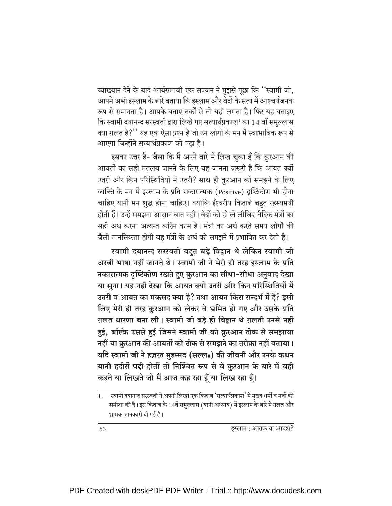व्याख्यान देने के बाद आर्यसमाजी एक सज्जन ने मुझसे पूछा कि ''स्वामी जी, आपने अभी इस्लाम के बारे बताया कि इस्लाम और वेदों के सत्य में आश्चर्यजनक रूप से समानता है। आपके बताए तर्कों से तो यही लगता है। फिर यह बताइए कि स्वामी दयानन्द सरस्वती द्वारा लिखे गए सत्यार्थप्रकाश<sup>1</sup> का 14 वाँ समुल्लास क्या ग़लत है?'' यह एक ऐसा प्रश्न है जो उन लोगों के मन में स्वाभाविक रूप से आएगा जिन्होंने सत्यार्थप्रकाश को पढा है।

इसका उत्तर है- जैसा कि मैं अपने बारे में लिख चुका हूँ कि क़ुरआन की आयतों का सही मतलब जानने के लिए यह जानना ज़रूरी है कि आयत क्यों उतरी और किन परिस्थितियों में उतरी? साथ ही क़ुरआन को समझने के लिए व्यक्ति के मन में इस्लाम के प्रति सकारात्मक (Positive) दृष्टिकोण भी होना चाहिए यानी मन शुद्ध होना चाहिए। क्योंकि ईश्वरीय किताबें बहुत रहस्यमयी होती हैं। उन्हें समझना आसान बात नहीं। वेदों को ही ले लीजिए वैदिक मंत्रों का सही अर्थ करना अत्यन्त कठिन काम है। मंत्रों का अर्थ करते समय लोगों की जैसी मानसिकता होगी वह मंत्रों के अर्थ को समझने में प्रभावित कर देती है।

स्वामी दयानन्द सरस्वती बहुत बड़े विद्वान थे लेकिन स्वामी जी अरबी भाषा नहीं जानते थे। स्वामी जी ने मेरी ही तरह इस्लाम के प्रति नकारात्मक दृष्टिकोण रखते हुए क़ुरआन का सीधा-सीधा अनुवाद देखा या सुना। यह नहीं देखा कि आयत क्यों उतरी और किन परिस्थितियों में उतरी व आयत का मक़सद क्या है? तथा आयत किस सन्दर्भ में है? इसी लिए मेरी ही तरह क़ुरआन को लेकर वे भ्रमित हो गए और उसके प्रति ग़लत धारणा बना ली। स्वामी जी बड़े ही विद्रान थे ग़लती उनसे नहीं हुई, बल्कि उससे हुई जिसने स्वामी जी को क़ुरआन ठीक से समझाया नहीं या क़ुरआन की आयतों को ठीक से समझने का तरीक़ा नहीं बताया। यदि स्वामी जी ने हज़रत मुहम्मद (सल्ल0) की जीवनी और उनके कथन यानी ह़दीसें पढ़ी होतीं तो निश्चित रूप से वे क़ुरआन के बारे में वही कहते या लिखते जो मैं आज कह रहा हूँ या लिख रहा हूँ।

<sup>्&</sup>lt;br>स्वामी दयानन्द सरस्वती ने अपनी लिखी एक किताब 'सत्यार्थप्रकाश' में मुख्य धर्मों व मतों की 1. समीक्षा की है। इस किताब के 14वें समुल्लास (यानी अध्याय) में इस्लाम के बारे में ग़लत और भ्रामक जानकारी दी गई है।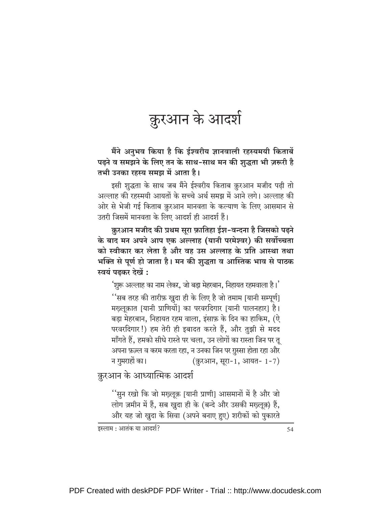## क़ुरआन के आदर्श

मैंने अनुभव किया है कि ईश्वरीय ज्ञानवाली रहस्यमयी किताबें पढने व समझने के लिए तन के साथ-साथ मन की श़ब्दता भी ज़रूरी है तभी उनका रहस्य समझ में आता है।

इसी शुद्धता के साथ जब मैंने ईश्वरीय किताब क़ुरआन मजीद पढ़ी तो अल्लाह की रहस्मयी आयतों के सच्चे अर्थ समझ में आने लगे। अल्लाह की ओर से भेजी गई किताब क़ुरआन मानवता के कल्याण के लिए आसमान से उतरी जिसमें मानवता के लिए आदर्श ही आदर्श हैं।

क़ुरआन मजीद की प्रथम सुरा फ़ातिहा ईश-वन्दना है जिसको पढ़ने के बाद मन अपने आप एक अल्लाह (यानी परमेश्वर) की सर्वोच्चता को स्वीकार कर लेता है और वह उस अल्लाह के प्रति आस्था तथा भक्ति से पूर्ण हो जाता है। मन की शुद्धता व आस्तिक भाव से पाठक स्वयं पढकर देखें :

'शुरू अल्लाह का नाम लेकर, जो बड़ा मेहरबान, निहायत रहमवाला है।' ''सब तरह की तारीफ़ ख़ुदा ही के लिए है जो तमाम [यानी सम्पूर्ण] मख्लुक़ात [यानी प्राणियों] का परवरदिगार [यानी पालनहार] है। बड़ा मेहरबान, निहायत रहम वाला, इंसाफ़ के दिन का हाकिम, (ऐ परवरदिगार!) हम तेरी ही इबादत करते हैं, और तुझी से मदद माँगते हैं, हमको सीधे रास्ते पर चला, उन लोगों का रास्ता जिन पर तू अपना फ़ज़्ल व करम करता रहा, न उनका जिन पर ग़ुस्सा होता रहा और न गुमराहों का। (क़ुरआन, सूरा-1, आयत- 1-7)

क़ुरआन के आध्यात्मिक आदर्श

''सुन रखो कि जो मख्लुक़ [यानी प्राणी] आसमानों में है और जो लोग ज़मीन में हैं, सब खुदा ही के (बन्दे और उसकी मख़्लूक़) हैं, और यह जो खुदा के सिवा (अपने बनाए हुए) शरीकों को पुकारते

इस्लाम : आतंक या आदर्श?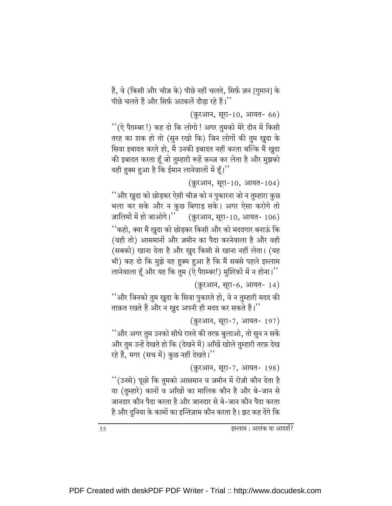हैं, वे (किसी और चीज़ के) पीछे नहीं चलते, सिर्फ़ ज़न [गुमान] के पीछे चलते हैं और सिर्फ़ अटकलें दौड़ा रहे हैं।''

(क़ुरआन, सूरा-10, आयत- 66)

''(ऐ पैग़म्बर !) कह दो कि लोगो ! अगर तुमको मेरे दीन में किसी तरह का शक हो तो (सुन रखो कि) जिन लोगों की तुम खुदा के सिवा इबादत करते हो, मैं उनकी इबादत नहीं करता बल्कि मैं ख़ुदा की इबादत करता हूँ जो तुम्हारी रूहें क़ब्ज़ कर लेता है और मुझको यही हुक्म हुआ है कि ईमान लानेवालों में हूँ।''

(क़ुरआन, सूरा-10, आयत-104)

''और खुदा को छोड़कर ऐसी चीज़ को न पुकारना जो न तुम्हारा कुछ भला कर सके और न कुछ बिगाड़ सके। अगर ऐसा करोगे तो ज़ालिमों में हो जाओगे।'' (क़ुरआन, सूरा-10, आयत- 106) ''कहो, क्या मैं खुदा को छोडकर किसी और को मददगार बनाऊं कि (वही तो) आसमानों और ज़मीन का पैदा करनेवाला है और वही (सबको) खाना देता है और खुद किसी से खाना नहीं लेता। (यह भी) कह दो कि मुझे यह हुक्म हुआ है कि मैं सबसे पहले इस्लाम लानेवाला हूँ और यह कि तुम (ऐ पैग़म्बर!) मुश्ख्कों में न होना।''

(क़ुरआन, सूरा-6, आयत- 14)

''और जिनको तुम ख़ुदा के सिवा पुकारते हो, वे न तुम्हारी मदद की ताक़त रखते हैं और न ख़ुद अपनी ही मदद कर सकते हैं।''

(क़ुरआन, सूरा-7, आयत- 197)

''और अगर तुम उनको सीधे रास्ते की तरफ़ बुलाओ, तो सुन न सकें और तुम उन्हें देखते हो कि (देखने में) आँखें खोले तुम्हारी तरफ़ देख रहे हैं, मगर (सच में) कुछ नहीं देखते।''

(क़ुरआन, सूरा-7, आयत- 198)

''(उनसे) पूछो कि तुमको आसमान व ज़मीन में रोज़ी कौन देता है या (तुम्हारे) कानों व आँखों का मालिक कौन है और बे-जान से जानदार कौन पैदा करता है और जानदार से बे-जान कौन पैदा करता है और दुनिया के कामों का इन्तिज़ाम कौन करता है। झट कह देंगे कि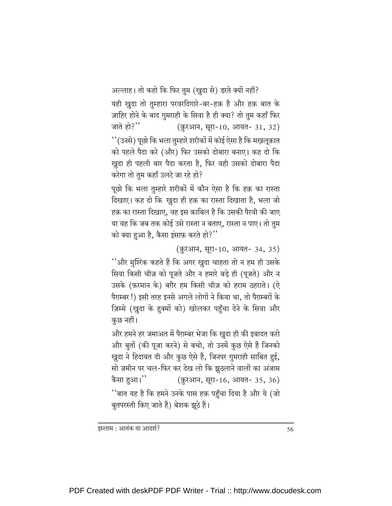अल्लाह। तो कहो कि फिर तुम (खुदा से) डरते क्यों नहीं? यही खुदा तो तुम्हारा परवरदिगारे-बर-हक़ है और हक़ बात के ज़ाहिर होने के बाद गुमराही के सिवा है ही क्या? तो तुम कहाँ फिर जाते हो? $"$ (क़ुरआन, सूरा-10, आयत- 31, 32) ''(उनसे) पूछो कि भला तुम्हारे शरीकों में कोई ऐसा है कि मखलुक़ात को पहले पैदा करे (और) फिर उसको दोबारा बनाए। कह दो कि ख़ुदा ही पहली बार पैदा करता है, फिर वही उसको दोबारा पैदा करेगा तो तुम कहाँ उलटे जा रहे हो?

पछो कि भला तुम्हारे शरीकों में कौन ऐसा है कि हक़ का रास्ता दिखाए। कह दो कि खुदा ही हक़ का रास्ता दिखाता है, भला जो हक़ का रास्ता दिखाए. वह इस क़ाबिल है कि उसकी पैरवी की जाए या वह कि जब तक कोई उसे रास्ता न बताए, रास्ता न पाए। तो तुम को क्या हुआ है, कैसा इंसाफ़ करते हो?"

(क़ुरआन, सूरा-10, आयत- 34, 35)

''और मुश्ख्कि कहते हैं कि अगर खुदा चाहता तो न हम ही उसके सिवा किसी चीज़ को पूजते और न हमारे बड़े ही (पूजते) और न उसके (फ़रमान के) बग़ैर हम किसी चीज़ को हराम ठहराते। (ऐ पैग़म्बर !) इसी तरह इनसे अगले लोगों ने किया था, तो पैग़म्बरों के ज़िम्मे (ख़ुदा के हुक्मों को) खोलकर पहुँचा देने के सिवा और कुछ नहीं।

और हमने हर जमाअत में पैग़म्बर भेजा कि खुदा ही की इबादत करो और बुतों (की पूजा करने) से बचो, तो उनमें कुछ ऐसे हैं जिनको ख़ुदा ने हिदायत दी और कुछ ऐसे हैं, जिनपर गुमराही साबित हुई, सो ज़मीन पर चल-फिर कर देख लो कि झुठलाने वालों का अंजाम कैसा हुआ।'' (क़ुरआन, सूरा-16, आयत- 35, 36) ''बात यह है कि हमने उनके पास हक़ पहुँचा दिया है और ये (जो बुतपरस्ती किए जाते हैं) बेशक झूठे हैं।

इस्लाम : आतंक या आदर्श?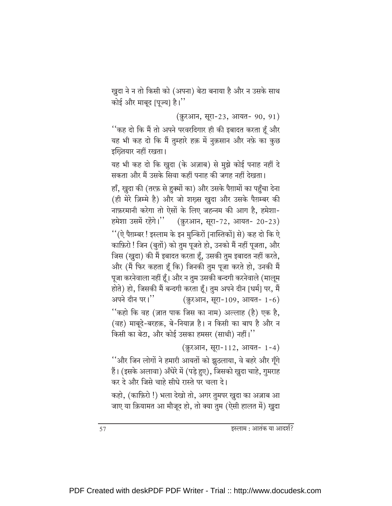ख़ुदा ने न तो किसी को (अपना) बेटा बनाया है और न उसके साथ कोई और माबूद [पूज्य] है।"

(क़ुरआन, सूरा-23, आयत- 90, 91)

''कह दो कि मैं तो अपने परवरदिगार ही की इबादत करता हूँ और यह भी कह दो कि मैं तुम्हारे हक़ में नुक़सान और नफ़े का क़ुछ इख्तियार नहीं रखता।

यह भी कह दो कि ख़ुदा (के अज़ाब) से मुझे कोई पनाह नहीं दे सकता और मैं उसके सिवा कहीं पनाह की जगह नहीं देखता।

हाँ, खुदा की (तरफ़ से हुक्मों का) और उसके पैग़ामों का पहुँचा देना (ही मेरे ज़िम्मे है) और जो शख्स खुदा और उसके पैग़म्बर की नाफ़रमानी करेगा तो ऐसों के लिए जहन्नम की आग है, हमेशा-हमेशा उसमें रहेंगे।" (क़ुरआन, सूरा-72, आयत- 20-23) ''(ऐ पैग़म्बर ! इस्लाम के इन मुन्किरों [नास्तिकों] से) कह दो कि ऐ काफ़िरो ! जिन (बुतों) को तुम पूजते हो, उनको मैं नहीं पूजता, और जिस (खुदा) की मैं इबादत करता हूँ, उसकी तुम इबादत नहीं करते, और (मैं फिर कहता हूँ कि) जिनकी तुम पूजा करते हो, उनकी मैं पूजा करनेवाला नहीं हूँ। और न तुम उसकी बन्दगी करनेवाले (मालूम होते) हो, जिसकी मैं बन्दगी करता हूँ। तुम अपने दीन [धर्म] पर, मैं अपने दीन पर।" (क़ुरआन, सूरा-109, आयत- 1-6)

''कहो कि वह (ज़ात पाक जिस का नाम) अल्लाह (है) एक है, (वह) माबुदे-बरहक़, बे-नियाज़ है। न किसी का बाप है और न किसी का बेटा, और कोई उसका हमसर (साथी) नहीं।"

(क़ुरआन, सूरा-112, आयत- 1-4)

''और जिन लोगों ने हमारी आयतों को झुठलाया, वे बहरे और गूँगे हैं। (इसके अलावा) अँधेरे में (पड़े हुए), जिसको ख़ुदा चाहे, गुमराह कर दे और जिसे चाहे सीधे रास्ते पर चला दे।

कहो, (काफ़िरो !) भला देखो तो, अगर तुमपर खुदा का अज़ाब आ जाए या क़ियामत आ मौजूद हो, तो क्या तुम (ऐसी हालत में) ख़ुदा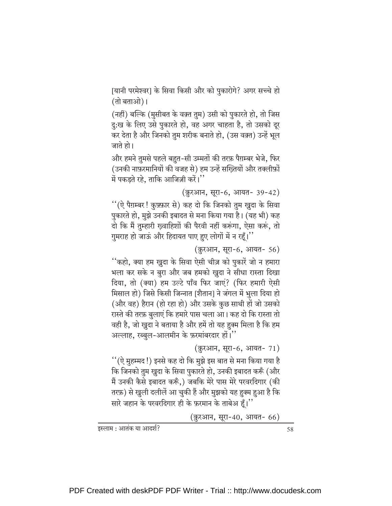[यानी परमेश्वर] के सिवा किसी और को पुकारोगे? अगर सच्चे हो (तो बताओ)।

(नहीं) बल्कि (मुसीबत के वक़्त तुम) उसी को पुकारते हो, तो जिस दु:ख के लिए उसे पुकारते हो, वह अगर चाहता है, तो उसको दूर कर देता है और जिनको तुम शरीक बनाते हो, (उस वक़्त) उन्हें भूल जाते हो।

और हमने तुमसे पहले बहुत-सी उम्मतों की तरफ़ पैग़म्बर भेजे, फिर (उनकी नाफ़रमानियों की वजह से) हम उन्हें सख्तियों और तक्लीफ़ों में पकड़ते रहे, ताकि आजिज़ी करें।''

```
(क़ुरआन, सूरा-6, आयत- 39-42)
```
''(ऐ पैग़म्बर! कुफ़्फ़ार से) कह दो कि जिनको तुम खुदा के सिवा पुकारते हो, मुझे उनकी इबादत से मना किया गया है। (यह भी) कह दो कि मैं तुम्हारी ख्वाहिशों की पैरवी नहीं करूंगा, ऐसा करूं, तो गुमराह हो जाऊं और हिदायत पाए हुए लोगों में न रहूँ।"

(क़ुरआन, सूरा-6, आयत- 56)

''कहो, क्या हम खुदा के सिवा ऐसी चीज़ को पुकारें जो न हमारा भला कर सके न बुरा और जब हमको खुदा ने सीधा रास्ता दिखा दिया, तो (क्या) हम उल्टे पाँव फिर जाएं? (फिर हमारी ऐसी मिसाल हो) जिसे किसी जिन्नात [शैतान] ने जंगल में भुला दिया हो (और वह) हैरान (हो रहा हो) और उसके कुछ साथी हों जो उसको रास्ते की तरफ़ बुलाएं कि हमारे पास चला आ। कह दो कि रास्ता तो वही है, जो खुदा ने बताया है और हमें तो यह हुक्म मिला है कि हम अल्लाह, रब्बुल-आलमीन के फ़रमांबरदार हों।''

```
(क़ुरआन, सूरा-6, आयत- 71)
```
''(ऐ मुहम्मद !) इनसे कह दो कि मुझे इस बात से मना किया गया है कि जिनको तुम खुदा के सिवा पुकारते हो, उनकी इबादत करूँ (और मैं उनकी कैसे इबादत करूँ,) जबकि मेरे पास मेरे परवरदिगार (की तरफ़) से खुली दलीलें आ चुकी हैं और मुझको यह हुक्म हुआ है कि सारे जहान के परवरदिगार ही के फ़रमान के ताबेअ हूँ।''

(क़ुरआन, सूरा-40, आयत- 66)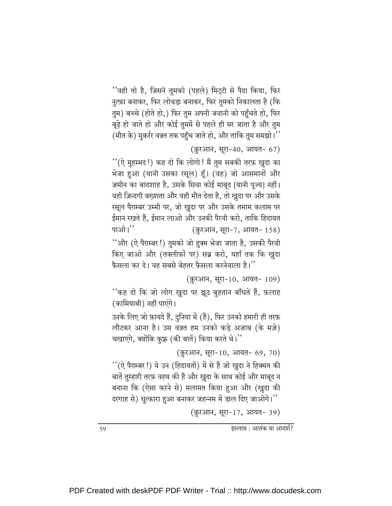''वही तो है, जिसने तुमको (पहले) मिट्टी से पैदा किया, फिर नुत्फ़ा बनाकर, फिर लोथड़ा बनाकर, फिर तुमको निकालता है (कि तुम) बच्चे (होते हो,) फिर तुम अपनी जवानी को पहुँचते हो, फिर बूढ़े हो जाते हो और कोई तुममें से पहले ही मर जाता है और तुम (मौत के) मुक़र्रर वक़्त तक पहुँच जाते हो, और ताकि तुम समझो।''

(क़ुरआन, सूरा-40, आयत- 67)

''(ऐ मुहम्मद!) कह दो कि लोगो! मैं तुम सबकी तरफ़ खुदा का भेजा हुआ (यानी उसका रसूल) हूँ। (वह) जो आसमानों और ज़मीन का बादशाह है, उसके सिवा कोई माबूद [यानी पूज्य] नहीं। वही ज़िन्दगी बख़्शता और वही मौत देता है, तो ख़ुदा पर और उसके रसूल पैग़म्बर उम्मी पर, जो खुदा पर और उसके तमाम कलाम पर ईमान रखते हैं. ईमान लाओ और उनकी पैरवी करो. ताकि हिदायत पाओ।" (क़ुरआन, सूरा-7, आयत- 158) ''और (ऐ पैग़म्बर !) तुमको जो हुक्म भेजा जाता है, उसकी पैरवी किए जाओ और (तक्लीफ़ों पर) सब्र करो, यहाँ तक कि खुदा फ़ैसला कर दे। वह सबसे बेहतर फ़ैसला करनेवाला है।''

(क़ुरआन, सूरा-10, आयत- 109)

''कह दो कि जो लोग ख़ुदा पर झूठ बुहतान बाँधते हैं, फ़लाह (कामियाबी) नहीं पाएंगे।

उनके लिए जो फ़ायदे हैं, दुनिया में (हैं), फिर उनको हमारी ही तरफ़ लौटकर आना है। उस वक़्त हम उनको कडे अज़ाब (के मज़े) चखाएंगे, क्योंकि कुफ़्र (की बातें) किया करते थे।''

(क़ूरआन, सूरा-10, आयत- 69, 70)

''(ऐ पैग़म्बर !) ये उन (हिदायतों) में से हैं जो खुदा ने हिक्मत की बातें तुम्हारी तरफ़ वह्य की हैं और खुदा के साथ कोई और माबूद न बनाना कि (ऐसा करने से) मलामत किया हुआ और (खुदा की दरगाह से) धुत्कारा हुआ बनाकर जहन्नम में डाल दिए जाओगे।''

(क़ुरआन, सुरा-17, आयत- 39)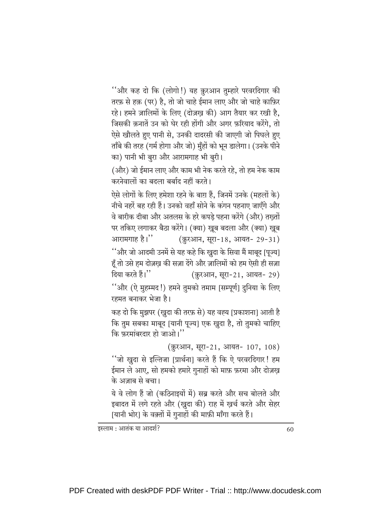''और कह दो कि (लोगो!) यह क़ुरआन तुम्हारे परवरदिगार की तरफ़ से हक़ (पर) है, तो जो चाहे ईमान लाए और जो चाहे काफ़िर रहे। हमने ज़ालिमों के लिए (दोज़ख की) आग तैयार कर रखी है, जिसकी क़नातें उन को घेर रही होंगी और अगर फ़रियाद करेंगे, तो ऐसे खौलते हुए पानी से, उनकी दादरसी की जाएगी जो पिघले हुए ताँबे की तरह (गर्म होगा और जो) मुँहों को भून डालेगा। (उनके पीने का) पानी भी बुरा और आरामगाह भी बुरी।

(और) जो ईमान लाए और काम भी नेक करते रहे. तो हम नेक काम करनेवालों का बदला बर्बाद नहीं करते।

ऐसे लोगों के लिए हमेशा रहने के बाग़ हैं, जिनमें उनके (महलों के) नीचे नहरें बह रही हैं। उनको वहाँ सोने के कंगन पहनाए जाएँगे और वे बारीक दीबा और अतलस के हरे कपड़े पहना करेंगे (और) तख़्तों पर तकिए लगाकर बैठा करेंगे। (क्या) खूब बदला और (क्या) खूब आरामगाह है।'' (क़ुरआन, सूरा-18, आयत- 29-31)

''और जो आदमी उनमें से यह कहे कि खुदा के सिवा मैं माबूद [पूज्य] हूँ तो उसे हम दोज़ख़ की सज़ा देंगे और ज़ालिमों को हम ऐसी ही सज़ा दिया करते हैं।'' (क़ुरआन, सूरा-21, आयत- 29) ''और (ऐ मुहम्मद!) हमने तुमको तमाम [सम्पूर्ण] दुनिया के लिए

```
रहमत बनाकर भेजा है।
```
कह दो कि मुझपर (खुदा की तरफ़ से) यह वह्य [प्रकाशना] आती है कि तुम सबका माबूद [यानी पूज्य] एक खुदा है, तो तुमको चाहिए कि फ़रमांबरदार हो जाओ।''

(क़ुरआन, सूरा-21, आयत- 107, 108)

''जो खुदा से इल्तिजा [प्रार्थना] करते हैं कि ऐ परवरदिगार! हम ईमान ले आए, सो हमको हमारे गुनाहों को माफ़ फ़रमा और दोज़ख़ के अज़ाब से बचा।

ये वे लोग हैं जो (कठिनाइयों में) सब्र करते और सच बोलते और इबादत में लगे रहते और (खुदा की) राह में खर्च करते और सेहर |यानी भोर] के वक़्तों में गुनाहों की माफ़ी माँगा करते हैं।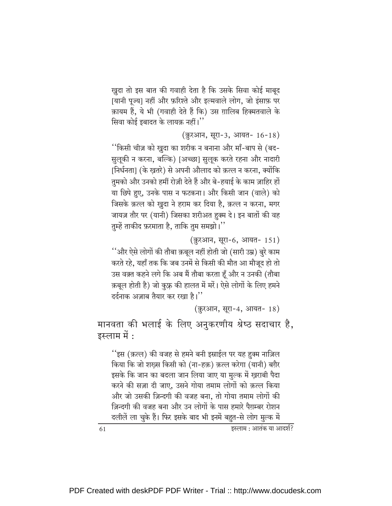खुदा तो इस बात की गवाही देता है कि उसके सिवा कोई माबूद [यानी पूज्य] नहीं और फ़रिश्ते और इल्मवाले लोग, जो इंसाफ़ पर क़ायम हैं, ये भी (गवाही देते हैं कि) उस ग़ालिब हिक्मतवाले के सिवा कोई इबादत के लायक़ नहीं।''

```
(क़ुरआन, सूरा-3, आयत- 16-18)
```
''किसी चीज़ को खुदा का शरीक न बनाना और माँ-बाप से (बद-सुलुकी न करना, बल्कि) [अच्छा] सुलुक करते रहना और नादारी [निर्धनता] (के खतरे) से अपनी औलाद को क़त्ल न करना, क्योंकि तुमको और उनको हमीं रोज़ी देते हैं और बे-हयाई के काम ज़ाहिर हों या छिपे हुए, उनके पास न फटकना। और किसी जान (वाले) को जिसके क़त्ल को खुदा ने हराम कर दिया है, क़त्ल न करना, मगर जायज़ तौर पर (यानी) जिसका शरीअत हुक्म दे। इन बातों की वह तुम्हें ताकीद फ़रमाता है, ताकि तुम समझो।''

(क़ुरआन, सूरा-6, आयत- 151)

''और ऐसे लोगों की तौबा क़बूल नहीं होती जो (सारी उम्र) बुरे काम करते रहे, यहाँ तक कि जब उनमें से किसी की मौत आ मौजूद हो तो उस वक़्त कहने लगे कि अब मैं तौबा करता हूँ और न उनकी (तौबा क़बूल होती है) जो कुफ़्र की हालत में मरें। ऐसे लोगों के लिए हमने दर्दनाक अज़ाब तैयार कर रखा है।''

(क़ुरआन, सूरा-4, आयत- 18)

मानवता की भलाई के लिए अनुकरणीय श्रेष्ठ सदाचार है, इस्लाम में :

''इस (क़त्ल) की वजह से हमने बनी इस्राईल पर यह हुक्म नाज़िल किया कि जो शख़्स किसी को (ना-हक़) क़त्ल करेगा (यानी) बग़ैर इसके कि जान का बदला जान लिया जाए या मुल्क में ख़राबी पैदा करने की सज़ा दी जाए, उसने गोया तमाम लोगों को क़त्ल किया और जो उसकी ज़िन्दगी की वजह बना, तो गोया तमाम लोगों की ज़िन्दगी की वजह बना और उन लोगों के पास हमारे पैग़म्बर रोशन दलीलें ला चुके हैं। फिर इसके बाद भी इनमें बहुत-से लोग मुल्क में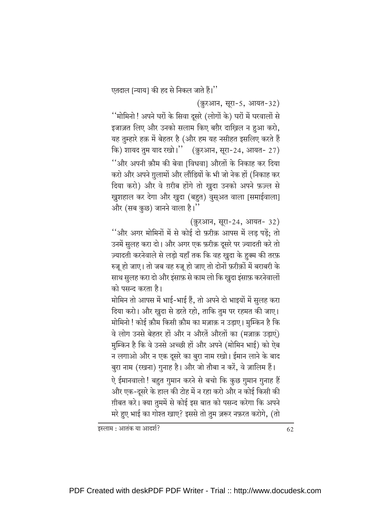एतदाल [न्याय] की हद से निकल जाते हैं।''

(क़ुरआन, सूरा-5, आयत-32)

''मोमिनो ! अपने घरों के सिवा दूसरे (लोगों के) घरों में घरवालों से इजाज़त लिए और उनको सलाम किए बग़ैर दाख़िल न हुआ करो, यह तुम्हारे हक़ में बेहतर है (और हम यह नसीहत इसलिए करते हैं कि) शायद तुम याद रखो।" (क़ुरआन, सूरा-24, आयत- 27) ''और अपनी क़ौम की बेवा ।विधवा। औरतों के निकाह कर दिया करो और अपने ग़ुलामों और लौंडियों के भी जो नेक हों (निकाह कर दिया करो) और वे ग़रीब होंगे तो ख़ुदा उनको अपने फ़ज़्ल से खुशहाल कर देगा और खुदा (बहुत) वुसुअत वाला [समाईवाला] और (सब कुछ) जानने वाला है।''

(क़ुरआन, सूरा-24, आयत- 32)

''और अगर मोमिनों में से कोई दो फ़रीक़ आपस में लड पडें; तो उनमें सुलह करा दो। और अगर एक फ़रीक़ दूसरे पर ज़्यादती करे तो ज़्यादती करनेवाले से लड़ो यहाँ तक कि वह ख़ुदा के ह़ुक्म की तरफ़ रुजू हो जाए। तो जब वह रुजू हो जाए तो दोनों फ़रीक़ों में बराबरी के साथ सुलह करा दो और इंसाफ़ से काम लो कि खुदा इंसाफ़ करनेवालों को पसन्द करता है।

मोमिन तो आपस में भाई-भाई हैं, तो अपने दो भाइयों में सुलह करा दिया करो। और खुदा से डरते रहो, ताकि तुम पर रहमत की जाए। मोमिनो ! कोई क़ौम किसी क़ौम का मज़ाक़ न उड़ाए। मुम्किन है कि वे लोग उनसे बेहतर हों और न औरतें औरतों का (मज़ाक़ उड़ाएं) मुम्किन है कि वे उनसे अच्छी हों और अपने (मोमिन भाई) को ऐब न लगाओ और न एक दूसरे का बुरा नाम रखो। ईमान लाने के बाद

बुरा नाम (रखना) गुनाह है। और जो तौबा न करें, वे ज़ालिम हैं। ऐ ईमानवालो ! बहुत गुमान करने से बचो कि कुछ गुमान गुनाह हैं और एक-दूसरे के हाल की टोह में न रहा करो और न कोई किसी की ग़ीबत करे। क्या तुममें से कोई इस बात को पसन्द करेगा कि अपने मरे हुए भाई का गोश्त खाए? इससे तो तुम ज़रूर नफ़रत करोगे, (तो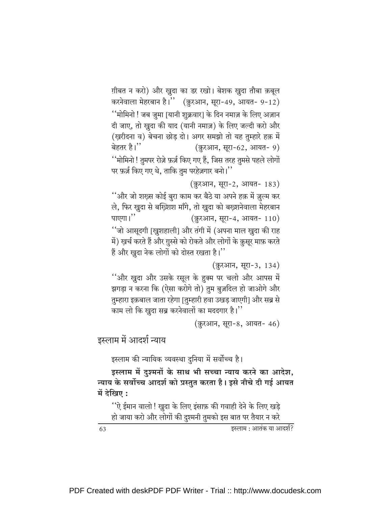ग़ीबत न करो) और ख़ुदा का डर रखो। बेशक ख़ुदा तौबा क़बूल करनेवाला मेहरबान है।'' (क़ुरआन, सूरा-49, आयत- 9-12) ''मोमिनो ! जब जुमा [यानी शुक्रवार] के दिन नमाज़ के लिए अज़ान दी जाए, तो खुदा की याद (यानी नमाज़) के लिए जल्दी करो और (ख़रीदना व) बेचना छोड़ दो। अगर समझो तो यह तुम्हारे हक़ में बेहतर है।'' (क़ुरआन, सूरा-62, आयत- 9) ''मोमिनो ! तुमपर रोज़े फ़र्ज़ किए गए हैं, जिस तरह तुमसे पहले लोगों पर फ़र्ज़ किए गए थे, ताकि तुम परहेज़गार बनो।''

(क़ुरआन, सूरा-2, आयत- 183)

''और जो शख़्स कोई बुरा काम कर बैठे या अपने हक़ में ज़ुल्म कर ले, फिर खुदा से बख्शिश माँगे, तो खुदा को बख्शनेवाला मेहरबान पाएगा।" (क़ुरआन, सूरा-4, आयत- 110) ''जो आसूदगी [खुशहाली] और तंगी में (अपना माल खुदा की राह में) ख़र्च करते हैं और ग़ुस्से को रोकते और लोगों के क़ुसूर माफ़ करते हैं और खुदा नेक लोगों को दोस्त रखता है।''

(क़ुरआन, सूरा-3, 134)

''और खुदा और उसके रसूल के हुक्म पर चलो और आपस में झगड़ा न करना कि (ऐसा करोगे तो) तुम बुज़दिल हो जाओगे और तुम्हारा इक़बाल जाता रहेगा [तुम्हारी हवा उखड़ जाएगी] और सब्र से काम लो कि खुदा सब्र करनेवालों का मददगार है।''

(क़ुरआन, सूरा-8, आयत- 46)

इस्लाम में आदर्श न्याय

इस्लाम की न्यायिक व्यवस्था दुनिया में सर्वोच्च है।

इस्लाम में दुश्मनों के साथ भी सच्चा न्याय करने का आदेश, न्याय के सर्वोच्च आदर्श को प्रस्तुत करता है। इसे नीचे दी गई आयत में देखिए :

''ऐ ईमान वालो ! ख़ुदा के लिए इंसाफ़ की गवाही देने के लिए खड़े हो जाया करो और लोगों की दुश्मनी तुमको इस बात पर तैयार न करे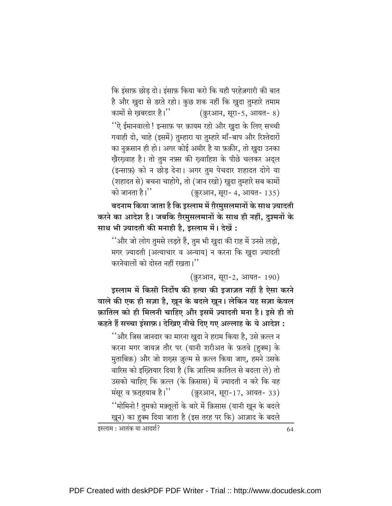कि इंसाफ़ छोड दो। इंसाफ़ किया करो कि यही परहेज़गारी की बात है और खुदा से डरते रहो। कुछ शक नहीं कि खुदा तुम्हारे तमाम कामों से खबरदार है।'' (क़ुरआन, सूरा-5, आयत- 8) ''ऐ ईमानवालो ! इन्साफ़ पर क़ायम रहो और खुदा के लिए सच्ची गवाही दो, चाहे (इसमें) तुम्हारा या तुम्हारे माँ-बाप और रिश्तेदारों का नुक़सान ही हो। अगर कोई अमीर है या फ़क़ीर, तो ख़ुदा उनका ख़ैरख़्वाह है। तो तुम नफ़्स की ख़्वाहिश के पीछे चलकर अद्ल (इन्साफ़) को न छोड़ देना। अगर तुम पेचदार शहादत दोगे या (शहादत से) बचना चाहोगे, तो (जान रखो) खुदा तुम्हारे सब कामों को जानता है।'' (क़ुरआन, सूरा- 4, आयत- 135)

बदनाम किया जाता है कि इस्लाम में ग़ैरमुसलमानों के साथ ज़्यादती करने का आदेश है। जबकि ग़ैरमुसलमानों के साथ ही नहीं, दुश्मनों के साथ भी ज़्यादती की मनाही है, इस्लाम में। देखें:

''और जो लोग तुमसे लड़ते हैं, तुम भी खुदा की राह में उनसे लड़ो, मगर ज़्यादती [अत्याचार व अन्याय] न करना कि खुदा ज़्यादती करनेवालों को दोस्त नहीं रखता।''

(क़ुरआन, सूरा-2, आयत- 190)

इस्लाम में किसी निर्दोष की हत्या की इजाज़त नहीं है ऐसा करने वाले की एक ही सज़ा है, ख़ून के बदले ख़ून। लेकिन यह सज़ा केवल क़ातिल को ही मिलनी चाहिए और इसमें ज़्यादती मना है। इसे ही तो कहते हैं सच्चा इंसाफ़। देखिए नीचे दिए गए अल्लाह के ये आदेश :

''और जिस जानदार का मारना खुदा ने हराम किया है, उसे क़त्ल न करना मगर जायज़ तौर पर (यानी शरीअत के फ़तवे [हुक्म] के मुताबिक़) और जो शख्स ज़ुल्म से क़त्ल किया जाए, हमने उसके वारिस को इख्तियार दिया है (कि ज़ालिम क़ातिल से बदला ले) तो उसको चाहिए कि क़त्ल (के क़िसास) में ज़्यादती न करे कि वह मंसूर व फ़तुहयाब है।" (क़ुरआन, सूरा-17, आयत- 33) ''मोमिनो ! तुमको मक़्तूलों के बारे में क़िसास (यानी ख़ून के बदले ख़ून) का हुक्म दिया जाता है (इस तरह पर कि) आज़ाद के बदले

इस्लाम : आतंक या आदर्श?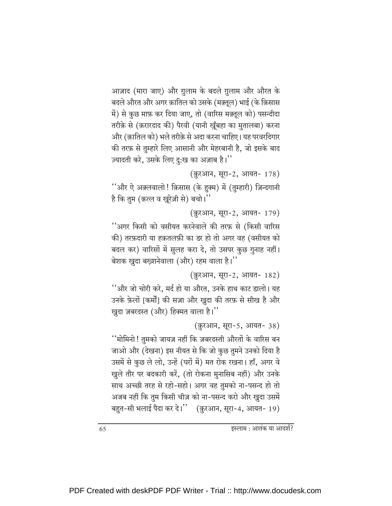आज़ाद (मारा जाए) और ग़ुलाम के बदले ग़ुलाम और औरत के बदले औरत और अगर क़ातिल को उसके (मक़्तूल) भाई (के क़िसास में) से कुछ माफ़ कर दिया जाए, तो (वारिस मक़्तूल को) पसन्दीदा तरीक़े से (क़रारदाद की) पैरवी (यानी खुँबहा का मुतालबा) करना और (क़ातिल को) भले तरीक़े से अदा करना चाहिए। यह परवरदिगार की तरफ़ से तुम्हारे लिए आसानी और मेहरबानी है, जो इसके बाद ज़्यादती करे, उसके लिए दु:ख का अज़ाब है।''

(क़ुरआन, सूरा-2, आयत- 178)

''और ऐ अक़्लवालो ! क़िसास (के हुक्म) में (तुम्हारी) ज़िन्दगानी है कि तुम (क़त्ल व ख़ूरेज़ी से) बचो।''

(क़ुरआन, सूरा-2, आयत- 179)

''अगर किसी को वसीयत करनेवाले की तरफ़ से (किसी वारिस की) तरफ़दारी या हक़तलफ़ी का डर हो तो अगर वह (वसीयत को बदल कर) वारिसों में सुलह करा दे, तो उसपर कुछ गुनाह नहीं। बेशक ख़ुदा बख़्शनेवाला (और) रहम वाला है।"

(क़ुरआन, सूरा-2, आयत- 182)

''और जो चोरी करे, मर्द हो या औरत, उनके हाथ काट डालो। यह उनके फ़ेलों [कर्मों] की सज़ा और खुदा की तरफ़ से सीख है और खुदा ज़बरदस्त (और) हिक्मत वाला है।"

(क़ुरआन, सूरा-5, आयत- 38)

''मोमिनो ! तुमको जायज़ नहीं कि ज़बरदस्ती औरतों के वारिस बन जाओ और (देखना) इस नीयत से कि जो कुछ तुमने उनको दिया है उसमें से कुछ ले लो, उन्हें (घरों में) मत रोक रखना। हाँ, अगर वे खुले तौर पर बदकारी करें, (तो रोकना मुनासिब नहीं) और उनके साथ अच्छी तरह से रहो-सहो। अगर वह तुमको ना-पसन्द हो तो अजब नहीं कि तुम किसी चीज़ को ना-पसन्द करो और खुदा उसमें बहुत-सी भलाई पैदा कर दे।" (क़ुरआन, सूरा-4, आयत- 19)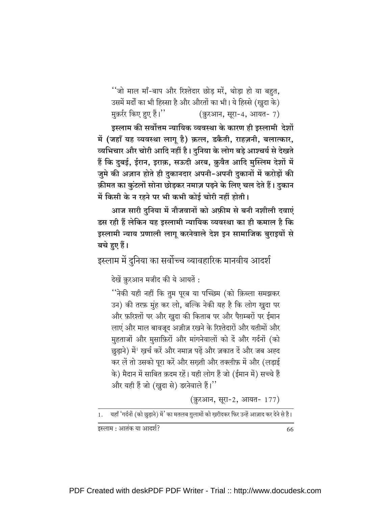''जो माल माँ-बाप और रिश्तेदार छोड़ मरें, थोड़ा हो या बहुत,

उसमें मर्दों का भी हिस्सा है और औरतों का भी। ये हिस्से (ख़ुदा के)

मुक़र्रर किए हुए हैं।" (क़ुरआन, सूरा-4, आयत- 7)

इस्लाम की सर्वोत्तम न्यायिक व्यवस्था के कारण ही इस्लामी देशों में (जहाँ यह व्यवस्था लागू है) क़त्ल, डकैती, राहज़नी, बलात्कार, व्यभिचार और चोरी आदि नहीं है। दुनिया के लोग बड़े आश्चर्य से देखते हैं कि दुबई, ईरान, इराक़, सऊदी अरब, क़ुवैत आदि मुस्लिम देशों में जुमे की अज़ान होते ही दुकानदार अपनी-अपनी दुकानों में करोड़ों की क़ीमत का कुंटलों सोना छोड़कर नमाज़ पढ़ने के लिए चल देते हैं। दुकान में किसी के न रहने पर भी कभी कोई चोरी नहीं होती।

आज सारी दुनिया में नौजवानों को अफ़ीम से बनी नशीली दवाएं डस रही हैं लेकिन यह इस्लामी न्यायिक व्यवस्था का ही कमाल है कि इस्लामी न्याय प्रणाली लागू करनेवाले देश इन सामाजिक बुराइयों से बचे हुए हैं।

इस्लाम में दुनिया का सर्वोच्च व्यावहारिक मानवीय आदर्श

देखें क़ुरआन मजीद की ये आयतें :

''नेकी यही नहीं कि तुम पुरब या पच्छिम (को क़िब्ला समझकर उन) की तरफ़ मुंह कर लो, बल्कि नेकी यह है कि लोग खुदा पर और फ़रिश्तों पर और खुदा की किताब पर और पैग़म्बरों पर ईमान लाएं और माल बावजूद अज़ीज़ रखने के रिश्तेदारों और यतीमों और मुहताजों और मुसाफ़िरों और मांगनेवालों को दें और गर्दनों (को छुडाने) में<sup>1</sup> खर्च करें और नमाज़ पढें और ज़कात दें और जब अह्द कर लें तो उसको परा करें और सख्ती और तक्लीफ़ में और (लडाई के) मैदान में साबित क़दम रहें। यही लोग हैं जो (ईमान में) सच्चे हैं और यही हैं जो (खुदा से) डरनेवाले हैं।''

(क़ुरआन, सूरा-2, आयत- 177)

1. यहाँ 'गर्दनों (को छुड़ाने) में ' का मतलब ग़ुलामों को ख़रीदकर फिर उन्हें आज़ाद कर देने से है।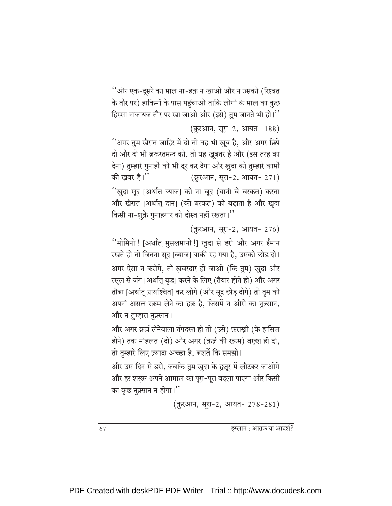''और एक-दूसरे का माल ना-हक़ न खाओ और न उसको (रिश्वत के तौर पर) हाकिमों के पास पहुँचाओ ताकि लोगों के माल का कुछ हिस्सा नाजायज़ तौर पर खा जाओ और (इसे) तुम जानते भी हो।''

(क़ुरआन, सूरा-2, आयत- 188)

''अगर तुम ख़ैरात ज़ाहिर में दो तो वह भी ख़ूब है, और अगर छिपे दो और दो भी ज़रूरतमन्द को, तो यह ख़ूबतर है और (इस तरह का देना) तुम्हारे गुनाहों को भी दूर कर देगा और खुदा को तुम्हारे कामों की खबर है।'' (क़ुरआन, सूरा-2, आयत- 271) ''ख़ुदा सूद [अर्थात ब्याज] को ना-बूद (यानी बे-बरकत) करता और ख़ैरात [अर्थात् दान] (की बरकत) को बढ़ाता है और ख़ुदा किसी ना-शुक्रे गुनाहगार को दोस्त नहीं रखता।''

(क़ुरआन, सूरा-2, आयत- 276)

''मोमिनो ! [अर्थात् मुसलमानो !] खुदा से डरो और अगर ईमान रखते हो तो जितना सुद [ब्याज] बाक़ी रह गया है, उसको छोड़ दो। अगर ऐसा न करोगे, तो ख़बरदार हो जाओ (कि तुम) ख़ुदा और रसूल से जंग [अर्थात् युद्ध] करने के लिए (तैयार होते हो) और अगर तौबा [अर्थात् प्रायश्चित] कर लोगे (और सूद छोड़ दोगे) तो तुम को अपनी असल रक़म लेने का हक़ है, जिसमें न औरों का नुक़्सान, और न तुम्हारा नुक़्सान।

और अगर क़र्ज़ लेनेवाला तंगदस्त हो तो (उसे) फ़राख़ी (के हासिल होने) तक मोहलत (दो) और अगर (क़र्ज़ की रक़म) बख़्श ही दो, तो तुम्हारे लिए ज़्यादा अच्छा है, बशर्ते कि समझो।

और उस दिन से डरो, जबकि तुम खुदा के हुज़ूर में लौटकर जाओगे और हर शख़्स अपने आमाल का पूरा-पूरा बदला पाएगा और किसी का कुछ नुक़्सान न होगा।"

(क़ुरआन, सुरा-2, आयत- 278-281)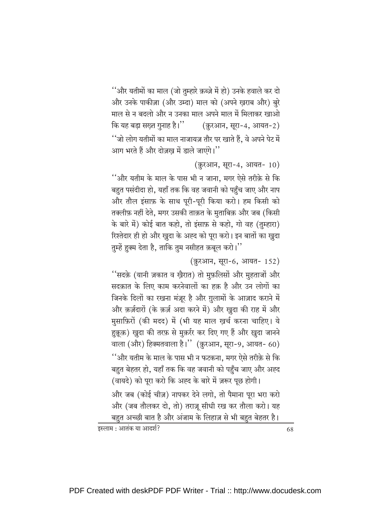''और यतीमों का माल (जो तुम्हारे क़ब्ज़े में हो) उनके हवाले कर दो और उनके पाकीज़ा (और उम्दा) माल को (अपने ख़राब और) बुरे माल से न बदलो और न उनका माल अपने माल में मिलाकर खाओ कि यह बड़ा सख़्त गुनाह है।" (क़ुरआन, सूरा-4, आयत-2) ''जो लोग यतीमों का माल नाजायज़ तौर पर खाते हैं. वे अपने पेट में आग भरते हैं और दोज़ख में डाले जाएंगे।''

(क़ुरआन, सूरा-4, आयत- 10)

''और यतीम के माल के पास भी न जाना, मगर ऐसे तरीक़े से कि बहुत पसंदीदा हो, यहाँ तक कि वह जवानी को पहुँच जाए और नाप और तौल इंसाफ़ के साथ पूरी-पूरी किया करो। हम किसी को तक्लीफ़ नहीं देते, मगर उसकी ताक़त के मृताबिक़ और जब (किसी के बारे में) कोई बात कहो, तो इंसाफ़ से कहो, गो वह (तुम्हारा) रिश्तेदार ही हो और खुदा के अह्द को पूरा करो। इन बातों का खुदा तुम्हें हुक्म देता है, ताकि तुम नसीहत क़बूल करो।''

(क़ुरआन, सूरा-6, आयत- 152)

''सदक़े (यानी ज़कात व खैरात) तो मुफ़लिसों और मुहताजों और सदक़ात के लिए काम करनेवालों का हक़ है और उन लोगों का जिनके दिलों का रखना मंज़ूर है और ग़ुलामों के आज़ाद कराने में और क़र्ज़दारों (के क़र्ज़ अदा करने में) और खुदा की राह में और मुसाफ़िरों (की मदद) में (भी यह माल खर्च करना चाहिए। ये हुक़ूक़) ख़ुदा की तरफ़ से मुक़र्रर कर दिए गए हैं और ख़ुदा जानने वाला (और) हिक्मतवाला है।'' (क़ुरआन, सूरा-9, आयत- 60) ''और यतीम के माल के पास भी न फटकना, मगर ऐसे तरीक़े से कि बहुत बेहतर हो, यहाँ तक कि वह जवानी को पहुँच जाए और अह्द (वायदे) को पूरा करो कि अह्द के बारे में ज़रूर पूछ होगी।

और जब (कोई चीज़) नापकर देने लगो, तो पैमाना पूरा भरा करो और (जब तौलकर दो, तो) तराज़ू सीधी रख कर तौला करो। यह बहुत अच्छी बात है और अंजाम के लिहाज़ से भी बहुत बेहतर है।

इस्लाम : आतंक या आदर्श?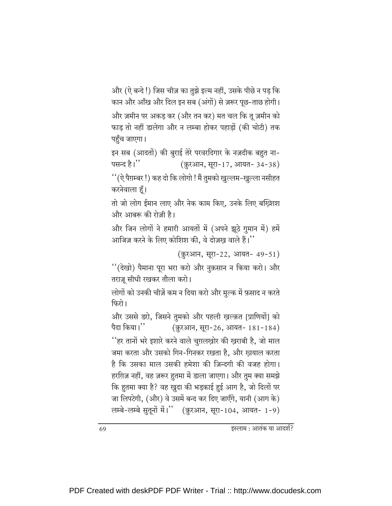और (ऐ बन्दे !) जिस चीज़ का तुझे इल्म नहीं, उसके पीछे न पड़ कि कान और आँख और दिल इन सब (अंगों) से ज़रूर पूछ-ताछ होगी। और ज़मीन पर अकड कर (और तन कर) मत चल कि तु ज़मीन को फाड तो नहीं डालेगा और न लम्बा होकर पहाडों (की चोटी) तक पहुँच जाएगा।

इन सब (आदतों) की बुराई तेरे परवरदिगार के नज़दीक बहुत ना-पसन्द है।'' (क़ुरआन, सूरा-17, आयत- 34-38)

''(ऐ पैग़म्बर !) कह दो कि लोगो ! मैं तुमको खुल्लम-खुल्ला नसीहत करनेवाला हूँ।

तो जो लोग ईमान लाए और नेक काम किए, उनके लिए बख्शिश और आबरू की रोज़ी है।

और जिन लोगों ने हमारी आयतों में (अपने झूठे गुमान में) हमें आजिज़ करने के लिए कोशिश की, वे दोज़ख़ वाले हैं।''

(क़ुरआन, सुरा-22, आयत- 49-51)

''(देखो) पैमाना पूरा भरा करो और नुक़सान न किया करो। और तराज़ू सीधी रखकर तौला करो।

लोगों को उनकी चीज़ें कम न दिया करो और मुल्क में फ़साद न करते फिरो।

और उससे डरो, जिसने तुमको और पहली खल्क़त [प्राणियों] को पैदा किया।'' (क़ुरआन, सूरा-26, आयत- 181-184) ''हर तानों भरे इशारे करने वाले चुग़लख़ोर की ख़राबी है, जो माल जमा करता और उसको गिन-गिनकर रखता है, और ख़याल करता है कि उसका माल उसकी हमेशा की ज़िन्दगी की वजह होगा। हरग़िज़ नहीं, वह ज़रूर हुतमा में डाला जाएगा। और तुम क्या समझे कि हुतमा क्या है? वह ख़ुदा की भड़काई हुई आग है, जो दिलों पर जा लिपटेगी, (और) वे उसमें बन्द कर दिए जाएँगे, यानी (आग के) लम्बे-लम्बे सुतूनों में।" (क़ुरआन, सूरा-104, आयत- 1-9)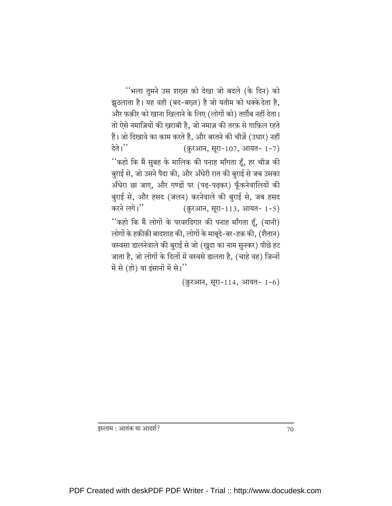''भला तुमने उस शख़्स को देखा जो बदले (के दिन) को झुठलाता है। यह वही (बद-बख्त) है जो यतीम को धक्के देता है, और फ़क़ीर को खाना खिलाने के लिए (लोगों को) तर्ग़ीब नहीं देता। तो ऐसे नमाज़ियों की खुराबी है, जो नमाज़ की तरफ़ से ग़ाफ़िल रहते हैं। जो दिखावे का काम करते हैं, और बरतने की चीज़ें (उधार) नहीं देते। $"$ (क़ुरआन, सूरा-107, आयत- 1-7) ''कहो कि मैं सुबह के मालिक की पनाह माँगता हूँ, हर चीज़ की बुराई से, जो उसने पैदा की, और अँधेरी रात की बुराई से जब उसका अँधेरा छा जाए, और गण्डों पर (पढ़-पढ़कर) फूँकनेवालियों की बुराई से, और हसद (जलन) करनेवाले की बुराई से, जब हसद करने लगे।" (क़ुरआन, सूरा-113, आयत- 1-5) ''कहो कि मैं लोगों के परवरदिगार की पनाह माँगता हूँ, (यानी) लोगों के हक़ीक़ी बादशाह की, लोगों के माबूदे-बर-हक़ की, (शैतान) वस्वसा डालनेवाले की बुराई से जो (खुदा का नाम सुनकर) पीछे हट जाता है, जो लोगों के दिलों में वस्वसे डालता है, (चाहे वह) जिन्नों

में से (हो) या इंसानों में से।"

(क़ुरआन, सूरा-114, आयत- 1-6)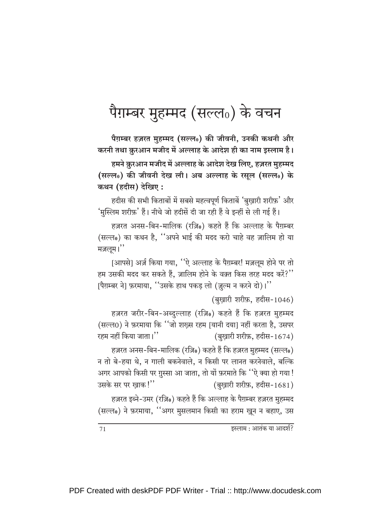## पैग़म्बर मुहम्मद (सल्ल0) के वचन

पैग़म्बर हज़रत मुहम्मद (सल्ल0) की जीवनी, उनकी कथनी और करनी तथा क़ुरआन मजीद में अल्लाह के आदेश ही का नाम इस्लाम है। हमने क़ुरआन मजीद में अल्लाह के आदेश देख लिए, हज़रत मुहम्मद (सल्ल0) की जीवनी देख ली। अब अल्लाह के रसूल (सल्ल0) के कथन (हदीस) देखिए :

हदीस की सभी किताबों में सबसे महत्वपूर्ण किताबें 'बुखारी शरीफ़' और 'मुस्लिम शरीफ़' हैं। नीचे जो हदीसें दी जा रही हैं वे इन्हीं से ली गई हैं।

हज़रत अनस-बिन-मालिक (रज़ि0) कहते हैं कि अल्लाह के पैग़म्बर (सल्ल0) का कथन है, ''अपने भाई की मदद करो चाहे वह ज़ालिम हो या मज़लूम।''

[आपसे] अर्ज़ किया गया, ''ऐ अल्लाह के पैग़म्बर! मज़लूम होने पर तो हम उसकी मदद कर सकते हैं, ज़ालिम होने के वक़्त किस तरह मदद करें?" [पैग़म्बर ने] फ़रमाया, ''उसके हाथ पकड लो (ज़ुल्म न करने दो)।''

(बुखारी शरीफ़, हदीस-1046)

हज़रत जरीर-बिन-अब्दुल्लाह (रज़ि0) कहते हैं कि हज़रत मुहम्मद (सल्ल0) ने फ़रमाया कि ''जो शख़्स रहम [यानी दया] नहीं करता है, उसपर रहम नहीं किया जाता।'' (बुखारी शरीफ़, हदीस-1674)

हज़रत अनस-बिन-मालिक (रज़ि0) कहते हैं कि हज़रत मुहम्मद (सल्ल0) न तो बे-हया थे, न गाली बकनेवाले, न किसी पर लानत करनेवाले, बल्कि अगर आपको किसी पर ग़ुस्सा आ जाता, तो यों फ़रमाते कि ''ऐ क्या हो गया ! उसके सर पर खाक!" (बुख़ारी शरीफ़, हदीस-1681)

हज़रत इब्ने-उमर (रज़ि0) कहते हैं कि अल्लाह के पैग़म्बर हज़रत मुहम्मद (सल्ल0) ने फ़रमाया, ''अगर मुसलमान किसी का हराम खून न बहाए, उस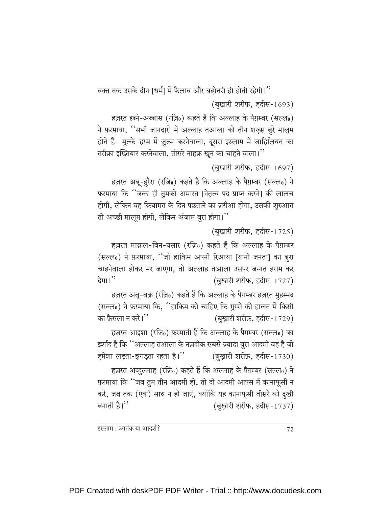वक़्त तक उसके दीन [धर्म] में फैलाव और बढोत्तरी ही होती रहेगी।'' (बुखारी शरीफ़, हदीस-1693)

हज़रत इब्ने-अब्बास (रज़ि0) कहते हैं कि अल्लाह के पैग़म्बर (सल्ल0) ने फ़रमाया, ''सभी जानदारों में अल्लाह तआला को तीन शख़्स बुरे मालूम होते हैं- मुल्के-हरम में ज़ुल्म करनेवाला, दूसरा इस्लाम में जाहिलियत का तरीक़ा इख्तियार करनेवाला, तीसरे नाहक़ ख़ून का चाहने वाला।''

(बुख़ारी शरीफ़, हदीस-1697)

हज़रत अबू-हुरैरा (रज़ि0) कहते हैं कि अल्लाह के पैग़म्बर (सल्ल0) ने फ़रमाया कि ''जल्द ही तुमको अमारत |नेतृत्व पद प्राप्त करने| की लालच होगी, लेकिन वह क़ियामत के दिन पछताने का ज़रीआ होगा, उसकी शुरुआत तो अच्छी मालूम होगी, लेकिन अंजाम बुरा होगा।''

(बुख़ारी शरीफ़, हदीस-1725)

हज़रत माक़ल-बिन-यसार (रज़ि0) कहते हैं कि अल्लाह के पैग़म्बर (सल्ल0) ने फ़रमाया, ''जो हाकिम अपनी रिआया |यानी जनता] का बुरा चाहनेवाला होकर मर जाएगा, तो अल्लाह तआला उसपर जन्नत हराम कर देगा। $"$ (बुख़ारी शरीफ़, हदीस-1727)

हज़रत अबू-बक्र (रज़ि0) कहते हैं कि अल्लाह के पैग़म्बर हज़रत मुहम्मद (सल्ल0) ने फ़रमाया कि, ''हाकिम को चाहिए कि ग़ुस्से की हालत में किसी का फ़ैसला न करे।'' (बुख़ारी शरीफ़, हदीस-1729)

हज़रत आइशा (रज़ि0) फ़रमाती हैं कि अल्लाह के पैग़म्बर (सल्ल0) का इर्शाद है कि ''अल्लाह तआला के नज़दीक सबसे ज़्यादा बुरा आदमी वह है जो हमेशा लड़ता-झगड़ता रहता है।" (बुख़ारी शरीफ़, हदीस-1730)

हज़रत अब्दुल्लाह (रज़ि0) कहते हैं कि अल्लाह के पैग़म्बर (सल्ल0) ने फ़रमाया कि ''जब तुम तीन आदमी हो, तो दो आदमी आपस में कानाफूसी न करें, जब तक (एक) साथ न हो जाएँ, क्योंकि यह कानाफूसी तीसरे को दुखी बनाती है।'' (बुख़ारी शरीफ़, हदीस-1737)

इस्लाम : आतंक या आदर्श?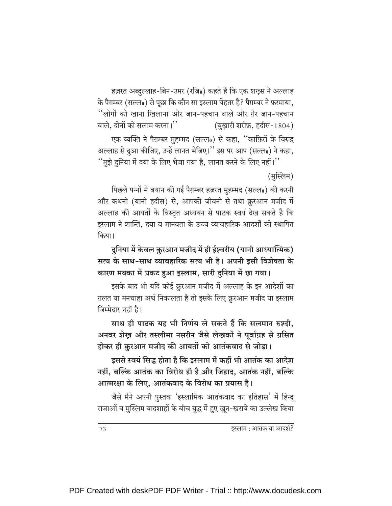हज़रत अब्दुल्लाह-बिन-उमर (रज़ि0) कहते हैं कि एक शख़्स ने अल्लाह के पैग़म्बर (सल्ल0) से पूछा कि कौन सा इस्लाम बेहतर है? पैग़म्बर ने फ़रमाया, ''लोगों को खाना खिलाना और जान-पहचान वाले और ग़ैर जान-पहचान वाले, दोनों को सलाम करना।'' (बुखारी शरीफ़, हदीस-1804) एक व्यक्ति ने पैग़म्बर मुहम्मद (सल्ल0) से कहा, ''काफ़िरों के विरुद्ध अल्लाह से दुआ कीजिए, उन्हें लानत भेजिए।'' इस पर आप (सल्ल0) ने कहा, ''मुझे दुनिया में दया के लिए भेजा गया है, लानत करने के लिए नहीं।''

(मुस्लिम)

पिछले पन्नों में बयान की गई पैग़म्बर हज़रत मुहम्मद (सल्ल0) की करनी और कथनी (यानी हदीस) से, आपकी जीवनी से तथा क़ुरआन मजीद में अल्लाह की आयतों के विस्तृत अध्ययन से पाठक स्वयं देख सकते हैं कि इस्लाम ने शान्ति, दया व मानवता के उच्च व्यावहारिक आदर्शों को स्थापित किया।

दुनिया में केवल क़ुरआन मजीद में ही ईश्वरीय (यानी आध्यात्मिक) सत्य के साथ-साथ व्यावहारिक सत्य भी है। अपनी इसी विशेषता के कारण मक्का में प्रकट हुआ इस्लाम, सारी दुनिया में छा गया।

इसके बाद भी यदि कोई क़ुरआन मजीद में अल्लाह के इन आदेशों का ग़लत या मनचाहा अर्थ निकालता है तो इसके लिए क़ुरआन मजीद या इस्लाम ज़िम्मेदार नहीं है।

साथ ही पाठक यह भी निर्णय ले सकते हैं कि सलमान रुश्दी. अनवर शेख और तस्लीमा नसरीन जैसे लेखकों ने पूर्वाग्रह से ग्रसित होकर ही क़ुरआन मजीद की आयतों को आतंकवाद से जोड़ा।

इससे स्वयं सिद्ध होता है कि इस्लाम में कहीं भी आतंक का आदेश नहीं, बल्कि आतंक का विरोध ही है और जिहाद, आतंक नहीं, बल्कि आत्मरक्षा के लिए, आतंकवाद के विरोध का प्रयास है।

जैसे मैंने अपनी पुस्तक 'इस्लामिक आतंकवाद का इतिहास' में हिन्दू राजाओं व मुस्लिम बादशाहों के बीच युद्ध में हुए खून-खुराबे का उल्लेख किया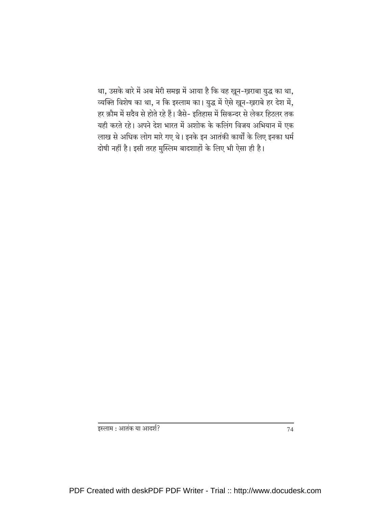था, उसके बारे में अब मेरी समझ में आया है कि वह ख़ून-ख़राबा युद्ध का था, व्यक्ति विशेष का था, न कि इस्लाम का। युद्ध में ऐसे ख़ून-ख़राबे हर देश में, हर क़ौम में सदैव से होते रहे हैं। जैसे- इतिहास में सिकन्दर से लेकर हिटलर तक यही करते रहे। अपने देश भारत में अशोक के कलिंग विजय अभियान में एक लाख से अधिक लोग मारे गए थे। इनके इन आतंकी कार्यों के लिए इनका धर्म दोषी नहीं है। इसी तरह मुस्लिम बादशाहों के लिए भी ऐसा ही है।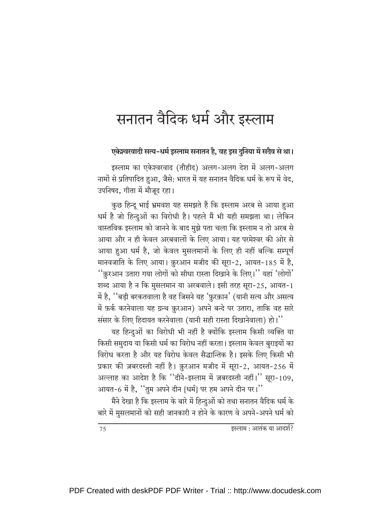## सनातन वैदिक धर्म और इस्लाम

एकेश्वरवादी सत्य-धर्म इस्लाम सनातन है. वह इस दुनिया में सदैव से था।

इस्लाम का एकेश्वरवाद (तौहीद) अलग-अलग देश में अलग-अलग नामों से प्रतिपादित हुआ, जैसे: भारत में यह सनातन वैदिक धर्म के रूप में वेद, उपनिषद, गीता में मौजूद रहा।

कुछ हिन्दू भाई भ्रमवश यह समझते हैं कि इस्लाम अरब से आया हुआ धर्म है जो हिन्दुओं का विरोधी है। पहले मैं भी यही समझता था। लेकिन वास्तविक इस्लाम को जानने के बाद मुझे पता चला कि इस्लाम न तो अरब से आया और न ही केवल अरबवालों के लिए आया। यह परमेश्वर की ओर से आया हुआ धर्म है, जो केवल मुसलमानों के लिए ही नहीं बल्कि सम्पूर्ण मानवजाति के लिए आया। क़ुरआन मजीद की सूरा-2, आयत-185 में है, ''क़ूरआन उतारा गया लोगों को सीधा रास्ता दिखाने के लिए।'' यहां 'लोगों' शब्द आया है न कि मुसलमान या अरबवाले। इसी तरह सूरा-25, आयत-1 में है, ''बड़ी बरकतवाला है वह जिसने यह 'फ़ुरक़ान' (यानी सत्य और असत्य में फ़र्क करनेवाला यह ग्रन्थ क़ुरआन) अपने बन्दे पर उतारा, ताकि वह सारे संसार के लिए हिदायत करनेवाला (यानी सही रास्ता दिखानेवाला) हो।"

यह हिन्दुओं का विरोधी भी नहीं है क्योंकि इस्लाम किसी व्यक्ति या किसी समुदाय या किसी धर्म का विरोध नहीं करता। इस्लाम केवल बुराइयों का विरोध करता है और यह विरोध केवल सैद्धान्तिक है। इसके लिए किसी भी प्रकार की ज़बरदस्ती नहीं है। क़ुरआन मजीद में सूरा-2, आयत-256 में अल्लाह का आदेश है कि "दीने-इस्लाम में ज़बरदस्ती नहीं।" सूरा-109, आयत-6 में है, "तुम अपने दीन [धर्म] पर हम अपने दीन पर।"

मैंने देखा है कि इस्लाम के बारे में हिन्दुओं को तथा सनातन वैदिक धर्म के बारे में मुसलमानों को सही जानकारी न होने के कारण वे अपने-अपने धर्म को

इस्लाम : आतंक या आदर्श?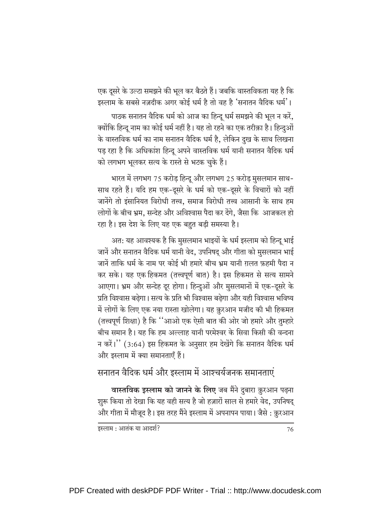एक दूसरे के उल्टा समझने की भूल कर बैठते हैं। जबकि वास्तविकता यह है कि इस्लाम के सबसे नज़दीक अगर कोई धर्म है तो वह है 'सनातन वैदिक धर्म'।

पाठक सनातन वैदिक धर्म को आज का हिन्दू धर्म समझने की भूल न करें, क्योंकि हिन्दू नाम का कोई धर्म नहीं है। यह तो रहने का एक तरीक़ा है। हिन्दुओं के वास्तविक धर्म का नाम सनातन वैदिक धर्म है, लेकिन दुख के साथ लिखना पड़ रहा है कि अधिकांश हिन्दू अपने वास्तविक धर्म यानी सनातन वैदिक धर्म को लगभग भूलकर सत्य के रास्ते से भटक चुके हैं।

भारत में लगभग 75 करोड़ हिन्दू और लगभग 25 करोड़ मुसलमान साथ-साथ रहते हैं। यदि हम एक-दूसरे के धर्म को एक-दूसरे के विचारों को नहीं जानेंगे तो इंसानियत विरोधी तत्त्व. समाज विरोधी तत्त्व आसानी के साथ हम लोगों के बीच भ्रम. सन्देह और अविश्वास पैदा कर देंगे. जैसा कि आजकल हो रहा है। इस देश के लिए यह एक बहुत बड़ी समस्या है।

अत: यह आवश्यक है कि मुसलमान भाइयों के धर्म इस्लाम को हिन्दू भाई जानें और सनातन वैदिक धर्म यानी वेद, उपनिषद और गीता को मुसलमान भाई जानें ताकि धर्म के नाम पर कोई भी हमारे बीच भ्रम यानी ग़लत फ़हमी पैदा न कर सके। यह एक हिकमत (तत्त्वपूर्ण बात) है। इस हिकमत से सत्य सामने आएगा। भ्रम और सन्देह दूर होगा। हिन्दुओं और मुसलमानों में एक-दूसरे के प्रति विश्वास बढेगा। सत्य के प्रति भी विश्वास बढेगा और यही विश्वास भविष्य में लोगों के लिए एक नया रास्ता खोलेगा। यह क़ुरआन मजीद की भी हिकमत (तत्त्वपूर्ण शिक्षा) है कि ''आओ एक ऐसी बात की ओर जो हमारे और तुम्हारे बीच समान है। यह कि हम अल्लाह यानी परमेश्वर के सिवा किसी की वन्दना न करें।" (3:64) इस हिकमत के अनुसार हम देखेंगे कि सनातन वैदिक धर्म और इस्लाम में क्या समानताएँ हैं।

#### सनातन वैदिक धर्म और इस्लाम में आश्चर्यजनक समानताएं

वास्तविक इस्लाम को जानने के लिए जब मैंने दुबारा क़ुरआन पढ़ना शुरू किया तो देखा कि यह वही सत्य है जो हज़ारों साल से हमारे वेद, उपनिषद् और गीता में मौजूद है। इस तरह मैंने इस्लाम में अपनापन पाया। जैसे : क्रुरआन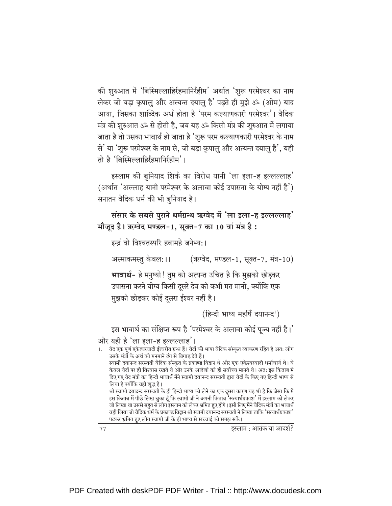की शुरुआत में 'बिस्मिल्लाहिर्रहमानिर्रहीम' अर्थात 'शुरू परमेश्वर का नाम लेकर जो बड़ा क्रपालु और अत्यन्त दयालु है' पढ़ते ही मुझे ॐ (ओम) याद आया. जिसका शाब्दिक अर्थ होता है 'परम कल्याणकारी परमेश्वर'। वैदिक मंत्र की शुरुआत ॐ से होती है, जब यह ॐ किसी मंत्र की शुरुआत में लगाया जाता है तो उसका भावार्थ हो जाता है 'शुरू परम कल्याणकारी परमेश्वर के नाम से' या 'शुरू परमेश्वर के नाम से, जो बड़ा कृपालु और अत्यन्त दयालु है', यही तो है 'बिस्मिल्लाहिर्रहमानिर्रहीम'।

इस्लाम की बुनियाद शिर्क का विरोध यानी 'ला इला-ह इल्लल्लाह' (अर्थात 'अल्लाह यानी परमेश्वर के अलावा कोई उपासना के योग्य नहीं है') सनातन वैदिक धर्म की भी बुनियाद है।

संसार के सबसे पुराने धर्मग्रन्थ ऋग्वेद में 'ला इला-ह इल्लल्लाह' मौजूद है। ऋग्वेद मण्डल-1, सूक्त-7 का 10 वां मंत्र है:

इन्द्रं वो विश्वतस्परि हवामहे जनेभ्य:।

अस्माकमस्तु केवल:।। (ऋग्वेद, मण्डल-1, सुक्त-7, मंत्र-10)

भावार्थ- हे मनुष्यो ! तुम को अत्यन्त उचित है कि मुझको छोड़कर उपासना करने योग्य किसी दूसरे देव को कभी मत मानो, क्योंकि एक मुझको छोड़कर कोई दूसरा ईश्वर नहीं है।

(हिन्दी भाष्य महर्षि दयानन्द<sup>1</sup>)

इस भावार्थ का संक्षिप्त रूप है 'परमेश्वर के अलावा कोई पूज्य नहीं है।' और यही है 'ला इला-ह इल्लल्लाह'।

.<br>वेद एक पूर्ण एकेश्वरवादी ईश्वरीय ग्रन्थ हैं। वेदों की भाषा वैदिक संस्कृत व्याकरण रहित है अत: लोग उसके मंत्रों के अर्थ को मनमाने ढंग से बिगाड देते हैं। स्वामी दयानन्द सरस्वती वैदिक संस्कृत के प्रकाण्ड विद्रान थे और एक एकेश्वरवादी धर्माचार्य थे। वे केवल वेदों पर ही विश्वास रखते थे और उनके आदेशों को ही सर्वोच्च मानते थे। अत: इस किताब में दिए गए वेद मंत्रों का हिन्दी भावार्थ मैंने स्वामी दयानन्द सरस्वती द्वारा वेदों के किए गए हिन्दी भाष्य से लिया है क्योंकि वही शुद्ध है। श्री स्वामी दयादन्द सरस्वती के ही हिन्दी भाष्य को लेने का एक दसरा कारण यह भी है कि जैसा कि मैं इस किताब में पीछे लिख चुका हूँ कि स्वामी जी ने अपनी किताब<sup>ें</sup>सत्यार्थप्रकाश' में इस्लाम को लेकर जो लिखा था उससे बहुत से लोग इस्लाम को लेकर भ्रमित हुए होंगे। इसी लिए मैंने वैदिक मंत्रों का भावार्थ वही लिया जो वैदिक धर्म के प्रकाण्ड विद्वान श्री स्वामी दयानन्द सरस्वती ने लिखा ताकि 'सत्यार्थप्रकाश' पढ़कर भ्रमित हुए लोग स्वामी जी के ही भाष्य से सच्चाई को समझ सकें।

इस्लाम : आतंक या आदर्श?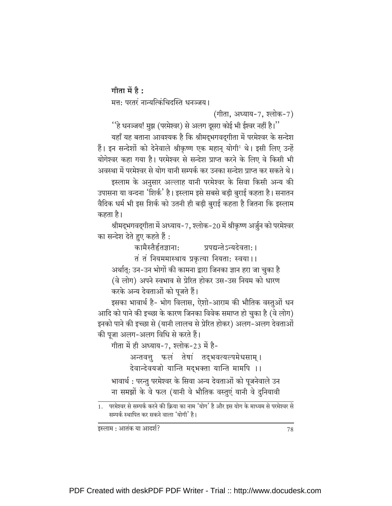गीता में है $:$ 

मत्त: परतरं नान्यत्किंचिदस्ति धनञ्जय।

(गीता, अध्याय-7, श्लोक-7)

''हे धनञ्जय! मुझ (परमेश्वर) से अलग दूसरा कोई भी ईश्वर नहीं है।'' यहाँ यह बताना आवश्यक है कि श्रीमद्भगवद्गीता में परमेश्वर के सन्देश हैं। इन सन्देशों को देनेवाले श्रीकृष्ण एक महान् योगी<sup>।</sup> थे। इसी लिए उन्हें योगेश्वर कहा गया है। परमेश्वर से सन्देश प्राप्त करने के लिए वे किसी भी अवस्था में परमेश्वर से योग यानी सम्पर्क कर उनका सन्देश प्राप्त कर सकते थे। इस्लाम के अनुसार अल्लाह यानी परमेश्वर के सिवा किसी अन्य की उपासना या वन्दना 'शिर्क' है। इस्लाम इसे सबसे बड़ी बुराई कहता है। सनातन वैदिक धर्म भी इस शिर्क को उतनी ही बड़ी बुराई कहता है जितना कि इस्लाम कहता है।

श्रीमद्भगवद्गीता में अध्याय-7, श्लोक-20 में श्रीकृष्ण अर्जुन को परमेश्वर का सन्देश देते हुए कहते हैं :

कामैस्तैर्हतज्ञाना: प्रपद्यन्तेऽन्यदेवता:। तं तं नियममास्थाय प्रकृत्या नियता: स्वया।। अर्थात्: उन-उन भोगों की कामना द्वारा जिनका ज्ञान हरा जा चुका है (वे लोग) अपने स्वभाव से प्रेरित होकर उस-उस नियम को धारण करके अन्य देवताओं को पूजते हैं।

इसका भावार्थ है- भोग विलास, ऐशो-आराम की भौतिक वस्तुओं धन आदि को पाने की इच्छा के कारण जिनका विवेक समाप्त हो चुका है (वे लोग) इनको पाने की इच्छा से (यानी लालच से प्रेरित होकर) अलग-अलग देवताओं की पूजा अलग-अलग विधि से करते हैं।

.<br>गीता में ही अध्याय-7, श्लोक-23 में है-

अन्तवत्तू फलं तेषां तद्भवत्यल्पमेधसाम्। देवान्देवयजो यान्ति मद्भक्ता यान्ति मामपि ।।

भावार्थ : परन्तु परमेश्वर के सिवा अन्य देवताओं को पूजनेवाले उन ना समझों के वे फल (यानी वे भौतिक वस्तुएं यानी वे दुनियावी

सम्पर्क स्थापित कर सकने वाला 'योगी' है।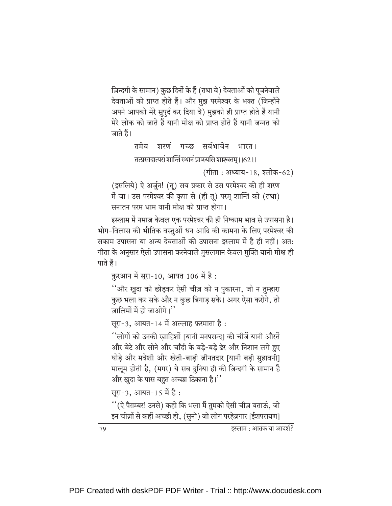ज़िन्दगी के सामान) कुछ दिनों के हैं (तथा वे) देवताओं को पूजनेवाले देवताओं को प्राप्त होते हैं। और मुझ परमेश्वर के भक्त (जिन्होंने अपने आपको मेरे सुपुर्द कर दिया वे) मुझको ही प्राप्त होते हैं यानी मेरे लोक को जाते हैं यानी मोक्ष को प्राप्त होते हैं यानी जन्नत को जाते हैं।

> तमेव शरणं गच्छ सर्वभावेन भारत ।

> तत्प्रसादात्परां शान्तिं स्थानं प्राप्स्यसि शाश्वतम् । 162 । ।

(गीता: अध्याय-18, श्लोक-62)

(इसलिये) ऐ अर्जुन! (तू) सब प्रकार से उस परमेश्वर की ही शरण में जा। उस परमेश्वर की कृपा से (ही तू) परम् शान्ति को (तथा) सनातन परम धाम यानी मोक्ष को प्राप्त होगा।

इस्लाम में नमाज़ केवल एक परमेश्वर की ही निष्काम भाव से उपासना है। भोग-विलास की भौतिक वस्तुओं धन आदि की कामना के लिए परमेश्वर की सकाम उपासना या अन्य देवताओं की उपासना इस्लाम में है ही नहीं। अत: गीता के अनुसार ऐसी उपासना करनेवाले मुसलमान केवल मुक्ति यानी मोक्ष ही पाते हैं।

क़ूरआन में सूरा-10, आयत 106 में है:

''और ख़ुदा को छोड़कर ऐसी चीज़ को न पुकारना, जो न तुम्हारा कुछ भला कर सके और न कुछ बिगाड़ सके। अगर ऐसा करोगे, तो जालिमों में हो जाओगे।''

सुरा-3, आयत-14 में अल्लाह फ़रमाता है:

''लोगों को उनकी खाहिशों [यानी मनपसन्द] की चीज़ें यानी औरतें और बेटे और सोने और चाँदी के बड़े-बड़े ढेर और निशान लगे हुए घोड़े और मवेशी और खेती-बाड़ी ज़ीनतदार [यानी बड़ी सुहावनी] मालूम होती है, (मगर) ये सब दुनिया ही की ज़िन्दगी के सामान हैं और ख़ुदा के पास बहुत अच्छा ठिकाना है।''

सूरा-3, आयत-15 में है:

''(ऐ पैग़म्बर! उनसे) कहो कि भला मैं तुमको ऐसी चीज़ बताऊं, जो इन चीज़ों से कहीं अच्छी हो, (सुनो) जो लोग परहेज़गार [ईशपरायण]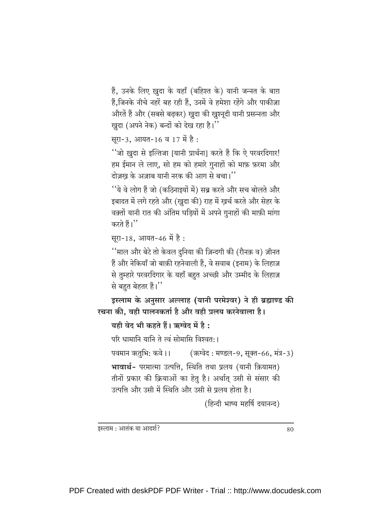हैं, उनके लिए ख़ुदा के यहाँ (बहिश्त के) यानी जन्नत के बाग़ हैं,जिनके नीचे नहरें बह रही हैं, उनमें वे हमेशा रहेंगे और पाकीज़ा औरतें हैं और (सबसे बढ़कर) ख़ुदा की ख़ुश्नूदी यानी प्रसन्नता और खुदा (अपने नेक) बन्दों को देख रहा है।"

सूरा-3, आयत-16 व 17 में है:

''जो ख़ुदा से इल्तिजा [यानी प्रार्थना] करते हैं कि ऐ परवरदिगार! हम ईमान ले लाए, सो हम को हमारे गुनाहों को माफ़ फ़रमा और दोज़ख के अज़ाब यानी नरक की आग से बचा।''

''ये वे लोग हैं जो (कठिनाइयों में) सब्र करते और सच बोलते और इबादत में लगे रहते और (खुदा की) राह में खर्च करते और सेहर के वक़्तों यानी रात की अंतिम घड़ियों में अपने गुनाहों की माफ़ी मांगा करते हैं।''

```
सूरा-18, आयत-46 में है:
```
''माल और बेटे तो केवल दुनिया की ज़िन्दगी की (रौनक़ व) ज़ीनत हैं और नेकियाँ जो बाक़ी रहनेवाली हैं, वे सवाब (इनाम) के लिहाज़ से तुम्हारे परवरदिगार के यहाँ बहुत अच्छी और उम्मीद के लिहाज़ से बहुत बेहतर हैं।"

इस्लाम के अनुसार अल्लाह (यानी परमेश्वर) ने ही ब्रह्माण्ड की रचना की. वही पालनकर्ता है और वही प्रलय करनेवाला है।

यही वेद भी कहते हैं। ऋग्वेद में है :

परि धामानि यानि ते त्वं सोमासि विश्वत:।

पवमान ऋतुभि: कवे।। (ऋग्वेद: मण्डल-9, सूक्त-66, मंत्र-3) भावार्थ- परमात्मा उत्पत्ति, स्थिति तथा प्रलय (यानी क़ियामत) तीनों प्रकार की क्रियाओं का हेतु है। अर्थात् उसी से संसार की उत्पत्ति और उसी में स्थिति और उसी से प्रलय होता है।

(हिन्दी भाष्य महर्षि दयानन्द)

इस्लाम : आतंक या आदर्श?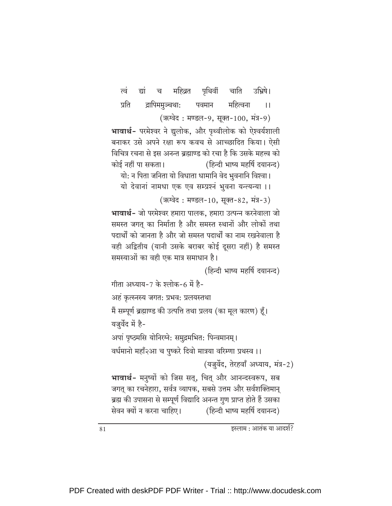पृथिवीं त्वं द्यां च महिव्रत चाति उभ्रिषे। प्रति द्रापिममुञ्चथा: पवमान महित्वना  $\mathbf{1}$ (ऋग्वेद: मण्डल-9, सूक्त-100, मंत्र-9)

भावार्थ- परमेश्वर ने द्युलोक, और पृथ्वीलोक को ऐश्वर्यशाली बनाकर उसे अपने रक्षा रूप कवच से आच्छादित किया। ऐसी विचित्र रचना से इस अनन्त ब्रह्माण्ड को रचा है कि उसके महत्त्व को कोई नहीं पा सकता। (हिन्दी भाष्य महर्षि दयानन्द)

यो: न पिता जनिता यो विधाता धामानि वेद भुवनानि विश्वा।

यो देवानां नामधा एक एव सम्प्रश्नं भुवना यन्त्यन्या ।।

(ऋग्वेद: मण्डल-10, सूक्त-82, मंत्र-3)

भावार्थ- जो परमेश्वर हमारा पालक, हमारा उत्पन्न करनेवाला जो समस्त जगत का निर्माता है और समस्त स्थानों और लोकों तथा पदार्थों को जानता है और जो समस्त पदार्थों का नाम रखनेवाला है वही अद्वितीय (यानी उसके बराबर कोई दूसरा नहीं) है समस्त समस्याओं का वही एक मात्र समाधान है।

(हिन्दी भाष्य महर्षि दयानन्द)

गीता अध्याय-7 के श्लोक-6 में है-

अहं कृत्स्नस्य जगत: प्रभव: प्रलयस्तथा

मैं सम्पूर्ण ब्रह्माण्ड की उत्पत्ति तथा प्रलय (का मूल कारण) हूँ।

यज़ुर्वेद में है-

अपां पृष्ठमसि योनिरग्ने: समुद्रमभित: पिन्वमानम्।

वर्धमानो महाँ२आ च पुष्करे दिवो मात्रया वरिम्णा प्रथस्व ।।

(यजुर्वेद, तेरहवाँ अध्याय, मंत्र-2)

भावार्थ- मनुष्यों को जिस सत्, चित् और आनन्दस्वरूप, सब जगत् का रचनेहारा, सर्वत्र व्यापक, सबसे उत्तम और सर्वशक्तिमान् ब्रह्म की उपासना से सम्पूर्ण विद्यादि अनन्त गुण प्राप्त होते हैं उसका सेवन क्यों न करना चाहिए। (हिन्दी भाष्य महर्षि दयानन्द)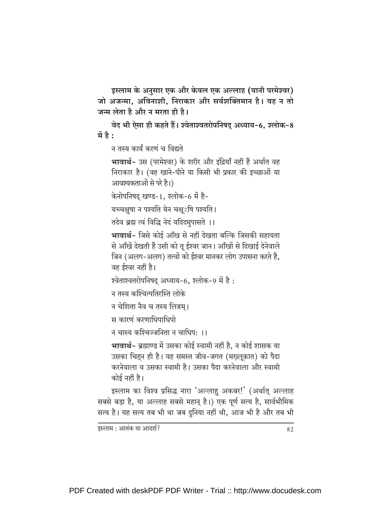इस्लाम के अनुसार एक और केवल एक अल्लाह (यानी परमेश्वर) जो अजन्मा, अविनाशी, निराकार और सर्वशक्तिमान है। वह न तो जन्म लेता है और न मरता ही है।

वेद भी ऐसा ही कहते हैं। श्वेताश्वतरोपनिषद् अध्याय-6, श्लोक-8 में है:

न तस्य कार्यं करणं च विद्यते

भावार्थ- उस (परमेश्वर) के शरीर और इंद्रियाँ नहीं हैं अर्थात वह निराकार है। (वह खाने-पीने या किसी भी प्रकार की इच्छाओं या आवश्यकताओं से परे है।)

केनोपनिषद् खण्ड-1, श्लोक-6 में है-

यच्चक्षुषा न पश्यति येन चक्षूर्शषे पश्यति ।

तदेव ब्रह्म त्वं विद्धि नेदं यदिदमुपासते ।।

भावार्थ- जिसे कोई आँख से नहीं देखता बल्कि जिसकी सहायता से आँखें देखती हैं उसी को तू ईश्वर जान। आँखों से दिखाई देनेवाले जिन (अलग-अलग) तत्वों को ईश्वर मानकर लोग उपासना करते हैं, वह ईश्वर नहीं है।

श्वेताश्वतरोपनिषद् अध्याय-6, श्लोक-9 में है:

न तस्य कश्चित्पतिरस्ति लोके

न चेशिता नैव च तस्य लिङ्गम।

स कारणं करणाधिपाधिपो

न चास्य कश्चिज्जनिता न चाधिप: ।।

भावार्थ- ब्रह्माण्ड में उसका कोई स्वामी नहीं है, न कोई शासक या उसका चिहन ही है। वह समस्त जीव-जगत (मख्लूक़ात) को पैदा करनेवाला व उसका स्वामी है। उसका पैदा करनेवाला और स्वामी कोई नहीं है।

इस्लाम का विश्व प्रसिद्ध नारा 'अल्लाहु अकबर!' (अर्थात् अल्लाह सबसे बड़ा है, या अल्लाह सबसे महान है।) एक पूर्ण सत्य है, सार्वभौमिक सत्य है। यह सत्य तब भी था जब दुनिया नहीं थी, आज भी है और तब भी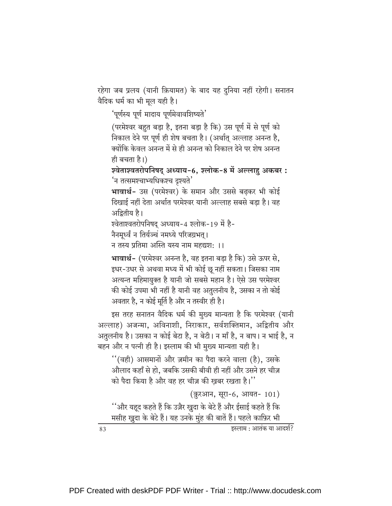रहेगा जब प्रलय (यानी क़ियामत) के बाद यह दुनिया नहीं रहेगी। सनातन वैदिक धर्म का भी मूल यही है।

'पूर्णस्य पूर्ण मादाय पूर्णमेवावशिष्यते'

(परमेश्वर बहुत बड़ा है, इतना बड़ा है कि) उस पूर्ण में से पूर्ण को निकाल देने पर पूर्ण ही शेष बचता है। (अर्थात् अल्लाह अनन्त है, क्योंकि केवल अनन्त में से ही अनन्त को निकाल देने पर शेष अनन्त ही बचता है।)

श्वेताश्वतरोपनिषद् अध्याय-6, श्लोक-8 में अल्लाहु अकबर: <sup>'</sup>न तत्समश्चाभ्यधिकश्च दृश्यते'

भावार्थ- उस (परमेश्वर) के समान और उससे बढ़कर भी कोई दिखाई नहीं देता अर्थात परमेश्वर यानी अल्लाह सबसे बड़ा है। वह अद्रितीय है।

श्वेताश्वतरोपनिषद् अध्याय-4 श्लोक-19 में है-

नैनमूर्ध्वं न तिर्यञ्चं नमध्ये परिजग्रभत्।

न तस्य प्रतिमा अस्ति यस्य नाम महद्यश: ।।

भावार्थ- (परमेश्वर अनन्त है, वह इतना बडा है कि) उसे ऊपर से, इधर-उधर से अथवा मध्य में भी कोई छू नहीं सकता। जिसका नाम अत्यन्त महिमायुक्त है यानी जो सबसे महान है। ऐसे उस परमेश्वर की कोई उपमा भी नहीं है यानी वह अतुलनीय है, उसका न तो कोई अवतार है, न कोई मूर्ति है और न तस्वीर ही है।

इस तरह सनातन वैदिक धर्म की मुख्य मान्यता है कि परमेश्वर (यानी अल्लाह) अजन्मा, अविनाशी, निराकार, सर्वशक्तिमान, अद्वितीय और अतुलनीय है। उसका न कोई बेटा है, न बेटी। न माँ है, न बाप। न भाई है, न बहन और न पत्नी ही है। इस्लाम की भी मुख्य मान्यता यही है।

"(वही) आसमानों और ज़मीन का पैदा करने वाला (है), उसके औलाद कहाँ से हो, जबकि उसकी बीवी ही नहीं और उसने हर चीज़ को पैदा किया है और वह हर चीज़ की खबर रखता है।''

(क़ुरआन, सूरा-6, आयत- 101)

''और यहूद कहते हैं कि उज़ैर ख़ुदा के बेटे हैं और ईसाई कहते हैं कि मसीह ख़ुदा के बेटे हैं। यह उनके मुंह की बातें हैं। पहले काफ़िर भी

इस्लाम : आतंक या आदर्श?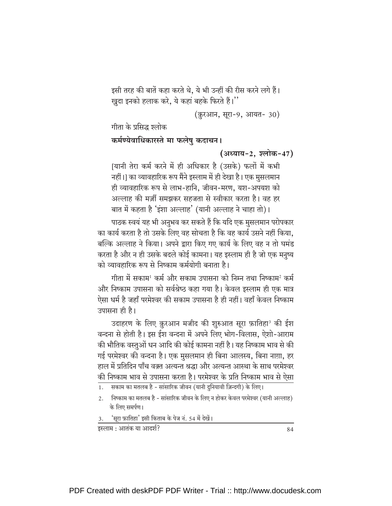इसी तरह की बातें कहा करते थे, ये भी उन्हीं की रीस करने लगे हैं। खुदा इनको हलाक करे, ये कहां बहके फिरते हैं।''

(क़ुरआन, सूरा-9, आयत- 30)

गीता के प्रसिद्ध श्लोक

#### कर्मण्येवाधिकारस्ते मा फलेषु कदाचन।

(अध्याय-2, श्लोक-47)

[यानी तेरा कर्म करने में ही अधिकार है (उसके) फलों में कभी नहीं।] का व्यावहारिक रूप मैंने इस्लाम में ही देखा है। एक मुसलमान ही व्यावहारिक रूप से लाभ-हानि, जीवन-मरण, यश-अपयश को अल्लाह की मर्ज़ी समझकर सहजता से स्वीकार करता है। वह हर बात में कहता है 'इंशा अल्लाह' (यानी अल्लाह ने चाहा तो)।

पाठक स्वयं यह भी अनुभव कर सकते हैं कि यदि एक मुसलमान परोपकार का कार्य करता है तो उसके लिए वह सोचता है कि वह कार्य उसने नहीं किया. बल्कि अल्लाह ने किया। अपने द्वारा किए गए कार्य के लिए वह न तो घमंड करता है और न ही उसके बदले कोई कामना। यह इस्लाम ही है जो एक मनुष्य को व्यावहारिक रूप से निष्काम कर्मयोगी बनाता है।

गीता में सकाम<sup>1</sup> कर्म और सकाम उपासना को निम्न तथा निष्काम<sup>2</sup> कर्म और निष्काम उपासना को सर्वश्रेष्ठ कहा गया है। केवल इस्लाम ही एक मात्र ऐसा धर्म है जहाँ परमेश्वर की सकाम उपासना है ही नहीं। वहाँ केवल निष्काम उपासना ही है।

उदाहरण के लिए क़ुरआन मजीद की शुरुआत सूरा फ़ातिहा<sup>3</sup> की ईश वन्दना से होती है। इस ईश वन्दना में अपने लिए भोग-विलास, ऐशो-आराम की भौतिक वस्तुओं धन आदि की कोई कामना नहीं है। यह निष्काम भाव से की गई परमेश्वर की वन्दना है। एक मुसलमान ही बिना आलस्य, बिना नाग़ा, हर हाल में प्रतिदिन पाँच वक़्त अत्यन्त श्रद्धा और अत्यन्त आस्था के साथ परमेश्वर की निष्काम भाव से उपासना करता है। परमेश्वर के प्रति निष्काम भाव से ऐसा

- किष्काम का मतलब है सांसारिक जीवन के लिए न होकर केवल परमेश्वर (यानी अल्लाह)  $2.$ के लिए समर्पण।
- र्'सूरा फ़ातिहा' इसी किताब के पेज नं. 54 में देखें।

इस्लाम : आतंक या आदर्श?

सकाम का मतलब है - सांसारिक जीवन (यानी दुनियावी ज़िन्दगी) के लिए।  $1.$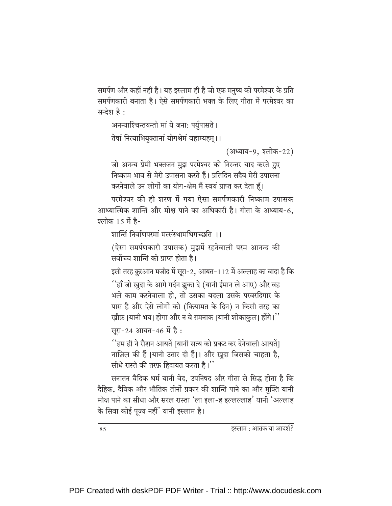समर्पण और कहीं नहीं है। यह इस्लाम ही है जो एक मनुष्य को परमेश्वर के प्रति समर्पणकारी बनाता है। ऐसे समर्पणकारी भक्त के लिए गीता में परमेश्वर का सन्देश है:

```
अनन्याश्चिन्तयन्तो मां ये जना: पर्युपासते।
```
तेषां नित्याभियुक्तानां योगक्षेमं वहाम्यहम् ।।

(अध्याय-9, श्लोक-22)

जो अनन्य प्रेमी भक्तजन मुझ परमेश्वर को निरन्तर याद करते हुए निष्काम भाव से मेरी उपासना करते हैं। प्रतिदिन सदैव मेरी उपासना करनेवाले उन लोगों का योग-क्षेम मैं स्वयं प्राप्त कर देता हूँ।

परमेश्वर की ही शरण में गया ऐसा समर्पणकारी निष्काम उपासक आध्यात्मिक शान्ति और मोक्ष पाने का अधिकारी है। गीता के अध्याय-6, श्लोक 15 में है-

शान्तिं निर्वाणपरमां मत्संस्थामधिगच्छति ।।

(ऐसा समर्पणकारी उपासक) मुझमें रहनेवाली परम आनन्द की .<br>सर्वोच्च शान्ति को पाप्त होता है।

इसी तरह क़ुरआन मजीद में सूरा-2, आयत-112 में अल्लाह का वादा है कि

''हाँ जो ख़ुदा के आगे गर्दन झुका दे (यानी ईमान ले आए) और वह भले काम करनेवाला हो. तो उसका बदला उसके परवरदिगार के पास है और ऐसे लोगों को (क़ियामत के दिन) न किसी तरह का खौफ़ [यानी भय] होगा और न वे ग़मनाक [यानी शोकाकुल] होंगे।''

सूरा-24 आयत-46 में है:

''हम ही ने रौशन आयतें [यानी सत्य को प्रकट कर देनेवाली आयतें] नाज़िल की हैं [यानी उतार दी हैं]। और ख़ुदा जिसको चाहता है, सीधे रास्ते की तरफ़ हिदायत करता है।''

सनातन वैदिक धर्म यानी वेद, उपनिषद और गीता से सिद्ध होता है कि दैहिक, दैविक और भौतिक तीनों प्रकार की शान्ति पाने का और मुक्ति यानी मोक्ष पाने का सीधा और सरल रास्ता 'ला इला-ह इल्लल्लाह' यानी 'अल्लाह के सिवा कोई पूज्य नहीं' यानी इस्लाम है।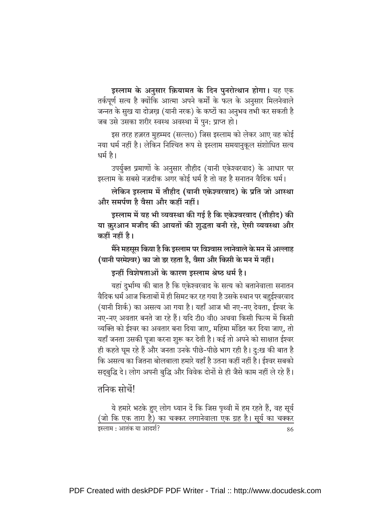इस्लाम के अनुसार क़ियामत के दिन पुनरोत्थान होगा। यह एक तर्कपूर्ण सत्य है क्योंकि आत्मा अपने कर्मों के फल के अनुसार मिलनेवाले जन्नत के सुख या दोज़ख़ (यानी नरक) के कष्टों का अनुभव तभी कर सकती है जब उसे उसका शरीर स्वस्थ अवस्था में पुन: प्राप्त हो।

इस तरह हज़रत मुहम्मद (सल्ल0) जिस इस्लाम को लेकर आए वह कोई नया धर्म नहीं है। लेकिन निश्चित रूप से इस्लाम समयानुकूल संशोधित सत्य धर्म है।

उपर्युक्त प्रमाणों के अनुसार तौहीद (यानी एकेश्वरवाद) के आधार पर इस्लाम के सबसे नज़दीक अगर कोई धर्म है तो वह है सनातन वैदिक धर्म।

लेकिन इस्लाम में तौहीद (यानी एकेश्वरवाद) के प्रति जो आस्था और समर्पण है वैसा और कहीं नहीं।

इस्लाम में यह भी व्यवस्था की गई है कि एकेश्वरवाद (तौहीद) की या क़ुरआन मजीद की आयतों की शुद्धता बनी रहे, ऐसी व्यवस्था और कहीं नहीं है।

मैंने महसूस किया है कि इस्लाम पर विश्वास लानेवाले के मन में अल्लाह (यानी परमेश्वर) का जो डर रहता है, वैसा और किसी के मन में नहीं।

इन्हीं विशेषताओं के कारण इस्लाम श्रेष्ठ धर्म है।

यहां दुर्भाग्य की बात है कि एकेश्वरवाद के सत्य को बतानेवाला सनातन वैदिक धर्म आज किताबों में ही सिमट कर रह गया है उसके स्थान पर बहुईश्वरवाद (यानी शिर्क) का असत्य आ गया है। यहाँ आज भी नए-नए देवता, ईश्वर के नए-नए अवतार बनते जा रहे हैं। यदि टी0 वी0 अथवा किसी फिल्म में किसी व्यक्ति को ईश्वर का अवतार बना दिया जाए, महिमा मंडित कर दिया जाए, तो यहाँ जनता उसकी पूजा करना शुरू कर देती है। कई तो अपने को साक्षात ईश्वर ही कहते घूम रहे हैं और जनता उनके पीछे-पीछे भाग रही है। दु:ख की बात है कि असत्य का जितना बोलबाला हमारे यहाँ है उतना कहीं नहीं है। ईश्वर सबको सद्बुद्धि दे। लोग अपनी बुद्धि और विवेक दोनों से ही जैसे काम नहीं ले रहे हैं।

तनिक सोचें!

ये हमारे भटके हुए लोग ध्यान दें कि जिस पृथ्वी में हम रहते हैं, वह सूर्य (जो कि एक तारा है) का चक्कर लगानेवाला एक ग्रह है। सूर्य का चक्कर इस्लाम : आतंक या आदर्श? 86

PDF Created with deskPDF PDF Writer - Trial :: http://www.docudesk.com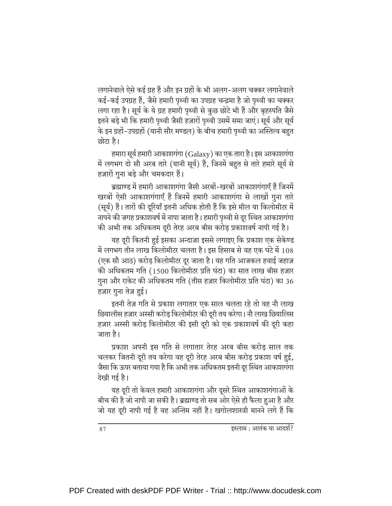लगानेवाले ऐसे कई ग्रह हैं और इन ग्रहों के भी अलग-अलग चक्कर लगानेवाले कई-कई उपग्रह हैं, जैसे हमारी पृथ्वी का उपग्रह चन्द्रमा है जो पृथ्वी का चक्कर लगा रहा है। सूर्य के ये ग्रह हमारी पृथ्वी से कुछ छोटे भी हैं और बृहस्पति जैसे इतने बड़े भी कि हमारी पृथ्वी जैसी हज़ारों पृथ्वी उसमें समा जाएं। सूर्य और सूर्य के इन ग्रहों-उपग्रहों (यानी सौर मण्डल) के बीच हमारी पृथ्वी का अस्तित्व बहुत छोटा है।

हमारा सूर्य हमारी आकाशगंगा (Galaxy) का एक तारा है। इस आकाशगंगा में लगभग दो सौ अरब तारे (यानी सूर्य) हैं, जिनमें बहुत से तारे हमारे सूर्य से हज़ारों गुना बड़े और चमकदार हैं।

ब्रह्माण्ड में हमारी आकाशगंगा जैसी अरबों-खरबों आकाशगंगाएँ हैं जिनमें खरबों ऐसी आकाशगंगाएँ हैं जिनमें हमारी आकाशगंगा से लाखों गुना तारे (सूर्य) हैं। तारों की दूरियाँ इतनी अधिक होती हैं कि इसे मील या किलोमीटर में नापने की जगह प्रकाशवर्ष में नापा जाता है। हमारी पृथ्वी से दूर स्थित आकाशगंगा की अभी तक अधिकतम दूरी तेरह अरब बीस करोड़ प्रकाशवर्ष नापी गई है।

यह दूरी कितनी हुई इसका अन्दाज़ा इससे लगाइए कि प्रकाश एक सेकेण्ड में लगभग तीन लाख किलोमीटर चलता है। इस हिसाब से वह एक घंटे में 108 (एक सौ आठ) करोड किलोमीटर दर जाता है। यह गति आजकल हवाई जहाज़ की अधिकतम गति (1500 किलोमीटर प्रति घंटा) का सात लाख बीस हज़ार गुना और राकेट की अधिकतम गति (तीस हज़ार किलोमीटर प्रति घंटा) का 36 हज़ार गुना तेज़ हुई।

इतनी तेज़ गति से प्रकाश लगातार एक साल चलता रहे तो वह नौ लाख छियालीस हज़ार अस्सी करोड किलोमीटर की दूरी तय करेगा। नौ लाख छियालिस हज़ार अस्सी करोड़ किलोमीटर की इसी दूरी को एक प्रकाशवर्ष की दूरी कहा जाता है।

प्रकाश अपनी इस गति से लगातार तेरह अरब बीस करोड़ साल तक चलकर जितनी दूरी तय करेगा वह दूरी तेरह अरब बीस करोड़ प्रकाश वर्ष हुई, जैसा कि ऊपर बताया गया है कि अभी तक अधिकतम इतनी दूर स्थित आकाशगंगा देखी गई है।

यह दूरी तो केवल हमारी आकाशगंगा और दूसरे स्थित आकाशगंगाओं के बीच की है जो नापी जा सकी है। ब्रह्माण्ड तो सब ओर ऐसे ही फैला हुआ है और जो यह दूरी नापी गई है वह अन्तिम नहीं है। खगोलशास्त्री मानने लगे हैं कि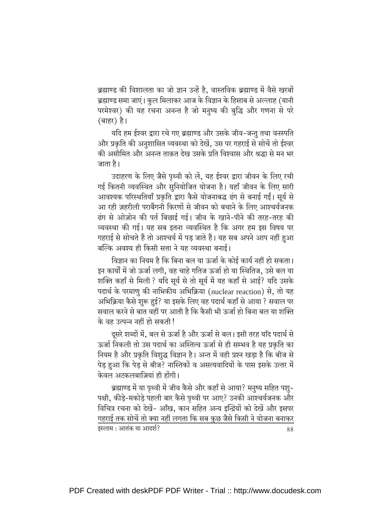ब्रह्माण्ड की विशालता का जो ज्ञान उन्हें है, वास्तविक ब्रह्माण्ड में वैसे खरबों ब्रह्माण्ड समा जाएं। कुल मिलाकर आज के विज्ञान के हिसाब से अल्लाह (यानी परमेश्वर) की यह रचना अनन्त है जो मनुष्य की बुद्धि और गणना से परे (बाहर) है।

यदि हम ईश्वर द्वारा रचे गए ब्रह्माण्ड और उसके जीव-जन्तु तथा वनस्पति और प्रकृति की अनुशासित व्यवस्था को देखें, उस पर गहराई से सोचें तो ईश्वर की असीमित और अनन्त ताक़त देख उसके प्रति विश्वास और श्रद्धा से मन भर जाता है।

उदाहरण के लिए जैसे पथ्वी को लें. यह ईश्वर द्वारा जीवन के लिए रची गई कितनी व्यवस्थित और सनियोजित योजना है। यहाँ जीवन के लिए सारी आवश्यक परिस्थतियाँ प्रकृति द्वारा कैसे योजनाबद्ध ढंग से बनाई गईं। सूर्य से आ रही ज़हरीली पराबैंगनी किरणों से जीवन को बचाने के लिए आश्चर्यजनक ढंग से ओज़ोन की पर्त बिछाई गई। जीव के खाने-पीने की तरह-तरह की व्यवस्था की गई। यह सब इतना व्यवस्थित है कि अगर हम इस विषय पर गहराई से सोचते हैं तो आश्चर्य में पड जाते हैं। यह सब अपने आप नहीं हुआ बल्कि अवश्य ही किसी सत्ता ने यह व्यवस्था बनाई।

विज्ञान का नियम है कि बिना बल या ऊर्जा के कोई कार्य नहीं हो सकता। इन कार्यों में जो ऊर्जा लगी, वह चाहे गतिज ऊर्जा हो या स्थितिज, उसे बल या शक्ति कहाँ से मिली ? यदि सूर्य से तो सूर्य में यह कहाँ से आई? यदि उसके पदार्थ के परमाणु की नाभिकीय अभिक्रिया (nuclear reaction) से, तो यह अभिक्रिया कैसे शुरू हुई? या इसके लिए वह पदार्थ कहाँ से आया ? सवाल पर सवाल करने से बात वहीं पर आती है कि कैसी भी ऊर्जा हो बिना बल या शक्ति के वह उत्पन्न नहीं हो सकती !

दसरे शब्दों में. बल से ऊर्जा है और ऊर्जा से बल। इसी तरह यदि पदार्थ से ऊर्जा निकली तो उस पदार्थ का अस्तित्व ऊर्जा से ही सम्भव है यह प्रकृति का नियम है और प्रकृति विशुद्ध विज्ञान है। अन्त में वही प्रश्न खड़ा है कि बीज से पेड़ हुआ कि पेड़ से बीज? नास्तिकों व असत्यवादियों के पास इसके उत्तर में केवल अटकलबाज़ियां ही होंगी।

ब्रह्माण्ड में या पृथ्वी में जीव कैसे और कहाँ से आया? मनुष्य सहित पशु-पक्षी, कीड़े-मकोड़े पहली बार कैसे पृथ्वी पर आए? उनकी आश्चर्यजनक और विचित्र रचना को देखें- आँख. कान सहित अन्य इन्द्रियों को देखें और इसपर गहराई तक सोचें तो क्या नहीं लगता कि सब कुछ जैसे किसी ने योजना बनाकर इस्लाम : आतंक या आदर्श? 88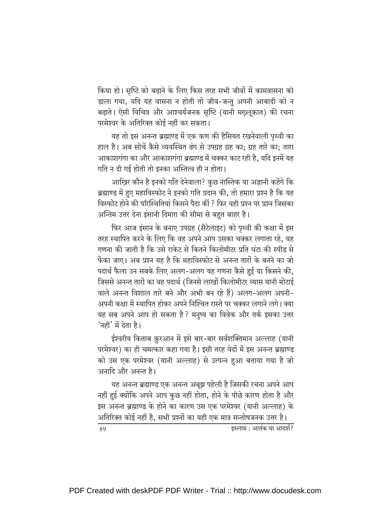किया हो। सृष्टि को बढ़ाने के लिए किस तरह सभी जीवों में कामवासना को डाला गया, यदि यह वासना न होती तो जीव-जन्तू अपनी आबादी को न बढ़ाते। ऐसी विचित्र और आश्चर्यजनक सृष्टि (यानी मख़्लूक़ात) की रचना परमेश्वर के अतिरिक्त कोई नहीं कर सकता।

यह तो इस अनन्त ब्रह्माण्ड में एक कण की हैसियत रखनेवाली पृथ्वी का हाल है। अब सोचें कैसे व्यवस्थित ढंग से उपग्रह ग्रह का; ग्रह तारे का; तारा आकाशगंगा का और आकाशगंगा ब्रह्माण्ड में चक्कर काट रही है. यदि इनमें यह गति न दी गई होती तो इनका अस्तित्व ही न होता।

आख़िर कौन है इनको गति देनेवाला? कुछ नास्तिक या अज्ञानी कहेंगे कि ब्रह्माण्ड में हुए महाविस्फोट ने इनको गति प्रदान की, तो हमारा प्रश्न है कि यह विस्फोट होने की परिस्थितियां किसने पैदा कीं ? फिर वही प्रश्न पर प्रश्न जिसका अन्तिम उत्तर देना इंसानी दिमाग़ की सीमा से बहुत बाहर है।

फिर आज इंसान के बनाए उपग्रह (सैटेलाइट) को पृथ्वी की कक्षा में इस तरह स्थापित करने के लिए कि वह अपने आप उसका चक्कर लगाता रहे, यह गणना की जाती है कि उसे राकेट से कितने किलोमीटर प्रति घंटा की स्पीड से फेंका जाए। अब प्रश्न यह है कि महाविस्फोट से अनन्त तारों के बनने का जो पदार्थ फैला उन सबके लिए अलग-अलग यह गणना कैसे हुई या किसने की, जिससे अनन्त तारों का वह पदार्थ (जिनसे लाखों किलोमीटर व्यास यानी मोटाई वाले अनन्त विशाल तारे बने और अभी बन रहे हैं) अलग-अलग अपनी-अपनी कक्षा में स्थापित होकर अपने निश्चित रास्ते पर चक्कर लगाने लगे। क्या यह सब अपने आप हो सकता है ? मनुष्य का विवेक और तर्क इसका उत्तर 'नहीं' में देता है।

ईश्वरीय किताब क़ुरआन में इसे बार-बार सर्वशक्तिमान अल्लाह (यानी परमेश्वर) का ही चमत्कार कहा गया है। इसी तरह वेदों में इस अनन्त ब्रह्माण्ड को उस एक परमेश्वर (यानी अल्लाह) से उत्पन्न हुआ बताया गया है जो अनादि और अनन्त है।

यह अनन्त ब्रह्माण्ड एक अनन्त अबूझ पहेली है जिसकी रचना अपने आप नहीं हुई क्योंकि अपने आप कुछ नहीं होता, होने के पीछे कारण होता है और इस अनन्त ब्रह्माण्ड के होने का कारण उस एक परमेश्वर (यानी अल्लाह) के अतिरिक्त कोई नहीं है, सभी प्रश्नों का यही एक मात्र सन्तोषजनक उत्तर है। 89 इस्लाम : आतंक या आदर्श?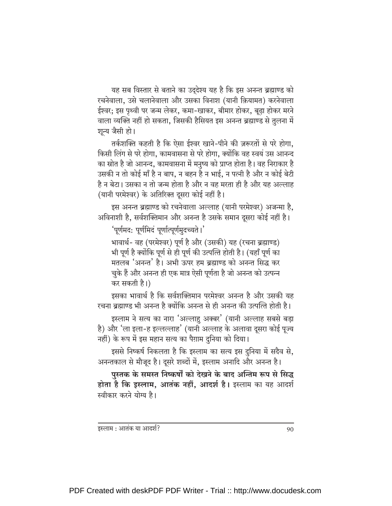यह सब विस्तार से बताने का उद्देश्य यह है कि इस अनन्त ब्रह्माण्ड को रचनेवाला, उसे चलानेवाला और उसका विनाश (यानी क़ियामत) करनेवाला ईश्वर; इस पृथ्वी पर जन्म लेकर, कमा-खाकर, बीमार होकर, बूढा होकर मरने वाला व्यक्ति नहीं हो सकता, जिसकी हैसियत इस अनन्त ब्रह्माण्ड से तुलना में शून्य जैसी हो।

तर्कशक्ति कहती है कि ऐसा ईश्वर खाने-पीने की ज़रूरतों से परे होगा, किसी लिंग से परे होगा. कामवासना से परे होगा. क्योंकि वह स्वयं उस आनन्द का स्रोत है जो आनन्द, कामवासना में मनुष्य को प्राप्त होता है। वह निराकार है उसकी न तो कोई माँ है न बाप, न बहन है न भाई, न पत्नी है और न कोई बेटी है न बेटा। उसका न तो जन्म होता है और न वह मरता ही है और यह अल्लाह (यानी परमेश्वर) के अतिरिक्त दुसरा कोई नहीं है।

इस अनन्त ब्रह्माण्ड को रचनेवाला अल्लाह (यानी परमेश्वर) अजन्मा है, अविनाशी है, सर्वशक्तिमान और अनन्त है उसके समान दूसरा कोई नहीं है।

'पूर्णमद: पूर्णमिदं पूर्णात्पूर्णमुदच्यते।'

भावार्थ- वह (परमेश्वर) पूर्ण है और (उसकी) यह (रचना ब्रह्माण्ड) भी पूर्ण है क्योंकि पूर्ण से ही पूर्ण की उत्पत्ति होती है। (यहाँ पूर्ण का मतलब 'अनन्त' है। अभी ऊपर हम ब्रह्माण्ड को अनन्त सिद्ध कर चुके हैं और अनन्त ही एक मात्र ऐसी पूर्णता है जो अनन्त को उत्पन्न कर सकती है।)

इसका भावार्थ है कि सर्वशक्तिमान परमेश्वर अनन्त है और उसकी यह रचना ब्रह्माण्ड भी अनन्त है क्योंकि अनन्त से ही अनन्त की उत्पत्ति होती है।

इस्लाम ने सत्य का नारा 'अल्लाहु अक्बर' (यानी अल्लाह सबसे बड़ा है) और 'ला इला-ह इल्लल्लाह' (यानी अल्लाह के अलावा दूसरा कोई पूज्य नहीं) के रूप में इस महान सत्य का पैग़ाम दुनिया को दिया।

इससे निष्कर्ष निकलता है कि इस्लाम का सत्य इस दुनिया में सदैव से, अनन्तकाल से मौजूद है। दूसरे शब्दों में, इस्लाम अनादि और अनन्त है।

पुस्तक के समस्त निष्कर्षों को देखने के बाद अन्तिम रूप से सिद्ध होता है कि इस्लाम, आतंक नहीं, आदर्श है। इस्लाम का यह आदर्श स्वीकार करने योग्य है।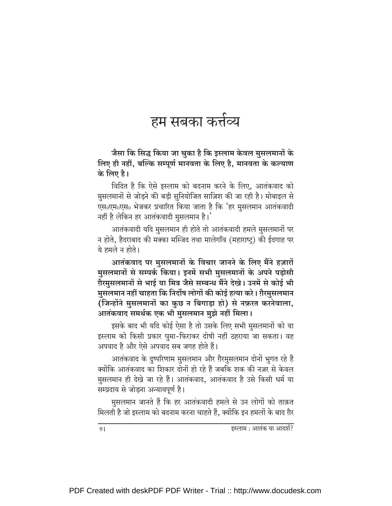### हम सबका कर्त्तव्य

जैसा कि सिद्ध किया जा चुका है कि इस्लाम केवल मुसलमानों के लिए ही नहीं, बल्कि सम्पूर्ण मानवता के लिए है, मानवता के कल्याण के लिए है।

विदित है कि ऐसे इस्लाम को बदनाम करने के लिए, आतंकवाद को मुसलमानों से जोड़ने की बड़ी सुनियोजित साज़िश की जा रही है। मोबाइल से एस॰एम॰एस॰ भेजकर प्रचारित किया जाता है कि 'हर मुसलमान आतंकवादी नहीं है लेकिन हर आतंकवादी मुसलमान है।'

आतंकवादी यदि मुसलमान ही होते तो आतंकवादी हमले मुसलमानों पर न होते. हैदराबाद की मक्का मस्जिद तथा मालेगाँव (महाराष्ट) की ईदगाह पर ये हमले न होते।

आतंकवाद पर मुसलमानों के विचार जानने के लिए मैंने हज़ारों मुसलमानों से सम्पर्क किया। इनमें सभी मुसलमानों के अपने पड़ोसी ग़ैरमुसलमानों से भाई या मित्र जैसे सम्बन्ध मैंने देखे। उनमें से कोई भी मुसलमान नहीं चाहता कि निर्दोष लोगों की कोई हत्या करे। ग़ैरमुसलमान (जिन्होंने मुसलमानों का कुछ न बिगाड़ा हो) से नफ़रत करनेवाला, आतंकवाद समर्थक एक भी मुसलमान मुझे नहीं मिला।

इसके बाद भी यदि कोई ऐसा है तो उसके लिए सभी मुसलमानों को या इस्लाम को किसी प्रकार घुमा-फिराकर दोषी नहीं ठहराया जा सकता। वह अपवाद है और ऐसे अपवाद सब जगह होते हैं।

आतंकवाद के दुष्परिणाम मुसलमान और ग़ैरमुसलमान दोनों भुगत रहे हैं क्योंकि आतंकवाद का शिकार दोनों हो रहे हैं जबकि शक की नज़र से केवल मुसलमान ही देखे जा रहे हैं। आतंकवाद, आतंकवाद है उसे किसी धर्म या सम्प्रदाय से जोड़ना अन्यायपूर्ण है।

मुसलमान जानते हैं कि हर आतंकवादी हमले से उन लोगों को ताक़त मिलती है जो इस्लाम को बदनाम करना चाहते हैं, क्योंकि इन हमलों के बाद ग़ैर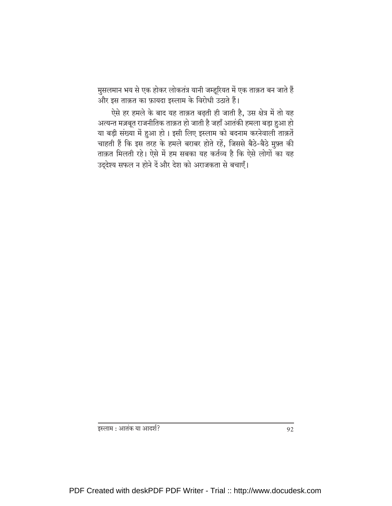मुसलमान भय से एक होकर लोकतंत्र यानी जम्हूरियत में एक ताक़त बन जाते हैं और इस ताक़त का फ़ायदा इस्लाम के विरोधी उठाते हैं।

ऐसे हर हमले के बाद यह ताक़त बढ़ती ही जाती है, उस क्षेत्र में तो यह अत्यन्त मज़बूत राजनीतिक ताक़त हो जाती है जहाँ आतंकी हमला बड़ा हुआ हो या बड़ी संख्या में हुआ हो। इसी लिए इस्लाम को बदनाम करनेवाली ताक़तें चाहती हैं कि इस तरह के हमले बराबर होते रहें, जिससे बैठे-बैठे मुफ़्त की ताक़त मिलती रहे। ऐसे में हम सबका यह कर्तव्य है कि ऐसे लोगों का यह उद्देश्य सफल न होने दें और देश को अराजकता से बचाएँ।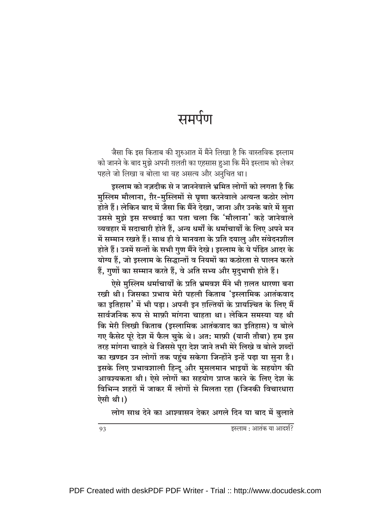## समर्पण

जैसा कि इस किताब की शुरुआत में मैंने लिखा है कि वास्तविक इस्लाम को जानने के बाद मुझे अपनी ग़लती का एहसास हुआ कि मैंने इस्लाम को लेकर पहले जो लिखा व बोला था वह असत्य और अनुचित था।

इस्लाम को नज़दीक से न जाननेवाले भ्रमित लोगों को लगता है कि मुस्लिम मौलाना, ग़ैर-मुस्लिमों से घृणा करनेवाले अत्यन्त कठोर लोग होते हैं। लेकिन बाद में जैसा कि मैंने देखा, जाना और उनके बारे में सुना उससे मुझे इस सच्चाई का पता चला कि 'मौलाना' कहे जानेवाले व्यवहार में सदाचारी होते हैं, अन्य धर्मों के धर्माचार्यों के लिए अपने मन में सम्मान रखते हैं। साथ ही वे मानवता के प्रति दयालु और संवेदनशील होते हैं। उनमें सन्तों के सभी गुण मैंने देखे। इस्लाम के ये पंडित आदर के योग्य हैं, जो इस्लाम के सिद्धान्तों व नियमों का कठोरता से पालन करते हैं, गुणों का सम्मान करते हैं, वे अति सभ्य और मृदुभाषी होते हैं।

ऐसे मुस्लिम धर्माचार्यों के प्रति भ्रमवश मैंने भी ग़लत धारणा बना रखी थी। जिसका प्रभाव मेरी पहली किताब 'इस्लामिक आतंकवाद का इतिहास' में भी पड़ा। अपनी इन ग़ल्तियों के प्रायश्चित के लिए मैं सार्वजनिक रूप से माफ़ी मांगना चाहता था। लेकिन समस्या यह थी कि मेरी लिखी किताब (इस्लामिक आतंकवाद का इतिहास) व बोले गए कैसेट पूरे देश में फैल चुके थे। अत: माफ़ी (यानी तौबा) हम इस तरह मांगना चाहते थे जिससे पूरा देश जाने तभी मेरे लिखे व बोले शब्दों का खण्डन उन लोगों तक पहुंच सकेगा जिन्होंने इन्हें पढ़ा या सुना है। इसके लिए प्रभावशाली हिन्दू और मुसलमान भाइयों के सहयोग की आवश्यकता थी। ऐसे लोगों का सहयोग प्राप्त करने के लिए देश के विभिन्न शहरों में जाकर मैं लोगों से मिलता रहा (जिनकी विचारधारा ऐसी थी।)

लोग साथ देने का आश्वासन देकर अगले दिन या बाद में बुलाते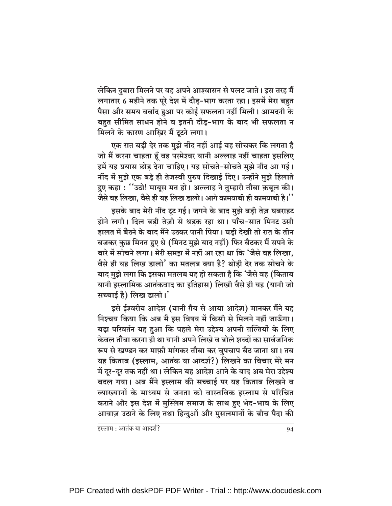लेकिन दुबारा मिलने पर वह अपने आश्वासन से पलट जाते। इस तरह मैं लगातार 6 महीने तक पूरे देश में दौड़-भाग करता रहा। इसमें मेरा बहुत पैसा और समय बर्बाद हुआ पर कोई सफलता नहीं मिली। आमदनी के बहुत सीमित साधन होने व इतनी दौड़-भाग के बाद भी सफलता न मिलने के कारण आख़िर मैं टूटने लगा।

एक रात बडी देर तक मुझे नींद नहीं आई यह सोचकर कि लगता है जो मैं करना चाहता हूँ वह परमेश्वर यानी अल्लाह नहीं चाहता इसलिए हमें यह प्रयास छोड देना चाहिए। यह सोचते-सोचते मुझे नींद आ गई। नींद में मुझे एक बड़े ही तेजस्वी पुरुष दिखाई दिए। उन्होंने मुझे हिलाते हुए कहा: ''उठो! मायूस मत हो। अल्लाह ने तुम्हारी तौबा क़बूल की। जैसे वह लिखा, वैसे ही यह लिख डालो। आगे कामयाबी ही कामयाबी है।''

इसके बाद मेरी नींद टूट गई। जगने के बाद मुझे बड़ी तेज़ घबराहट होने लगी। दिल बडी तेज़ी से धड़क रहा था। पाँच-सात मिनट उसी हालत में बैठने के बाद मैंने उठकर पानी पिया। घडी देखी तो रात के तीन बजकर कुछ मिनत हुए थे (मिनट मुझे याद नहीं) फिर बैठकर मैं सपने के बारे में सोचने लगा। मेरी समझ में नहीं आ रहा था कि 'जैसे वह लिखा, वैसे ही यह लिख डालो' का मतलब क्या है? थोडी देर तक सोचने के बाद मुझे लगा कि इसका मतलब यह हो सकता है कि 'जैसे वह (किताब यानी इस्लामिक आतंकवाद का इतिहास) लिखी वैसे ही यह (यानी जो सच्चाई है) लिख डालो।'

इसे ईश्वरीय आदेश (यानी ग़ैब से आया आदेश) मानकर मैंने यह निश्चय किया कि अब मैं इस विषय में किसी से मिलने नहीं जाऊँगा। बड़ा परिवर्तन यह हुआ कि पहले मेरा उद्देश्य अपनी ग़ल्तियों के लिए केवल तौबा करना ही था यानी अपने लिखे व बोले शब्दों का सार्वजनिक रूप से खण्डन कर माफ़ी मांगकर तौबा कर चुपचाप बैठ जाना था। तब यह किताब (इस्लाम, आतंक या आदर्श?) लिखने का विचार मेरे मन में दूर-दूर तक नहीं था। लेकिन यह आदेश आने के बाद अब मेरा उद्देश्य बदल गया। अब मैंने इस्लाम की सच्चाई पर यह किताब लिखने व व्याख्यानों के माध्यम से जनता को वास्तविक इस्लाम से परिचित कराने और इस देश में मुस्लिम समाज के साथ हुए भेद-भाव के लिए आवाज़ उठाने के लिए तथा हिन्दुओं और मुसलमानों के बीच पैदा की

इस्लाम : आतंक या आदर्श?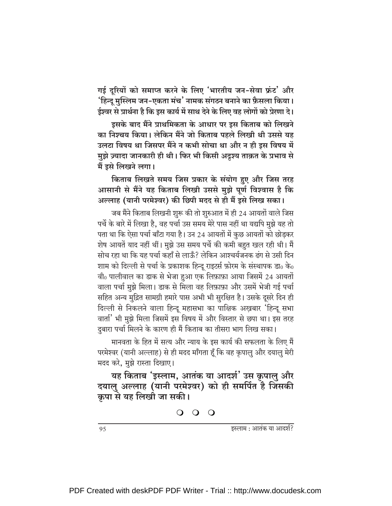गई दूरियों को समाप्त करने के लिए 'भारतीय जन-सेवा फ्रंट' और 'हिन्दू मुस्लिम जन-एकता मंच' नामक संगठन बनाने का फ़ैसला किया। ईश्वर से प्रार्थना है कि इस कार्य में साथ देने के लिए वह लोगों को प्रेरणा दे।

इसके बाद मैंने प्राथमिकता के आधार पर इस किताब को लिखने का निश्चय किया। लेकिन मैंने जो किताब पहले लिखी थी उससे यह उलटा विषय था जिसपर मैंने न कभी सोचा था और न ही इस विषय में मुझे ज़्यादा जानकारी ही थी। फिर भी किसी अदृश्य ताक़त के प्रभाव से मैं इसे लिखने लगा।

किताब लिखते समय जिस प्रकार के संयोग हुए और जिस तरह आसानी से मैंने यह किताब लिखी उससे मुझे पूर्ण विश्वास है कि अल्लाह (यानी परमेश्वर) की छिपी मदद से ही मैं इसे लिख सका।

जब मैंने किताब लिखनी शुरू की तो शुरुआत में ही 24 आयतों वाले जिस पर्चे के बारे में लिखा है, वह पर्चा उस समय मेरे पास नहीं था यद्यपि मुझे यह तो पता था कि ऐसा पर्चा बाँटा गया है। उन 24 आयतों में कुछ आयतों को छोड़कर शेष आयतें याद नहीं थीं। मुझे उस समय पर्चे की कमी बहुत खल रही थी। मैं सोच रहा था कि यह पर्चा कहाँ से लाऊँ? लेकिन आश्चर्यजनक ढंग से उसी दिन शाम को दिल्ली से पर्चा के प्रकाशक हिन्दू राइटर्स फ़ोरम के संस्थापक डा॰ के॰ वी0 पालीवाल का डाक से भेजा हुआ एक लिफ़ाफ़ा आया जिसमें 24 आयतों वाला पर्चा मुझे मिला। डाक से मिला वह लिफ़ाफ़ा और उसमें भेजी गई पर्चा सहित अन्य मुद्रित सामग्री हमारे पास अभी भी सुरक्षित है। उसके दूसरे दिन ही दिल्ली से निकलने वाला हिन्दू महासभा का पाक्षिक अख़बार 'हिन्दू सभा वार्ता' भी मुझे मिला जिसमें इस विषय में और विस्तार से छपा था। इस तरह दुबारा पर्चा मिलने के कारण ही मैं किताब का तीसरा भाग लिख सका।

मानवता के हित में सत्य और न्याय के इस कार्य की सफलता के लिए मैं परमेश्वर (यानी अल्लाह) से ही मदद माँगता हूँ कि वह कृपालु और दयालु मेरी मदद करे, मुझे रास्ता दिखाए।

यह किताब 'इस्लाम, आतंक या आदर्श' उस कृपालु और दयालु अल्लाह (यानी परमेश्वर) को ही समर्पित है जिसकी कृपा से यह लिखी जा सकी।

इस्लाम : आतंक या आदर्श?